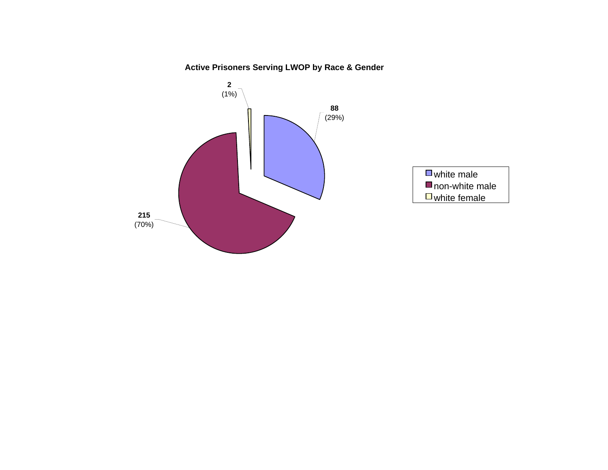**Active Prisoners Serving LWOP by Race & Gender**

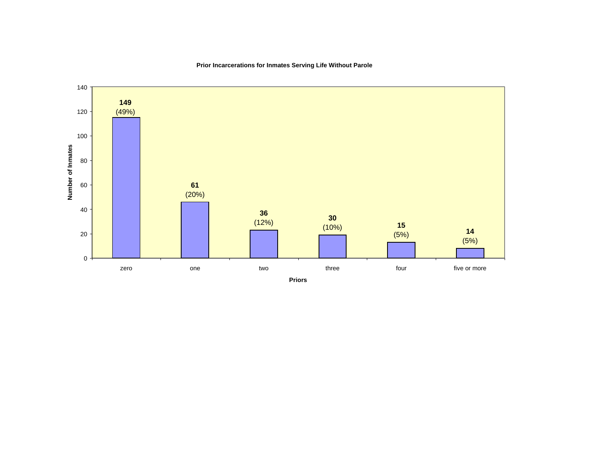

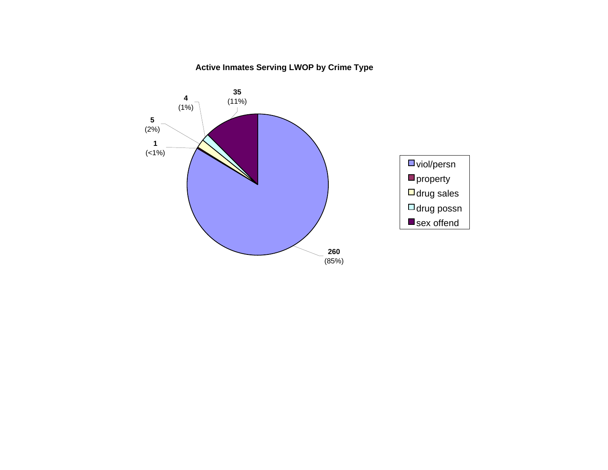# **Active Inmates Serving LWOP by Crime Type**

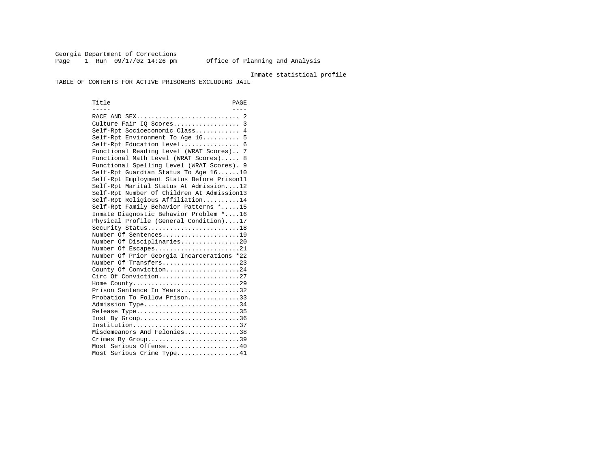Georgia Department of Corrections Page 1 Run 09/17/02 14:26 pm Office of Planning and Analysis

### Inmate statistical profile

TABLE OF CONTENTS FOR ACTIVE PRISONERS EXCLUDING JAIL

Title PAGE ----- ---- RACE AND SEX............................ 2 Culture Fair IQ Scores.................. 3 Self-Rpt Socioeconomic Class............ 4 Self-Rpt Environment To Age 16.......... 5 Self-Rpt Education Level................ 6 Functional Reading Level (WRAT Scores).. 7 Functional Math Level (WRAT Scores)..... 8 Functional Spelling Level (WRAT Scores). 9 Self-Rpt Guardian Status To Age 16......10 Self-Rpt Employment Status Before Prison11 Self-Rpt Marital Status At Admission....12 Self-Rpt Number Of Children At Admission13 Self-Rpt Religious Affiliation..........14 Self-Rpt Family Behavior Patterns \*.....15 Inmate Diagnostic Behavior Problem \*....16 Physical Profile (General Condition)....17 Security Status...........................18 Number Of Sentences.....................19 Number Of Disciplinaries................20 Number Of Escapes........................21 Number Of Prior Georgia Incarcerations \*22 Number Of Transfers.....................23 County Of Conviction....................24 Circ Of Conviction......................27 Home County.............................29 Prison Sentence In Years................32 Probation To Follow Prison..............33Admission Type............................34 Release Type..............................35 Inst By Group..............................36 Institution.............................37 Misdemeanors And Felonies...............38 Crimes By Group.............................39 Most Serious Offense....................40 Most Serious Crime Type.................41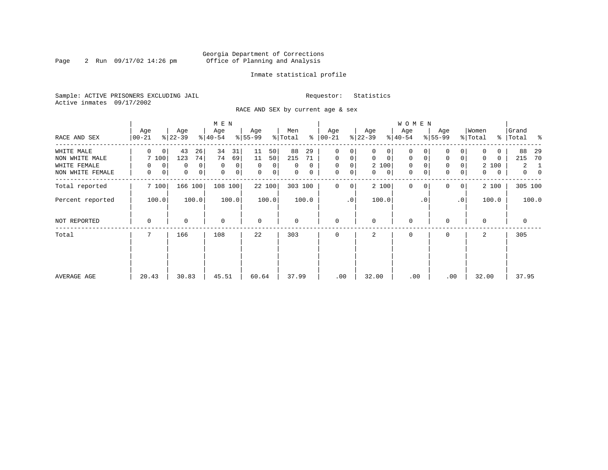# Georgia Department of Corrections Page 2 Run 09/17/02 14:26 pm Office of Planning and Analysis

# Inmate statistical profile

Sample: ACTIVE PRISONERS EXCLUDING JAIL **Requestor:** Statistics Active inmates 09/17/2002

RACE AND SEX by current age & sex

|                  |                    |                            | M E N                      |                   |                |                      |                   | <b>WOMEN</b>               |                               |                   |                                |
|------------------|--------------------|----------------------------|----------------------------|-------------------|----------------|----------------------|-------------------|----------------------------|-------------------------------|-------------------|--------------------------------|
| RACE AND SEX     | Age<br>$ 00 - 21 $ | Age<br>$ 22-39 $           | Age<br>$ 40-54 $           | Age<br>$8 55-99$  | Men<br>% Total | Age<br>$8   00 - 21$ | Age<br>$ 22-39 $  | Age<br>$ 40-54 $           | Age<br>$8 55-99$              | Women<br>% Total  | Grand<br>%   Total<br>ႜ        |
| WHITE MALE       | $\Omega$<br>0      | 43<br>26                   | 34<br>31                   | 50<br>11          | 88<br>29       | 0<br>0               | 0<br>0            | 0                          |                               | 0                 | 88<br>29                       |
| NON WHITE MALE   | 7 100              | 74<br>123                  | 74<br>69                   | 11<br>50          | 215<br>71      | $\mathbf 0$<br>0     | 0<br>$\mathbf{0}$ | 0<br>0                     | $\mathbf 0$<br>0              | $\Omega$<br>0     | 70<br>215                      |
| WHITE FEMALE     | 0<br>0             | 0<br>0                     | $\mathbf 0$<br>0           | $\Omega$<br>0     | $\Omega$<br>0  | $\mathbf 0$<br>0     | 2 100             | 0                          | $\mathbf 0$<br>0              | 2 100             | 2<br>1                         |
| NON WHITE FEMALE | 0<br>0             | $\mathbf 0$<br>$\mathbf 0$ | $\mathbf 0$<br>$\mathbf 0$ | $\mathbf 0$<br> 0 | 0<br>0         | $\mathbf 0$<br>0     | $\mathbf{0}$<br>0 | $\mathbf 0$<br>$\mathbf 0$ | $\mathbf 0$<br>$\overline{0}$ | $\mathbf{0}$<br>0 | $\mathbf{0}$<br>$\overline{0}$ |
| Total reported   | 7 100              | 166<br>100                 | 108 100                    | 22 100            | 303 100        | $\mathbf 0$<br>0     | 2 100             | $\mathbf{0}$<br>$\Omega$   | $\Omega$<br>0 <sup>1</sup>    | 2 100             | 305 100                        |
| Percent reported | 100.0              | 100.0                      | 100.0                      | 100.0             | 100.0          | $\cdot$ 0            | 100.0             | $\cdot$ 0                  | .0 <sup>1</sup>               | 100.0             | 100.0                          |
| NOT REPORTED     | 0                  | $\Omega$                   | $\mathbf 0$                | $\mathbf 0$       | 0              | $\mathbf 0$          | $\Omega$          | 0                          |                               | $\Omega$          | $\mathbf 0$                    |
| Total            |                    | 166                        | 108                        | 22                | 303            | $\Omega$             | 2                 | 0                          | $\Omega$                      | 2                 | 305                            |
|                  |                    |                            |                            |                   |                |                      |                   |                            |                               |                   |                                |
|                  |                    |                            |                            |                   |                |                      |                   |                            |                               |                   |                                |
| AVERAGE AGE      | 20.43              | 30.83                      | 45.51                      | 60.64             | 37.99          | .00                  | 32.00             | .00                        | .00                           | 32.00             | 37.95                          |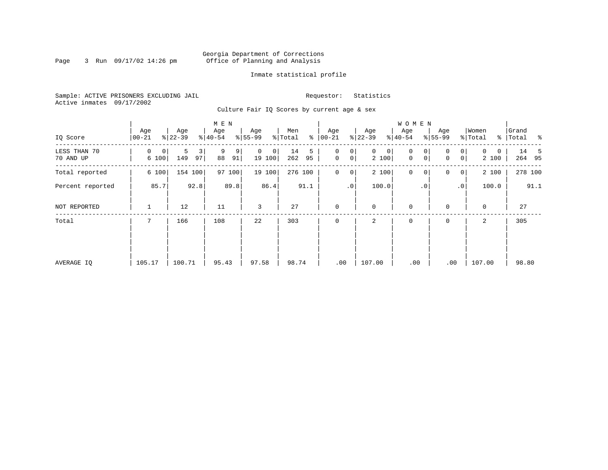# Georgia Department of Corrections Page 3 Run 09/17/02 14:26 pm Office of Planning and Analysis

# Inmate statistical profile

Sample: ACTIVE PRISONERS EXCLUDING JAIL **Requestor:** Statistics Active inmates 09/17/2002

Culture Fair IQ Scores by current age & sex

|                           |                  |                                  | M E N              |                                      |                      |                                         |                           | <b>WOMEN</b>                         |                                           |                        |                    |
|---------------------------|------------------|----------------------------------|--------------------|--------------------------------------|----------------------|-----------------------------------------|---------------------------|--------------------------------------|-------------------------------------------|------------------------|--------------------|
| IQ Score                  | Age<br>$00 - 21$ | Age<br>$ 22-39 $                 | Age<br>$8 40-54$   | Age<br>$8 55-99$                     | Men<br>နွ<br>% Total | Age<br>$00 - 21$                        | Age<br>$ 22-39$           | Age<br>$ 40-54 $                     | Age<br>$8 55-99$                          | Women<br>% Total       | Grand<br>% Total % |
| LESS THAN 70<br>70 AND UP | 0<br>0<br>6 100  | 5<br>$\overline{3}$<br>149<br>97 | 9<br>9<br>88<br>91 | $\Omega$<br>$\overline{0}$<br>19 100 | 14<br>5<br>262<br>95 | $\mathsf{O}$<br>0<br>$\mathsf{O}$<br> 0 | $\mathbf 0$<br>0<br>2 100 | $\mathbf 0$<br>0<br>0<br>$\mathbf 0$ | 0<br>$\overline{0}$<br> 0 <br>$\mathbf 0$ | $\Omega$<br>0<br>2 100 | 14 5<br>264 95     |
| Total reported            | 6 100            | 154<br>100                       | 100<br>97          | 19 100                               | 276 100              | $\mathbf{0}$<br>$\overline{0}$          | 2 100                     | $\mathbf 0$<br>$\mathbf 0$           | $\mathbf 0$<br> 0                         | 2 100                  | 278 100            |
| Percent reported          | 85.7             | 92.8                             | 89.8               | 86.4                                 | 91.1                 | $\cdot$ 0                               | 100.0                     | . 0                                  | .0 <sup>1</sup>                           | 100.0                  | 91.1               |
| NOT REPORTED              | 1                | 12                               | 11                 | 3                                    | 27                   | $\mathbf 0$                             | $\mathbf 0$               | $\mathbf 0$                          | $\Omega$                                  | 0                      | 27                 |
| Total                     | 7                | 166                              | 108                | 22                                   | 303                  | $\mathbf 0$                             | 2                         | $\mathbf 0$                          | 0                                         | 2                      | 305                |
|                           |                  |                                  |                    |                                      |                      |                                         |                           |                                      |                                           |                        |                    |
|                           |                  |                                  |                    |                                      |                      |                                         |                           |                                      |                                           |                        |                    |
| AVERAGE IQ                | 105.17           | 100.71                           | 95.43              | 97.58                                | 98.74                | .00                                     | 107.00                    | .00                                  | .00                                       | 107.00                 | 98.80              |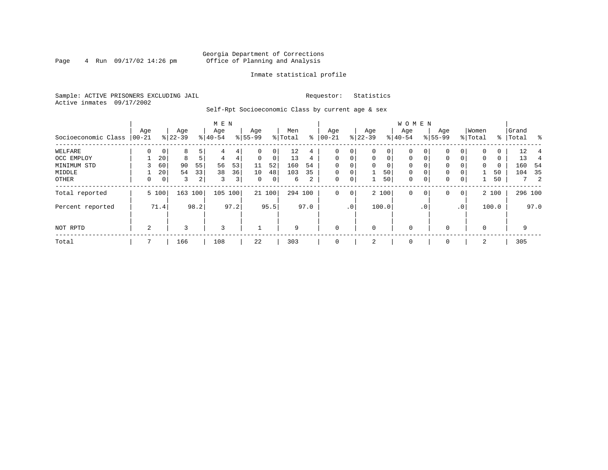# Georgia Department of Corrections<br>4 Run 09/17/02 14:26 pm office of Planning and Analysis Page 4 Run 09/17/02 14:26 pm Office of Planning and Analysis

# Inmate statistical profile

Sample: ACTIVE PRISONERS EXCLUDING JAIL **Requestor:** Statistics Active inmates 09/17/2002

Self-Rpt Socioeconomic Class by current age & sex

|                     |          |                 |           |      | M E N     |      |           |        |         |                 |              |                 |             |             | <b>WOMEN</b> |              |           |                 |          |       |           |                     |
|---------------------|----------|-----------------|-----------|------|-----------|------|-----------|--------|---------|-----------------|--------------|-----------------|-------------|-------------|--------------|--------------|-----------|-----------------|----------|-------|-----------|---------------------|
|                     | Age      |                 | Age       |      | Age       |      | Age       |        | Men     |                 | Age          |                 | Age         |             | Age          |              | Age       |                 | Women    |       | Grand     |                     |
| Socioeconomic Class | $ 00-21$ |                 | $ 22-39 $ |      | $8 40-54$ |      | $8 55-99$ |        | % Total | ፟፟፟፟            | $00 - 21$    |                 | $ 22-39 $   |             | $8 40-54$    |              | $8 55-99$ |                 | % Total  |       | %   Total | း ခ                 |
| WELFARE             |          |                 | 8         |      | 4         | 4    | $\Omega$  | 0      | 12      | 4               | 0            | 0               | $\Omega$    | 0           | $\Omega$     |              |           |                 | $\Omega$ | 0     | 12        |                     |
| OCC EMPLOY          |          | 20              | 8         |      | 4         | 4    | $\Omega$  | 0      | 13      | $4\overline{ }$ | $\mathbf 0$  | $\mathbf 0$     | $\Omega$    | $\mathbf 0$ | $\Omega$     | $\Omega$     | $\Omega$  | $\Omega$        | $\Omega$ | 0     | 13        | 4                   |
| MINIMUM STD         |          | 60              | 90        | 55   | 56        | 53   | 11        | 52     | 160     | 54              | $\Omega$     |                 | 0           | 0           | 0            | $\Omega$     | 0         |                 | 0        | 0     | 160       | -54                 |
| MIDDLE              |          | 20 <sup>1</sup> | 54        | 33   | 38        | 36   | 10        | 48     | 103     | 35              | $\mathbf 0$  | 0               |             | 50          | $\mathbf 0$  | 0            | 0         |                 |          | 50    | 104       | 35                  |
| OTHER               | 0        | 0 <sup>1</sup>  | 3         | 2    | 3         | 3    | 0         | 0      | 6       | 2               | 0            | 0               | 1           | 50          | $\mathbf 0$  | $\mathbf 0$  | 0         | 0               |          | 50    |           | $\overline{2}$<br>7 |
| Total reported      |          | 5 100           | 163       | 100  | 105       | 100  |           | 21 100 | 294 100 |                 | $\mathbf 0$  | $\mathbf 0$     |             | 2 100       | $\mathbf 0$  | 0            | 0         | $\overline{0}$  |          | 2 100 |           | 296 100             |
| Percent reported    |          | 71.4            |           | 98.2 |           | 97.2 |           | 95.5   |         | 97.0            |              | .0 <sup>1</sup> |             | 100.0       |              | $.0^{\circ}$ |           | .0 <sup>1</sup> |          | 100.0 |           | 97.0                |
| NOT RPTD            | 2        |                 | 3         |      | 3         |      |           |        | 9       |                 | $\mathbf{0}$ |                 | $\mathbf 0$ |             | $\mathbf 0$  |              |           |                 | $\Omega$ |       |           | 9                   |
| Total               |          |                 | 166       |      | 108       |      | 22        |        | 303     |                 | $\mathbf{0}$ |                 | 2           |             | $\mathbf 0$  |              | 0         |                 | 2        |       | 305       |                     |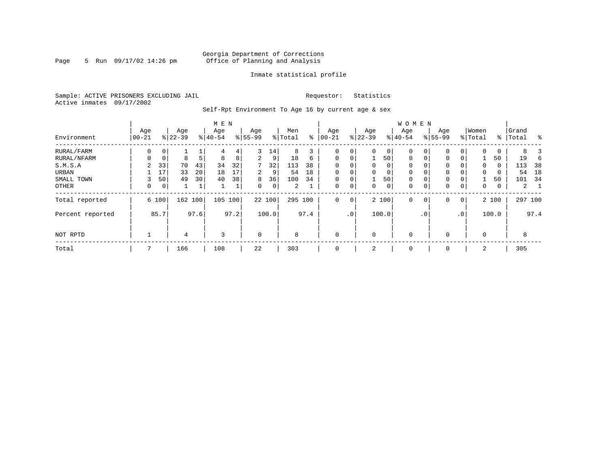# Georgia Department of Corrections Page 5 Run 09/17/02 14:26 pm Office of Planning and Analysis

# Inmate statistical profile

Sample: ACTIVE PRISONERS EXCLUDING JAIL **Requestor:** Statistics Active inmates 09/17/2002

Self-Rpt Environment To Age 16 by current age & sex

|                  | M E N            |                |                  |      |                  |      |                 |        |                |      |                 |             |                 |          | <b>WOMEN</b>     |           |                    |                 |                  |       |                |      |
|------------------|------------------|----------------|------------------|------|------------------|------|-----------------|--------|----------------|------|-----------------|-------------|-----------------|----------|------------------|-----------|--------------------|-----------------|------------------|-------|----------------|------|
| Environment      | Age<br>$ 00-21 $ |                | Age<br>$8 22-39$ |      | Age<br>$8 40-54$ |      | Age<br>$ 55-99$ |        | Men<br>% Total | နွ   | Age<br>$ 00-21$ |             | Age<br>$ 22-39$ |          | Age<br>$8 40-54$ |           | Age<br>$8155 - 99$ |                 | Women<br>% Total | ႜ     | Grand<br>Total | ွေ   |
| RURAL/FARM       | 0                | 0 <sup>1</sup> |                  |      | 4                | 4    | 3               | 14     | 8              | 3    | 0               | 0           | $\Omega$        | $\circ$  | 0                | 0         | $\mathbf 0$        |                 | $\Omega$         | 0     | 8              |      |
| RURAL/NFARM      |                  | 0              | 8                | 5    | 8                | 8    | 2               | 9      | 18             | 6    | $\mathbf 0$     | 0           |                 | 50       | 0                |           | $\mathbf 0$        | $\Omega$        |                  | 50    | 19             |      |
| S.M.S.A          | 2                | 33             | 70               | 43   | 34               | 32   | 7               | 32     | 113            | 38   | $\mathbf 0$     | 0           | $\Omega$        | $\Omega$ | 0                |           | $\mathbf 0$        |                 | $\Omega$         | 0     | 113            | 38   |
| URBAN            |                  | 17             | 33               | 20   | 18               | 17   | 2               | 9      | 54             | 18   | $\mathbf 0$     | $\mathbf 0$ | $\Omega$        | 0        | 0                |           | $\mathbf{0}$       |                 | $\mathbf 0$      | 0     | 54             | 18   |
| SMALL TOWN       |                  | 50             | 49               | 30   | 40               | 38   | 8               | 36     | 100            | 34   | $\mathbf 0$     | 0           |                 | 50       | 0                |           | $\mathbf 0$        |                 |                  | 50    | 101            | 34   |
| OTHER            | 0                | 0 <sup>1</sup> |                  | 1    |                  | ⊥    | $\Omega$        | 0      | 2              |      | $\mathbf 0$     | 0           | $\Omega$        | 0        | 0                |           | $\mathbf{0}$       | 0               | $\mathbf 0$      | 0     | 2              |      |
| Total reported   |                  | 6 100          | 162 100          |      | 105              | 100  |                 | 22 100 | 295 100        |      | $\mathbf 0$     | 0           |                 | 2 100    | 0                | 0         | $\mathbf 0$        | $\mathbf 0$     |                  | 2 100 | 297 100        |      |
| Percent reported |                  | 85.7           |                  | 97.6 |                  | 97.2 |                 | 100.0  |                | 97.4 |                 | $\cdot$ 0   |                 | 100.0    |                  | $\cdot$ 0 |                    | .0 <sup>°</sup> |                  | 100.0 |                | 97.4 |
| NOT RPTD         |                  |                | 4                |      | 3                |      | $\mathbf 0$     |        | 8              |      | $\mathbf 0$     |             | $\Omega$        |          | $\mathbf 0$      |           | 0                  |                 | $\Omega$         |       | 8              |      |
| Total            |                  |                | 166              |      | 108              |      | 22              |        | 303            |      | $\mathbf 0$     |             | 2               |          | 0                |           | 0                  |                 | 2                |       | 305            |      |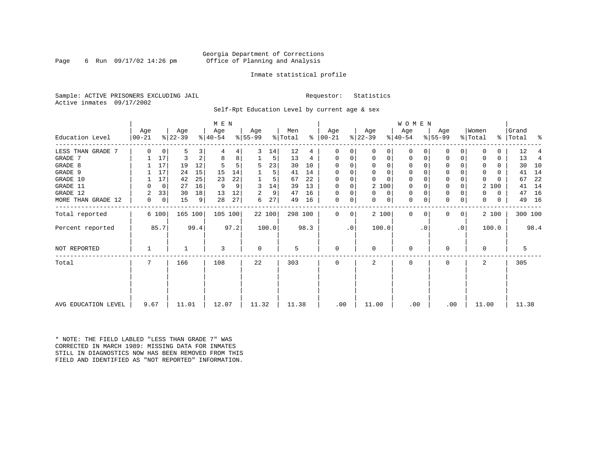# Georgia Department of Corrections Page 6 Run 09/17/02 14:26 pm office of Planning and Analysis

# Inmate statistical profile

Sample: ACTIVE PRISONERS EXCLUDING JAIL **Requestor:** Statistics Active inmates 09/17/2002

Self-Rpt Education Level by current age & sex

|                     |                  |                |                  |                | M E N            |      |                  |        |                |      |                      |           |                  |             | <b>WOMEN</b>     |           |                  |                 |                  |          |                    |      |
|---------------------|------------------|----------------|------------------|----------------|------------------|------|------------------|--------|----------------|------|----------------------|-----------|------------------|-------------|------------------|-----------|------------------|-----------------|------------------|----------|--------------------|------|
| Education Level     | Age<br>$ 00-21 $ |                | Age<br>$ 22-39 $ |                | Age<br>$ 40-54 $ |      | Age<br>$ 55-99 $ |        | Men<br>% Total |      | Age<br>$8   00 - 21$ |           | Age<br>$ 22-39 $ |             | Age<br>$ 40-54 $ |           | Age<br>$ 55-99 $ |                 | Women<br>% Total |          | Grand<br>%   Total | ႜ    |
| LESS THAN GRADE 7   | $\Omega$         | 0              | 5                | 3              | 4                | 4    | 3                | 14     | 12             | 4    | 0                    | 0         | $\Omega$         | 0           | $\Omega$         |           | 0                | 0               | $\Omega$         | 0        | 12                 |      |
| GRADE 7             |                  | 17             | 3                | $\overline{a}$ | 8                | 8    |                  | 5      | 13             | 4    | 0                    | 0         | $\Omega$         | 0           | $\Omega$         |           | $\Omega$         | 0               | $\Omega$         | 0        | 13                 | 4    |
| GRADE 8             |                  | 17             | 19               | 12             |                  | 5    | 5                | 23     | 30             | 10   | $\Omega$             | $\Omega$  | $\Omega$         | $\mathbf 0$ | 0                |           | U                |                 | $\Omega$         | 0        | 30                 | 10   |
| GRADE 9             |                  | 17             | 24               | 15             | 15               | 14   |                  | 5      | 41             | 14   | 0                    |           | 0                | 0           | 0                |           | 0                |                 | 0                | 0        | 41                 | 14   |
| GRADE 10            |                  | 17             | 42               | 25             | 23               | 22   |                  | 5      | 67             | 22   | 0                    | 0         | $\Omega$         | $\Omega$    | 0                |           | $\mathbf 0$      |                 | 0                | $\Omega$ | 67                 | 22   |
| GRADE 11            | $\Omega$         | $\mathbf 0$    | 27               | 16             | -9               | 9    | 3                | 14     | 39             | 13   | 0                    | 0         | 2 100            |             | 0                |           | $\Omega$         |                 |                  | 2 100    | 41                 | 14   |
| GRADE 12            | 2                | 33             | 30               | 18             | 13               | 12   | 2                | 9      | 47             | 16   | $\Omega$             | 0         | $\Omega$         | 0           | 0                |           | $\mathbf 0$      |                 | 0                | 0        | 47                 | 16   |
| MORE THAN GRADE 12  | 0                | $\overline{0}$ | 15               | $\overline{9}$ | 28               | 27   | 6                | 27     | 49             | 16   | 0                    | 0         | 0                | 0           | $\mathbf 0$      | 0         | $\mathbf 0$      | 0               | $\Omega$         | 0        | 49                 | 16   |
| Total reported      |                  | 6 100          | 165 100          |                | 105 100          |      |                  | 22 100 | 298 100        |      | 0                    | 0         |                  | 2 100       | $\Omega$         | $\Omega$  | 0                | 0 <sup>1</sup>  |                  | 2 100    | 300 100            |      |
| Percent reported    |                  | 85.7           |                  | 99.4           |                  | 97.2 |                  | 100.0  |                | 98.3 |                      | $\cdot$ 0 | 100.0            |             |                  | $\cdot$ 0 |                  | .0 <sup>1</sup> |                  | 100.0    |                    | 98.4 |
| NOT REPORTED        |                  |                |                  |                | 3                |      | 0                |        | 5              |      | $\mathbf 0$          |           | $\Omega$         |             | 0                |           | U                |                 | 0                |          | 5                  |      |
| Total               |                  |                | 166              |                | 108              |      | 22               |        | 303            |      | $\Omega$             |           | 2                |             | $\Omega$         |           | U                |                 | 2                |          | 305                |      |
|                     |                  |                |                  |                |                  |      |                  |        |                |      |                      |           |                  |             |                  |           |                  |                 |                  |          |                    |      |
| AVG EDUCATION LEVEL | 9.67             |                | 11.01            |                | 12.07            |      | 11.32            |        | 11.38          |      | .00                  |           | 11.00            |             | .00              |           | .00              |                 | 11.00            |          | 11.38              |      |

\* NOTE: THE FIELD LABLED "LESS THAN GRADE 7" WAS CORRECTED IN MARCH 1989: MISSING DATA FOR INMATES STILL IN DIAGNOSTICS NOW HAS BEEN REMOVED FROM THIS FIELD AND IDENTIFIED AS "NOT REPORTED" INFORMATION.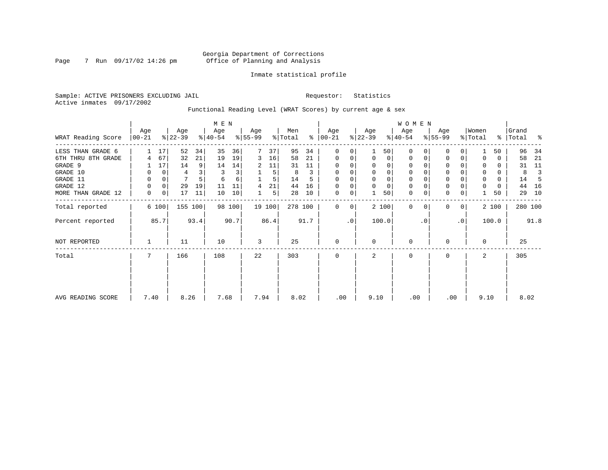# Georgia Department of Corrections Page 7 Run 09/17/02 14:26 pm Office of Planning and Analysis

# Inmate statistical profile

Sample: ACTIVE PRISONERS EXCLUDING JAIL **Requestor:** Statistics Active inmates 09/17/2002

Functional Reading Level (WRAT Scores) by current age & sex

|                    | M E N           |                |                  |         |                  |        |                  |        |                |      |                 |           |                  |          | W O M E N        |           |                  |             |                              |          |                |      |
|--------------------|-----------------|----------------|------------------|---------|------------------|--------|------------------|--------|----------------|------|-----------------|-----------|------------------|----------|------------------|-----------|------------------|-------------|------------------------------|----------|----------------|------|
| WRAT Reading Score | Age<br>$ 00-21$ |                | Age<br>$ 22-39 $ |         | Age<br>$ 40-54 $ |        | Age<br>$ 55-99 $ |        | Men<br>% Total | ွေ   | Age<br>$ 00-21$ |           | Age<br>$ 22-39 $ |          | Age<br>$8 40-54$ |           | Age<br>$ 55-99 $ |             | Women<br>$\frac{1}{2}$ Total | ွေ       | Grand<br>Total | ႜ    |
| LESS THAN GRADE 6  |                 | 17             | 52               | 34      | 35               | 36     | 7                | 37     | 95             | 34   | 0               | 0         |                  | 50       | $\Omega$         | 0         | 0                | 0           |                              | 50       | 96             | 34   |
| 6TH THRU 8TH GRADE |                 | 67             | 32               | 21      | 19               | 19     | 3                | 16     | 58             | 21   | 0               | 0         | $\mathbf 0$      | 0        | 0                |           | 0                | 0           |                              | 0        | 58             | 21   |
| GRADE 9            |                 | 17             | 14               | 9       | 14               | 14     | 2                | 11     | 31             | 11   | $\Omega$        | 0         |                  | $\Omega$ |                  |           | $\Omega$         |             |                              | 0        | 31             | 11   |
| GRADE 10           | 0               | 0              | 4                |         | 3                | 3      |                  | 5      | 8              | 3    | $\mathbf 0$     | 0         | $\mathbf 0$      | 0        | 0                |           | 0                |             | 0                            | 0        | 8              |      |
| GRADE 11           | 0               | 0              | 7                |         | 6                | 6      |                  | 5      | 14             |      | $\Omega$        |           |                  |          |                  |           | $\mathbf 0$      |             | $\Omega$                     | $\Omega$ | 14             |      |
| GRADE 12           | 0               | $\overline{0}$ | 29               | 19      | 11               | 11     | 4                | 21     | 44             | 16   | 0               | 0         | $\Omega$         | $\Omega$ | 0                |           | 0                |             | 0                            | 0        | 44             | 16   |
| MORE THAN GRADE 12 | 0               | 0 <sup>1</sup> | 17               | 11      | 10               | 10     |                  | 5      | 28             | 10   | 0               | 0         |                  | 50       | 0                |           | $\mathbf 0$      | 0           |                              | 50       | 29             | 10   |
| Total reported     |                 | 6 100          |                  | 155 100 |                  | 98 100 |                  | 19 100 | 278 100        |      | $\Omega$        | 0         |                  | 2 100    | 0                | $\Omega$  | $\mathbf 0$      | $\mathbf 0$ |                              | 2 100    | 280 100        |      |
| Percent reported   |                 | 85.7           |                  | 93.4    |                  | 90.7   |                  | 86.4   |                | 91.7 |                 | $\cdot$ 0 |                  | 100.0    |                  | $\cdot$ 0 |                  | $\cdot$ 0   |                              | 100.0    |                | 91.8 |
| NOT REPORTED       |                 |                | 11               |         | 10               |        | 3                |        | 25             |      | $\mathbf 0$     |           | $\Omega$         |          | 0                |           | 0                |             | $\Omega$                     |          | 25             |      |
| Total              | 7               |                | 166              |         | 108              |        | 22               |        | 303            |      | 0               |           | 2                |          | 0                |           | 0                |             | 2                            |          | 305            |      |
|                    |                 |                |                  |         |                  |        |                  |        |                |      |                 |           |                  |          |                  |           |                  |             |                              |          |                |      |
| AVG READING SCORE  | 7.40            |                | 8.26             |         | 7.68             |        | 7.94             |        | 8.02           |      | .00             |           | 9.10             |          | .00              |           | .00              |             | 9.10                         |          | 8.02           |      |
|                    |                 |                |                  |         |                  |        |                  |        |                |      |                 |           |                  |          |                  |           |                  |             |                              |          |                |      |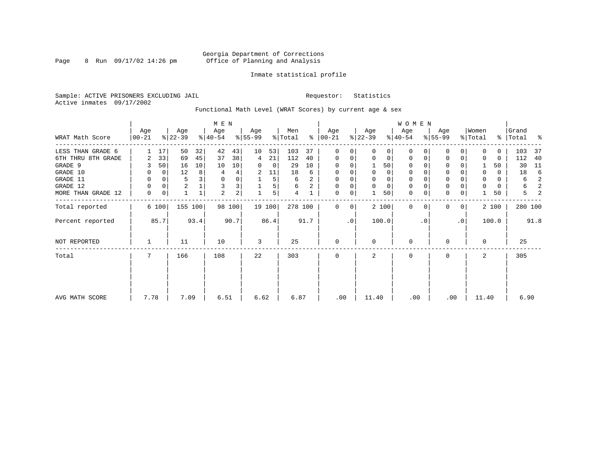# Georgia Department of Corrections Page 8 Run 09/17/02 14:26 pm Office of Planning and Analysis

# Inmate statistical profile

Sample: ACTIVE PRISONERS EXCLUDING JAIL **Requestor:** Statistics Active inmates 09/17/2002

Functional Math Level (WRAT Scores) by current age & sex

|                    | M E N           |       |                  |                |                  |                |                  |        |                |               |                |           |                  |             | <b>WOMEN</b>     |           |                    |                |                  |       |                 |      |
|--------------------|-----------------|-------|------------------|----------------|------------------|----------------|------------------|--------|----------------|---------------|----------------|-----------|------------------|-------------|------------------|-----------|--------------------|----------------|------------------|-------|-----------------|------|
| WRAT Math Score    | Age<br>$ 00-21$ |       | Age<br>$ 22-39 $ |                | Age<br>$ 40-54 $ |                | Age<br>$8 55-99$ |        | Men<br>% Total | $\frac{1}{6}$ | Age<br>  00-21 |           | Age<br>$ 22-39 $ |             | Age<br>$ 40-54 $ |           | Age<br>$8155 - 99$ |                | Women<br>% Total | ွေ    | Grand<br> Total | ႜ    |
| LESS THAN GRADE 6  |                 | 17    | 50               | 32             | 42               | 43             | 10               | 53     | 103            | 37            | $\mathbf 0$    | 0         | $\Omega$         | $\Omega$    | $\Omega$         |           | U                  | $\Omega$       | $\Omega$         | 0     | 103             | -37  |
| 6TH THRU 8TH GRADE | 2               | 33    | 69               | 45             | 37               | 38             | 4                | 21     | 112            | 40            | 0              | 0         | 0                | 0           | 0                |           | 0                  | 0              | 0                | 0     | 112             | 40   |
| GRADE 9            |                 | 50    | 16               | 10             | 10               | 10             | 0                | 0      | 29             | 10            | 0              |           |                  | 50          | 0                |           |                    |                |                  | 50    | 30              | 11   |
| GRADE 10           | 0               | 0     | 12               | 8 <sup>1</sup> | 4                | 4              | 2                | 11     | 18             | 6             | 0              |           | 0                | 0           | 0                |           | $\mathbf 0$        |                | 0                | 0     | 18              | -6   |
| GRADE 11           | 0               |       | 5                |                | 0                |                |                  | 5      | 6              | 2             | 0              |           |                  | 0           | 0                |           | $\Omega$           |                | 0                | 0     | 6               | 2    |
| GRADE 12           | $\Omega$        | 0     | $\overline{c}$   |                | 3                | 3              |                  | 5      | 6              | 2             | 0              | 0         | 0                | $\mathbf 0$ | 0                |           | $\mathbf 0$        |                | $\Omega$         | 0     | 6               | 2    |
| MORE THAN GRADE 12 | 0               | 0     |                  |                | $\overline{2}$   | 2 <sub>1</sub> |                  | 5      | 4              |               | 0              | 0         |                  | 50          | $\mathbf 0$      | 0         | $\mathbf 0$        | 0              |                  | 50    | 5               |      |
| Total reported     |                 | 6 100 | 155 100          |                |                  | 98 100         |                  | 19 100 | 278 100        |               | $\Omega$       | 0         |                  | 2 100       | $\Omega$         |           |                    | 0 <sup>1</sup> |                  | 2 100 | 280 100         |      |
| Percent reported   |                 | 85.7  |                  | 93.4           |                  | 90.7           |                  | 86.4   |                | 91.7          |                | $\cdot$ 0 |                  | 100.0       |                  | $\cdot$ 0 |                    | $\cdot$ 0      |                  | 100.0 |                 | 91.8 |
| NOT REPORTED       |                 |       | 11               |                | 10               |                | 3                |        | 25             |               | 0              |           | $\Omega$         |             | 0                |           | 0                  |                | $\mathbf 0$      |       | 25              |      |
| Total              | 7               |       | 166              |                | 108              |                | 22               |        | 303            |               | 0              |           | 2                |             | 0                |           | 0                  |                | 2.               |       | 305             |      |
|                    |                 |       |                  |                |                  |                |                  |        |                |               |                |           |                  |             |                  |           |                    |                |                  |       |                 |      |
|                    |                 |       |                  |                |                  |                |                  |        |                |               |                |           |                  |             |                  |           |                    |                |                  |       |                 |      |
| AVG MATH SCORE     | 7.78            |       | 7.09             |                | 6.51             |                | 6.62             |        | 6.87           |               | .00            |           | 11.40            |             | .00              |           | .00                |                | 11.40            |       | 6.90            |      |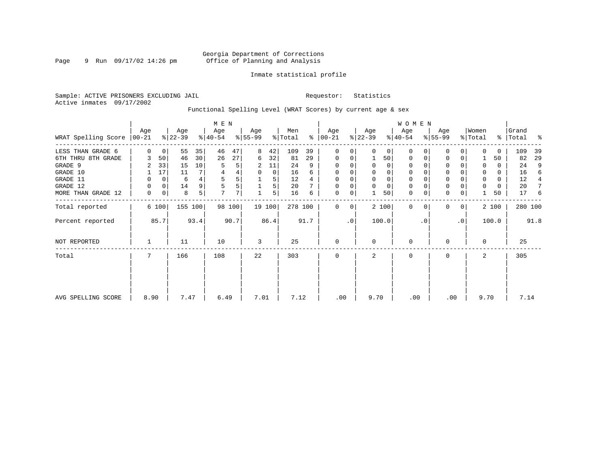# Georgia Department of Corrections Page 9 Run 09/17/02 14:26 pm Office of Planning and Analysis

# Inmate statistical profile

Sample: ACTIVE PRISONERS EXCLUDING JAIL **Requestor:** Statistics Active inmates 09/17/2002

Functional Spelling Level (WRAT Scores) by current age & sex

|                               | $M$ E $N$ |       |                  |         |                  |        |                  |        |                |      |                   |           |                  |          | W O M E N        |           |                  |                |                  |              |                |      |
|-------------------------------|-----------|-------|------------------|---------|------------------|--------|------------------|--------|----------------|------|-------------------|-----------|------------------|----------|------------------|-----------|------------------|----------------|------------------|--------------|----------------|------|
| WRAT Spelling Score $ 00-21 $ | Age       |       | Age<br>$ 22-39 $ |         | Age<br>$8 40-54$ |        | Age<br>$ 55-99 $ |        | Men<br>% Total | ⊱    | Age<br>$ 00 - 21$ |           | Age<br>$ 22-39 $ |          | Age<br>$ 40-54 $ |           | Age<br>$ 55-99 $ |                | Women<br>% Total | ိ            | Grand<br>Total | ႜ    |
| LESS THAN GRADE 6             | $\Omega$  | 0     | 55               | 35      | 46               | 47     | 8                | 42     | 109            | 39   | 0                 | 0         | $\Omega$         | $\Omega$ | $\Omega$         | 0         | 0                | 0              | $\Omega$         | $\Omega$     | 109            | 39   |
| 6TH THRU 8TH GRADE            |           | 50    | 46               | 30      | 26               | 27     | 6                | 32     | 81             | 29   | $\mathbf 0$       | 0         |                  | 50       | 0                | 0         | $\Omega$         | 0              |                  | 50           | 82             | 29   |
| GRADE 9                       |           | 33    | 15               | 10      | 5                | 5      | 2                | 11     | 24             | 9    | $\Omega$          | 0         |                  | 0        | 0                |           |                  |                | 0                | 0            | 24             | 9    |
| GRADE 10                      |           | 17    | 11               |         |                  |        | 0                | 0      | 16             | 6    | $\mathbf 0$       | 0         | 0                | 0        | 0                |           | $\Omega$         |                | 0                | 0            | 16             | 6    |
| GRADE 11                      | 0         | 0     | 6                |         | 5                | 5      |                  | 5      | 12             |      | $\Omega$          |           |                  | $\Omega$ | $\Omega$         |           | $\Omega$         |                | 0                | $\mathbf{0}$ | 12             | 4    |
| GRADE 12                      | 0         | 0     | 14               | 9       | 5                | 5      |                  | 5      | 20             |      | 0                 | 0         | $\Omega$         | 0        | 0                |           | $\mathbf 0$      |                | 0                | 0            | 20             |      |
| MORE THAN GRADE 12            | 0         | 0     | 8                | 5       | 7                | 7      |                  | 5      | 16             | 6    | 0                 | 0         |                  | 50       | 0                | 0         | $\mathbf 0$      | 0              |                  | 50           | 17             | 6    |
| Total reported                |           | 6 100 |                  | 155 100 |                  | 98 100 |                  | 19 100 | 278 100        |      | $\mathbf 0$       | 0         |                  | 2 100    | $\mathbf{0}$     | $\Omega$  | $\Omega$         | 0 <sup>1</sup> |                  | 2 100        | 280 100        |      |
| Percent reported              |           | 85.7  |                  | 93.4    |                  | 90.7   |                  | 86.4   |                | 91.7 |                   | $\cdot$ 0 |                  | 100.0    |                  | $\cdot$ 0 |                  | .0             |                  | 100.0        |                | 91.8 |
| NOT REPORTED                  |           |       | 11               |         | 10               |        | 3                |        | 25             |      | $\mathbf{0}$      |           | $\Omega$         |          | 0                |           | $\mathbf 0$      |                | $\Omega$         |              | 25             |      |
| Total                         | 7         |       | 166              |         | 108              |        | 22               |        | 303            |      | $\mathbf 0$       |           | 2                |          | 0                |           | 0                |                | 2                |              | 305            |      |
|                               |           |       |                  |         |                  |        |                  |        |                |      |                   |           |                  |          |                  |           |                  |                |                  |              |                |      |
|                               |           |       |                  |         |                  |        |                  |        |                |      |                   |           |                  |          |                  |           |                  |                |                  |              |                |      |
| AVG SPELLING SCORE            | 8.90      |       | 7.47             |         | 6.49             |        | 7.01             |        | 7.12           |      | .00               |           | 9.70             |          | .00              |           | .00              |                | 9.70             |              | 7.14           |      |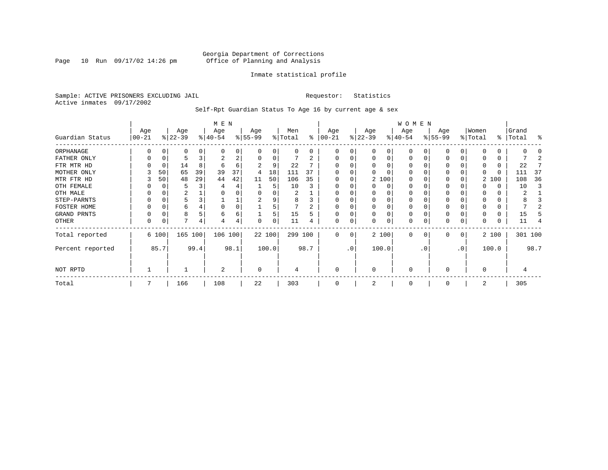Page 10 Run  $09/17/02$  14:26 pm

# Inmate statistical profile

Sample: ACTIVE PRISONERS EXCLUDING JAIL **Requestor:** Statistics Active inmates 09/17/2002

Self-Rpt Guardian Status To Age 16 by current age & sex

|                  |                   |       |                  |      | M E N            |      |                  |          |                |      |                  |     |                 |          | WOMEN            |           |                  |              |                  |          |                |         |
|------------------|-------------------|-------|------------------|------|------------------|------|------------------|----------|----------------|------|------------------|-----|-----------------|----------|------------------|-----------|------------------|--------------|------------------|----------|----------------|---------|
| Guardian Status  | Age<br>$ 00 - 21$ |       | Age<br>$ 22-39 $ |      | Age<br>$ 40-54 $ |      | Age<br>$8 55-99$ |          | Men<br>% Total | ⊱    | Age<br>$ 00-21 $ |     | Age<br>$ 22-39$ |          | Age<br>$ 40-54 $ |           | Age<br>$ 55-99 $ |              | Women<br>% Total | ွေ       | Grand<br>Total | န္      |
| ORPHANAGE        |                   |       | O                |      | n                | 0    |                  |          | 0              | 0    | O                | 0   |                 | O        | 0                |           |                  |              |                  | 0        |                |         |
| FATHER ONLY      |                   |       |                  |      | 2                | 2    |                  | $\Omega$ |                | 2    | $\Omega$         | 0   |                 | $\Omega$ | $\Omega$         |           |                  | 0            |                  | 0        |                |         |
| FTR MTR HD       |                   |       | 14               | 8    | 6                | 6    |                  | 9        | 22             |      |                  |     |                 |          | O                |           |                  |              | 0                | 0        | 22             |         |
| MOTHER ONLY      |                   | 50    | 65               | 39   | 39               | 37   | 4                | 18       | 111            | 37   |                  |     |                 |          | O                |           |                  |              | 0                | $\Omega$ | 111            | 37      |
| MTR FTR HD       |                   | 50    | 48               | 29   | 44               | 42   | 11               | 50       | 106            | 35   | $\Omega$         | 0   |                 | 2 100    | 0                |           |                  |              |                  | 2 100    | 108            | 36      |
| OTH FEMALE       |                   |       |                  |      |                  | 4    |                  | 5        | 10             |      | 0                |     |                 | 0        | 0                |           | 0                |              |                  | 0        | 10             |         |
| OTH MALE         |                   |       | 2                |      |                  |      |                  |          | 2              |      | 0                |     |                 |          | 0                |           |                  |              | 0                | 0        | 2              |         |
| STEP-PARNTS      |                   |       |                  |      |                  | ⊥    | 2                | 9        | 8              |      | $\Omega$         | 0   |                 | $\Omega$ | 0                |           | $\Omega$         |              | 0                | 0        |                |         |
| FOSTER HOME      |                   |       | 6                |      |                  | 0    |                  |          |                |      | $\Omega$         |     |                 | $\Omega$ | 0                |           |                  |              | $\Omega$         | 0        |                |         |
| GRAND PRNTS      |                   |       | 8                |      | 6                | 6    |                  | 5        | 15             |      | $\Omega$         | 0   |                 | $\Omega$ | 0                |           |                  |              |                  | 0        | 15             |         |
| OTHER            | 0                 |       | 7                | 4    |                  | 4    | $\Omega$         | $\Omega$ | 11             |      | $\mathbf 0$      | 0   |                 | $\Omega$ | 0                |           |                  | 0            |                  | 0        | 11             |         |
| Total reported   |                   | 6 100 | 165 100          |      | 106 100          |      |                  | 22 100   | 299 100        |      | $\Omega$         | 0   |                 | 2 100    | $\Omega$         | 0         | $\Omega$         | $\mathbf{0}$ |                  | 2 100    |                | 301 100 |
| Percent reported |                   | 85.7  |                  | 99.4 |                  | 98.1 |                  | 100.0    |                | 98.7 |                  | .0' |                 | 100.0    |                  | $\cdot$ 0 |                  | .0'          |                  | 100.0    |                | 98.7    |
| NOT RPTD         |                   |       |                  |      | $\overline{a}$   |      | 0                |          | 4              |      | $\mathbf 0$      |     | $\Omega$        |          | 0                |           | $\Omega$         |              | $\Omega$         |          |                |         |
| Total            |                   |       | 166              |      | 108              |      | 22               |          | 303            |      |                  |     |                 |          | $\Omega$         |           |                  |              | 2                |          | 305            |         |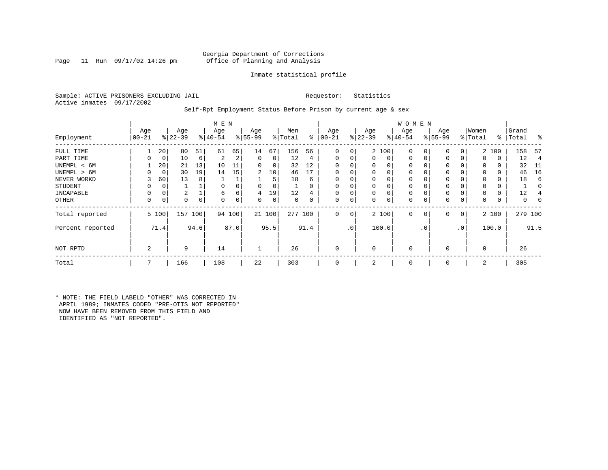Page 11 Run  $09/17/02$  14:26 pm

# Inmate statistical profile

Sample: ACTIVE PRISONERS EXCLUDING JAIL **Requestor:** Statistics Active inmates 09/17/2002

Self-Rpt Employment Status Before Prison by current age & sex

|                  |                  |       |                  |      | M E N           |        |                 |        |                |      |                  |           |                    |          | WOMEN           |     |                  |     |                  |          |                |      |
|------------------|------------------|-------|------------------|------|-----------------|--------|-----------------|--------|----------------|------|------------------|-----------|--------------------|----------|-----------------|-----|------------------|-----|------------------|----------|----------------|------|
| Employment       | Age<br>$00 - 21$ |       | Age<br>$ 22-39 $ |      | Age<br>$ 40-54$ |        | Age<br>$ 55-99$ |        | Men<br>% Total | ႜ    | Age<br>$00 - 21$ | န္        | Age<br>$ 22 - 39 $ |          | Age<br>$ 40-54$ |     | Age<br>$8 55-99$ |     | Women<br>% Total | ႜ        | Grand<br>Total | န္   |
|                  |                  |       |                  |      |                 |        |                 |        |                |      |                  |           |                    |          |                 |     |                  |     |                  |          |                |      |
| FULL TIME        |                  | 20    | 80               | 51   | 61              | 65     | 14              | 67     | 156            | 56   | 0                | 0         |                    | 2 100    | 0               |     | $\mathbf 0$      | 0   |                  | 2 100    | 158            | -57  |
| PART TIME        | 0                | 0     | 10               | 6    | 2               | 2      | $\mathbf 0$     | 0      | 12             | 4    | $\mathbf 0$      | 0         | $\Omega$           | $\Omega$ | 0               |     | 0                | 0   | $\Omega$         | 0        | 12             |      |
| UNEMPL < 6M      |                  | 20    | 21               | 13   | 10              | 11     | 0               | 0      | 32             | 12   | $\Omega$         |           |                    |          |                 |     | 0                |     |                  |          | 32             | -11  |
| UNEMPL > 6M      | 0                | 0     | 30               | 19   | 14              | 15     | 2               | 10     | 46             | 17   | $\Omega$         |           | $\Omega$           |          | U               |     | $\mathbf 0$      |     | $\Omega$         | $\Omega$ | 46             | 16   |
| NEVER WORKD      | 3                | 60    | 13               | 8    |                 |        |                 | 5      | 18             | 6    | $\Omega$         |           |                    |          |                 |     | $\mathbf 0$      |     |                  |          | 18             |      |
| <b>STUDENT</b>   | 0                | 0     |                  |      |                 |        | $\Omega$        | 0      |                | 0    | $\Omega$         | 0         |                    |          | 0               |     | $\mathbf 0$      |     | 0                | 0        |                |      |
| INCAPABLE        | 0                | 0     | 2                |      | 6               | б.     | 4               | 19     | 12             |      |                  | 0         |                    |          |                 |     | $\mathbf 0$      |     |                  |          | 12             |      |
| OTHER            | 0                | 0     | 0                | 0    | $\Omega$        | 0      | 0               | 0      | $\Omega$       | 0    | 0                | 0         | $\Omega$           | 0        | 0               |     | $\mathbf 0$      | 0   | $\Omega$         | 0        | 0              |      |
| Total reported   |                  | 5 100 | 157 100          |      |                 | 94 100 |                 | 21 100 | 277 100        |      | $\mathbf{0}$     | 0         |                    | 2 100    | $\mathbf 0$     | 0   | $\mathbf{0}$     | 0   |                  | 2 100    | 279 100        |      |
| Percent reported |                  | 71.4  |                  | 94.6 |                 | 87.0   |                 | 95.5   |                | 91.4 |                  | $\cdot$ 0 |                    | 100.0    |                 | . 0 |                  | .0' |                  | 100.0    |                | 91.5 |
| NOT RPTD         | 2                |       | 9                |      | 14              |        |                 |        | 26             |      | $\mathbf 0$      |           | $\Omega$           |          | 0               |     | 0                |     |                  |          | 26             |      |
| Total            | 7                |       | 166              |      | 108             |        | 22              |        | 303            |      | $\Omega$         |           | 2                  |          | $\Omega$        |     | 0                |     | 2                |          | 305            |      |

\* NOTE: THE FIELD LABELD "OTHER" WAS CORRECTED IN APRIL 1989; INMATES CODED "PRE-OTIS NOT REPORTED" NOW HAVE BEEN REMOVED FROM THIS FIELD AND IDENTIFIED AS "NOT REPORTED".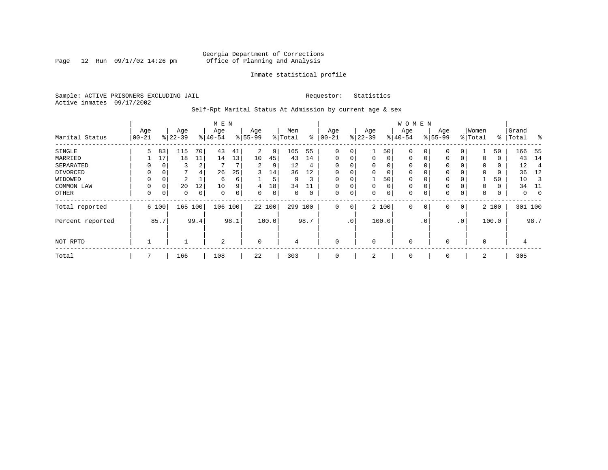Page 12 Run  $09/17/02$  14:26 pm

# Inmate statistical profile

Sample: ACTIVE PRISONERS EXCLUDING JAIL **Requestor:** Statistics Active inmates 09/17/2002

Self-Rpt Marital Status At Admission by current age & sex

|                  | M E N    |          |           |      |          |             |                |       |         |      |             |     |             |          | <b>WOMEN</b> |                |             |                 |          |       |         |             |
|------------------|----------|----------|-----------|------|----------|-------------|----------------|-------|---------|------|-------------|-----|-------------|----------|--------------|----------------|-------------|-----------------|----------|-------|---------|-------------|
|                  | Age      |          | Age       |      | Age      |             | Age            |       | Men     |      | Age         |     | Age         |          | Age          |                | Age         |                 | Women    |       | Grand   |             |
| Marital Status   | $ 00-21$ |          | $ 22-39 $ |      | $ 40-54$ |             | $8 55-99$      |       | % Total | ွေ   | $00 - 21$   |     | $ 22-39$    |          | $ 40-54 $    |                | $8 55-99$   |                 | % Total  | ႜ     | Total   | ွေ          |
| SINGLE           | 5.       | 83       | 115       | 70   | 43       | 41          | 2              | 9     | 165     | 55   | 0           | 0   |             | 50       | 0            | 0              | $\mathbf 0$ | 0               |          | 50    | 166     | - 55        |
| MARRIED          |          | 17       | 18        | 11   | 14       | 13          | 10             | 45    | 43      | 14   | $\mathbf 0$ | 0   | $\mathbf 0$ | $\Omega$ | 0            | 0              | 0           | $\Omega$        | 0        | 0     | 43      | 14          |
| SEPARATED        | 0        | $\Omega$ | 3         | 2    |          |             | $\overline{2}$ | 9     | 12      | 4    | $\Omega$    | 0   | $\Omega$    | $\Omega$ | 0            |                | 0           |                 | $\Omega$ | 0     | 12      | 4           |
| DIVORCED         | 0        | 0        |           | 4    | 26       | 25          | 3              | 14    | 36      | 12   | 0           | 0   | $\Omega$    | 0        | 0            |                | 0           |                 | $\Omega$ | 0     | 36      | 12          |
| WIDOWED          |          | 0        | 2         |      | 6        | б.          |                | 5     | 9       | 3    | 0           | 0   |             | 50       | 0            |                | 0           |                 |          | 50    | 10      |             |
| COMMON LAW       | 0        | $\Omega$ | 20        | 12   | 10       | 9           | 4              | 18    | 34      |      |             | 0   | $\Omega$    | 0        | $\mathbf 0$  |                | 0           |                 | $\Omega$ | 0     | 34      | -11         |
| OTHER            | 0        | 0        | 0         | 0    | 0        | $\mathbf 0$ | 0              | 0     | 0       | 0    | $\mathbf 0$ | 0   | 0           | 0        | 0            |                | $\mathbf 0$ | 0               | 0        | 0     | 0       | $\mathbf 0$ |
| Total reported   |          | 6 100    | 165       | 100  | 106      | 100         | 22 100         |       | 299 100 |      | $\mathbf 0$ | 0   |             | 2 100    | 0            | $\overline{0}$ | $\mathbf 0$ | 0               |          | 2 100 | 301 100 |             |
| Percent reported |          | 85.7     |           | 99.4 |          | 98.1        |                | 100.0 |         | 98.7 |             | .0' |             | 100.0    |              | $\cdot$ 0      |             | .0 <sup>′</sup> |          | 100.0 |         | 98.7        |
| NOT RPTD         |          |          |           |      | 2        |             | $\mathbf 0$    |       | 4       |      | $\mathbf 0$ |     | $\Omega$    |          | 0            |                | 0           |                 | $\Omega$ |       | 4       |             |
| Total            | 7        |          | 166       |      | 108      |             | 22             |       | 303     |      | 0           |     | 2           |          | 0            |                | 0           |                 | 2        |       | 305     |             |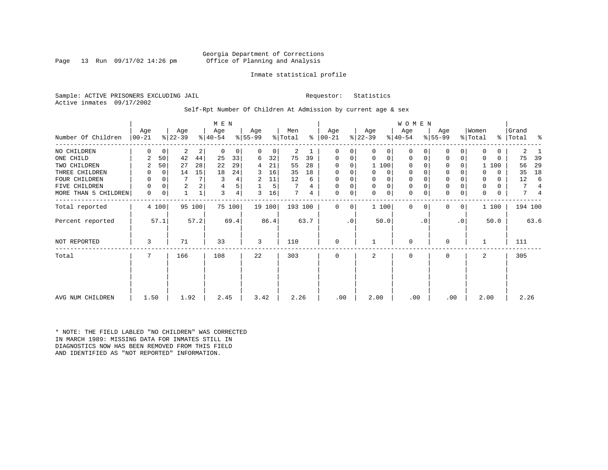Page 13 Run  $09/17/02$  14:26 pm

# Inmate statistical profile

Sample: ACTIVE PRISONERS EXCLUDING JAIL **Requestor:** Statistics Active inmates 09/17/2002

Self-Rpt Number Of Children At Admission by current age & sex

| Number Of Children   | Age<br>$ 00-21 $ |             | Age<br>$ 22-39 $ |        | M E N<br>Age<br>$ 40-54 $ |        | Age<br>$ 55-99 $ |        | Men<br>% Total |      | Age<br>$8   00 - 21$ |             | Age<br>$ 22-39 $ |             | <b>WOMEN</b><br>Age<br>$8 40-54$ |           | Age<br>$ 55-99 $ |           | Women<br>% Total | ៖            | Grand<br>Total | ႜ    |
|----------------------|------------------|-------------|------------------|--------|---------------------------|--------|------------------|--------|----------------|------|----------------------|-------------|------------------|-------------|----------------------------------|-----------|------------------|-----------|------------------|--------------|----------------|------|
|                      |                  |             |                  |        |                           |        |                  |        |                |      |                      |             |                  |             |                                  |           |                  |           |                  |              |                |      |
| NO CHILDREN          | 0                | $\mathbf 0$ | 2                | 2      | 0                         | 0      | 0                | 0      | 2              |      | 0                    | 0           | 0                | 0           | $\Omega$                         |           | 0                | $\Omega$  | 0                | $\mathbf{0}$ | 2              |      |
| ONE CHILD            | 2                | 50          | 42               | 44     | 25                        | 33     | 6                | 32     | 75             | 39   | 0                    | 0           | 0                | $\mathbf 0$ | 0                                | $\Omega$  | 0                | 0         | 0                | 0            | 75             | 39   |
| TWO CHILDREN         | 2                | 50          | 27               | 28     | 22                        | 29     | 4                | 21     | 55             | 28   | 0                    | 0           |                  | 1 100       | $\Omega$                         |           | 0                |           |                  | 1 100        | 56             | 29   |
| THREE CHILDREN       | 0                | 0           | 14               | 15     | 18                        | 24     | 3                | 16     | 35             | 18   | 0                    | 0           | 0                | 0           | $\mathbf 0$                      |           | 0                |           |                  | 0            | 35             | 18   |
| FOUR CHILDREN        | 0                | $\Omega$    |                  | 7      |                           | 4      | 2                | 11     | 12             | 6    | 0                    |             | 0                | 0           | 0                                |           | $\mathbf 0$      |           | 0                | 0            | 12             | 6    |
| FIVE CHILDREN        | 0                | $\Omega$    | $\overline{a}$   | 2      | 4                         | 5      |                  | 5      |                | 4    | 0                    | 0           | $\mathbf 0$      | $\mathbf 0$ | $\mathbf 0$                      |           | $\mathbf 0$      |           | 0                | 0            | 7              |      |
| MORE THAN 5 CHILDREN | 0                | 0           |                  |        | 3                         | 4      | 3                | 16     | 7              | 4    | 0                    | 0           | $\Omega$         | $\mathbf 0$ | $\mathbf 0$                      |           | $\mathbf 0$      | 0         | 0                | 0            | 7              |      |
| Total reported       |                  | 4 100       |                  | 95 100 |                           | 75 100 |                  | 19 100 | 193 100        |      | 0                    | $\mathbf 0$ |                  | 1 100       | $\Omega$                         | $\Omega$  | $\Omega$         | 0         |                  | 1 100        | 194 100        |      |
| Percent reported     |                  | 57.1        |                  | 57.2   |                           | 69.4   |                  | 86.4   |                | 63.7 |                      | $\cdot$ 0   |                  | 50.0        |                                  | $\cdot$ 0 |                  | $\cdot$ 0 |                  | 50.0         |                | 63.6 |
| <b>NOT REPORTED</b>  | 3                |             | 71               |        | 33                        |        | 3                |        | 110            |      | 0                    |             |                  |             | $\mathbf 0$                      |           | $\Omega$         |           |                  |              | 111            |      |
| Total                | 7                |             | 166              |        | 108                       |        | 22               |        | 303            |      | 0                    |             | $\overline{a}$   |             | $\mathbf 0$                      |           | $\mathbf 0$      |           | 2                |              | 305            |      |
|                      |                  |             |                  |        |                           |        |                  |        |                |      |                      |             |                  |             |                                  |           |                  |           |                  |              |                |      |
| AVG NUM CHILDREN     | 1.50             |             | 1.92             |        | 2.45                      |        | 3.42             |        | 2.26           |      | .00                  |             | 2.00             |             | .00                              |           | .00              |           | 2.00             |              | 2.26           |      |

\* NOTE: THE FIELD LABLED "NO CHILDREN" WAS CORRECTED IN MARCH 1989: MISSING DATA FOR INMATES STILL IN DIAGNOSTICS NOW HAS BEEN REMOVED FROM THIS FIELD AND IDENTIFIED AS "NOT REPORTED" INFORMATION.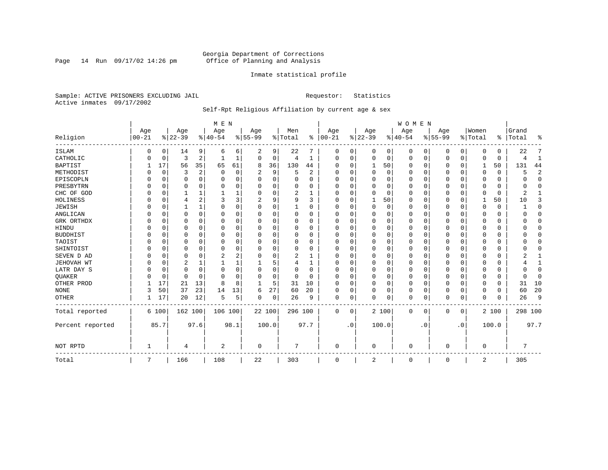Page 14 Run  $09/17/02$  14:26 pm

# Inmate statistical profile

Sample: ACTIVE PRISONERS EXCLUDING JAIL **Requestor:** Statistics Active inmates 09/17/2002

# Self-Rpt Religious Affiliation by current age & sex

|                  |            |          |           |          | M E N          |          |           |          |          |                |          |           |             |          | <b>WOMEN</b> |           |           |           |                |             |           |                |
|------------------|------------|----------|-----------|----------|----------------|----------|-----------|----------|----------|----------------|----------|-----------|-------------|----------|--------------|-----------|-----------|-----------|----------------|-------------|-----------|----------------|
|                  | Age        |          | Age       |          | Age            |          | Age       |          | Men      |                | Age      |           | Age         |          | Age          |           | Age       |           | Women          |             | Grand     |                |
| Religion         | $ 00 - 21$ |          | $8 22-39$ |          | $ 40-54$       |          | $8 55-99$ |          | % Total  | ွေ             | $ 00-21$ |           | $ 22-39$    |          | $ 40-54$     |           | $8 55-99$ |           | % Total        |             | %   Total | ႜ              |
| <b>ISLAM</b>     | 0          | 0        | 14        | 9        | 6              | 6        | 2         | 9        | 22       | 7              | 0        | 0         | 0           | 0        | 0            | 0         | 0         | 0         | $\Omega$       | 0           | 22        |                |
| CATHOLIC         |            | 0        | 3         | 2        |                |          | $\Omega$  | 0        | 4        | 1              | $\Omega$ | 0         | 0           | 0        | 0            | 0         | 0         | 0         | $\Omega$       | $\mathbf 0$ |           | 1              |
| <b>BAPTIST</b>   |            | 17       | 56        | 35       | 65             | 61       | 8         | 36       | 130      | 44             | O        | $\Omega$  | 1           | 50       | <sup>0</sup> | 0         | 0         | $\Omega$  | 1              | 50          | 131       | 44             |
| METHODIST        |            | 0        | 3         | 2        | $\Omega$       | $\Omega$ | 2         | 9        | 5        | $\overline{2}$ | $\Omega$ | $\Omega$  | $\Omega$    | $\Omega$ | <sup>0</sup> | $\Omega$  | 0         | $\Omega$  | $\Omega$       | $\Omega$    |           | $\overline{2}$ |
| EPISCOPLN        |            | $\Omega$ | 0         | 0        | 0              | 0        |           | $\Omega$ |          | O              |          | $\Omega$  | 0           | 0        |              | $\Omega$  | 0         | 0         |                | 0           |           | $\Omega$       |
| PRESBYTRN        |            | $\Omega$ | 0         | 0        | 0              | 0        | U         | O        | 0        | 0              | $\Omega$ | ∩         | $\Omega$    | $\Omega$ | 0            | $\Omega$  | 0         | U         | $\Omega$       | 0           |           | $\Omega$       |
| CHC OF GOD       |            | 0        |           | 1        |                |          |           | O        | 2        | -1             | O        | $\Omega$  | $\Omega$    | $\Omega$ | O            | $\Omega$  | U         | 0         | $\Omega$       | $\Omega$    |           |                |
| HOLINESS         |            | $\Omega$ | 4         | 2        | 3              | 3        |           | 9        | 9        | 3              | $\Omega$ | $\Omega$  |             | 50       | <sup>0</sup> | $\Omega$  | 0         | 0         | -1             | 50          | 10        | 3              |
| <b>JEWISH</b>    |            | $\Omega$ |           | 1        | O              | $\Omega$ | O         | 0        |          | O              | O        |           | $\Omega$    | $\Omega$ |              | $\Omega$  | 0         | $\Omega$  | O              |             |           | $\Omega$       |
| ANGLICAN         |            | 0        | 0         | $\Omega$ | O              | U        | U         | O        | $\Omega$ | O              | $\Omega$ |           | C           | $\Omega$ | O            | $\Omega$  | 0         | $\Omega$  | $\Omega$       | 0           |           | $\mathbf 0$    |
| GRK ORTHDX       |            | $\Omega$ | 0         | 0        | O              | 0        | U         | U        | $\Omega$ | O              | $\Omega$ | $\Omega$  | O           | 0        | <sup>0</sup> | $\Omega$  | 0         | 0         | $\Omega$       | $\Omega$    |           | $\Omega$       |
| HINDU            |            | $\Omega$ | U         | 0        | O              | O        |           | 0        | $\Omega$ | 0              |          | $\Omega$  | O           | 0        | 0            | $\Omega$  | 0         | U         | O              | 0           |           | $\Omega$       |
| <b>BUDDHIST</b>  |            | $\Omega$ | U         | 0        | O              | $\Omega$ |           | O        | 0        | O              |          | $\Omega$  | O           | $\Omega$ |              | $\Omega$  | 0         | U         | O              | O           |           | $\Omega$       |
| TAOIST           |            | $\Omega$ | O         | $\Omega$ | O              | O        |           | O        | 0        | O              |          |           | $\Omega$    | $\Omega$ | O            | $\Omega$  | 0         | U         |                | U           |           | $\Omega$       |
| SHINTOIST        |            | $\Omega$ | U         | 0        | $\Omega$       | 0        | U         | U        | $\Omega$ | O              | O        | $\Omega$  | $\Omega$    | 0        | 0            | $\Omega$  | 0         | 0         | ∩              | O           |           | ∩              |
| SEVEN D AD       |            | $\Omega$ | U         | O        |                | 2        | U         | 0        | 2        |                | O        |           | $\cap$      | $\Omega$ | <sup>0</sup> | $\Omega$  | U         | O         | $\Omega$       | O           |           |                |
| JEHOVAH WT       |            | $\Omega$ | 2         | 1        |                |          |           | 5        | 4        |                | $\Omega$ |           | O           | 0        | 0            | $\Omega$  | 0         | 0         | $\Omega$       | U           |           | 1              |
| LATR DAY S       |            | 0        | 0         | 0        | 0              | $\Omega$ | U         | 0        | 0        | 0              | $\Omega$ |           | O           | $\Omega$ | 0            | 0         | 0         | U         | $\Omega$       | 0           |           | $\mathbf{0}$   |
| QUAKER           |            | 0        | 0         | $\Omega$ | $\Omega$       | $\Omega$ | U         | 0        | 0        | $\Omega$       | $\Omega$ | $\Omega$  | $\mathbf 0$ | $\Omega$ | <sup>0</sup> | 0         | 0         | $\Omega$  | $\Omega$       | 0           |           | $\Omega$       |
| OTHER PROD       |            | 17       | 21        | 13       | 8              | 8        |           | 5        | 31       | 10             | $\Omega$ | $\Omega$  | $\mathbf 0$ | 0        | $\Omega$     | $\Omega$  | 0         | $\Omega$  | $\Omega$       | 0           | 31        | 10             |
| <b>NONE</b>      | 3          | 50       | 37        | 23       | 14             | 13       | 6         | 27       | 60       | 20             | $\Omega$ | 0         | $\Omega$    | 0        | 0            | $\Omega$  | 0         | 0         | $\Omega$       | 0           | 60        | 20             |
| <b>OTHER</b>     |            | 17       | 20        | 12       | .5             | 5        | 0         | 0        | 26       | 9              | 0        | 0         | $\Omega$    | 0        | 0            | $\Omega$  | 0         | 0         | $\Omega$       | $\Omega$    | 26        | 9              |
| Total reported   |            | 6 100    | 162 100   |          | 106 100        |          | 22 100    |          | 296 100  |                | 0        | 0         |             | 2 100    | 0            | 0         | 0         | 0         |                | 2 100       | 298 100   |                |
| Percent reported |            | 85.7     |           | 97.6     |                | 98.1     | 100.0     |          |          | 97.7           |          | $\cdot$ 0 |             | 100.0    |              | $\cdot$ 0 |           | $\cdot$ 0 |                | 100.0       |           | 97.7           |
| NOT RPTD         |            |          | 4         |          | $\overline{2}$ |          | 0         |          | 7        |                | $\Omega$ |           | $\Omega$    |          | $\Omega$     |           | U         |           | $\Omega$       |             |           |                |
| Total            | 7          |          | 166       |          | 108            |          | 22        |          | 303      |                | 0        |           | 2           |          | 0            |           | 0         |           | $\overline{2}$ |             | 305       |                |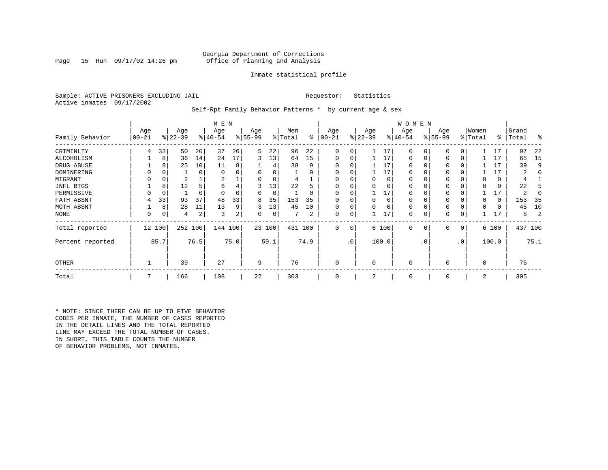Page 15 Run  $09/17/02$  14:26 pm

# Inmate statistical profile

Sample: ACTIVE PRISONERS EXCLUDING JAIL **Requestor:** Statistics Active inmates 09/17/2002

Self-Rpt Family Behavior Patterns \* by current age & sex

|                  |                 |             |                  |          | M E N            |      |                 |        |                |          |                  |                 |                 |          | W O M E N        |           |                 |     |                  |       |                |         |
|------------------|-----------------|-------------|------------------|----------|------------------|------|-----------------|--------|----------------|----------|------------------|-----------------|-----------------|----------|------------------|-----------|-----------------|-----|------------------|-------|----------------|---------|
| Family Behavior  | Age<br>$ 00-21$ |             | Age<br>$ 22-39 $ |          | Age<br>$ 40-54 $ |      | Age<br>$ 55-99$ |        | Men<br>% Total | ⊱        | Age<br>$00 - 21$ |                 | Age<br>$ 22-39$ |          | Age<br>$ 40-54 $ |           | Age<br>$ 55-99$ |     | Women<br>% Total | ႜ     | Grand<br>Total | န္      |
| CRIMINLTY        | 4               | 33          | 50               | 20       | 37               | 26   | 5               | 22     | 96             | 22       | $\mathbf 0$      | 0               |                 | 17       | $\Omega$         | 0         | $\mathbf 0$     | 0   |                  | 17    | 97             | 22      |
| ALCOHOLISM       |                 | 8           | 36               | 14       | 24               | 17   | 3               | 13     | 64             | 15       | 0                | 0               |                 | 17       | $\Omega$         |           | $\Omega$        | 0   |                  | 17    | 65             | 15      |
| DRUG ABUSE       |                 | 8           | 25               | 10       | 11               | 8    |                 | 4      | 38             | 9        |                  |                 |                 | 17       | 0                |           | $\Omega$        |     |                  | 17    | 39             | 9       |
| DOMINERING       |                 |             |                  | 0        | $\Omega$         |      |                 | 0      |                | 0        | 0                |                 |                 | 17       | 0                |           | $\Omega$        |     |                  | 17    | 2              |         |
| MIGRANT          |                 | 0           | 2                |          | 2                |      |                 | 0      | 4              |          | $\Omega$         |                 | 0               | $\Omega$ | 0                |           | $\Omega$        |     |                  | 0     | 4              |         |
| INFL BTGS        |                 | 8           | 12               | 5        | 6                | 4    | 3               | 13     | 22             | 5        |                  |                 |                 | $\Omega$ | 0                |           | $\Omega$        |     |                  | 0     | 22             |         |
| PERMISSIVE       |                 | $\mathbf 0$ |                  | $\Omega$ | $\Omega$         |      | 0               | 0      |                | $\Omega$ | $\Omega$         | 0               |                 | 17       | $\Omega$         |           | $\Omega$        |     |                  | 17    | 2              |         |
| FATH ABSNT       | 4               | 33          | 93               | 37       | 48               | 33   | 8               | 35     | 153            | 35       |                  |                 | <sup>0</sup>    | $\Omega$ | 0                |           |                 |     |                  | 0     | 153            | -35     |
| MOTH ABSNT       |                 | 8           | 28               | 11       | 13               | 9    | 3               | 13     | 45             | 10       | 0                | 0               |                 | $\Omega$ | 0                |           | $\Omega$        |     |                  | 0     | 45             | 10      |
| NONE             | 0               | 0           | 4                | 2        | 3                | 2    | 0               | 0      |                | 2        | 0                | 0               |                 | 17       | 0                |           | 0               | 0   |                  | 17    | 8              |         |
| Total reported   |                 | 12 100      | 252 100          |          | 144 100          |      |                 | 23 100 | 431 100        |          | $\mathbf 0$      | 0               |                 | 6 100    | 0                | 0         | $\mathbf 0$     | 0   |                  | 6 100 |                | 437 100 |
| Percent reported |                 | 85.7        |                  | 76.5     |                  | 75.0 |                 | 59.1   |                | 74.9     |                  | .0 <sup>1</sup> |                 | 100.0    |                  | $\cdot$ 0 |                 | .0' |                  | 100.0 |                | 75.1    |
| <b>OTHER</b>     |                 |             | 39               |          | 27               |      | 9               |        | 76             |          | $\mathbf 0$      |                 | $\Omega$        |          | $\mathbf 0$      |           | $\Omega$        |     | $\Omega$         |       | 76             |         |
| Total            | 7               |             | 166              |          | 108              |      | 22              |        | 303            |          | 0                |                 | 2               |          | $\mathbf 0$      |           | 0               |     | 2                |       | 305            |         |

\* NOTE: SINCE THERE CAN BE UP TO FIVE BEHAVIOR CODES PER INMATE, THE NUMBER OF CASES REPORTED IN THE DETAIL LINES AND THE TOTAL REPORTED LINE MAY EXCEED THE TOTAL NUMBER OF CASES. IN SHORT, THIS TABLE COUNTS THE NUMBER OF BEHAVIOR PROBLEMS, NOT INMATES.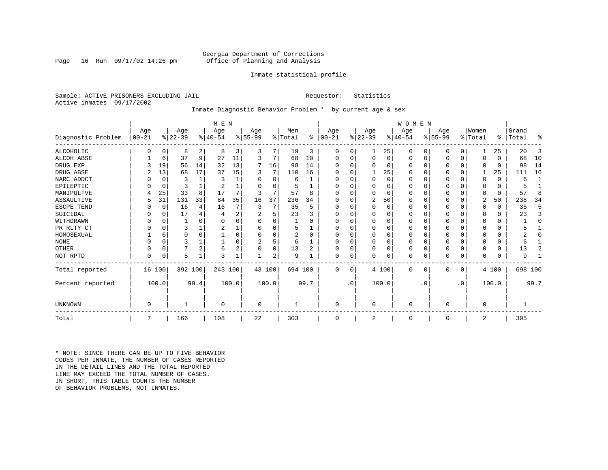Page 16 Run  $09/17/02$  14:26 pm

# Inmate statistical profile

Sample: ACTIVE PRISONERS EXCLUDING JAIL **Requestor:** Statistics Active inmates 09/17/2002

# Inmate Diagnostic Behavior Problem \* by current age & sex

|                    | M E N      |             |           |                |           |                |                |          |                |          |           |           |             |          | <b>WOMEN</b> |           |           |             |             |          |           |              |
|--------------------|------------|-------------|-----------|----------------|-----------|----------------|----------------|----------|----------------|----------|-----------|-----------|-------------|----------|--------------|-----------|-----------|-------------|-------------|----------|-----------|--------------|
|                    | Age        |             | Age       |                | Age       |                | Age            |          | Men            |          | Age       |           | Age         |          | Age          |           | Age       |             | Women       |          | Grand     |              |
| Diagnostic Problem | $ 00 - 21$ |             | $ 22-39 $ |                | $8 40-54$ |                | $ 55-99$       |          | % Total        | ွေ       | $ 00-21 $ |           | $ 22-39 $   |          | $ 40-54 $    |           | $ 55-99 $ |             | % Total     |          | %   Total | ႜ            |
| ALCOHOLIC          | 0          | 0           | 8         | 2              | 8         | 3              | 3              |          | 19             | 3        | 0         | 0         |             | 25       | 0            | 0         | 0         | 0           |             | 25       | 20        | 3            |
| <b>ALCOH ABSE</b>  |            | 6           | 37        | 9              | 27        | 11             | 3              | 7        | 68             | 10       | 0         | 0         | $\mathbf 0$ | 0        | 0            | 0         | 0         | $\mathbf 0$ | $\Omega$    | $\Omega$ | 68        | 10           |
| DRUG EXP           |            | 19          | 56        | 14             | 32        | 13             | 7              | 16       | 98             | 14       |           |           | $\Omega$    | 0        | $\Omega$     | 0         | 0         | $\Omega$    | $\Omega$    | $\Omega$ | 98        | 14           |
| DRUG ABSE          |            | 13          | 68        | 17             | 37        | 15             | 3              | 7        | 110            | 16       | U         |           |             | 25       | 0            | 0         | 0         | $\Omega$    |             | 25       | 111       | 16           |
| NARC ADDCT         |            | 0           | 3         |                | 3         |                | O              | $\Omega$ | 6              |          | U         |           | $\Omega$    | $\Omega$ | $\Omega$     | $\Omega$  | U         | $\Omega$    | $\Omega$    | $\Omega$ | 6         | $\mathbf{1}$ |
| EPILEPTIC          |            | $\mathbf 0$ | 3         |                |           |                | O              | $\Omega$ | 5              |          | U         |           | $\Omega$    | O        | $\Omega$     | $\Omega$  | U         | $\Omega$    | $\Omega$    | $\Omega$ |           |              |
| MANIPULTVE         |            | 25          | 33        | 8              | 17        |                |                | 7        | 57             | 8        |           |           | $\Omega$    | 0        | $\Omega$     | 0         | 0         | $\Omega$    | $\Omega$    | $\Omega$ | 57        | 8            |
| ASSAULTIVE         |            | 31          | 131       | 33             | 84        | 35             | 16             | 37       | 236            | 34       | U         |           | 2           | 50       | $\Omega$     | 0         | 0         | 0           | 2           | 50       | 238       | 34           |
| ESCPE TEND         |            | 0           | 16        | 4              | 16        |                | 3              | 7        | 35             | 5        | U         |           | $\Omega$    | 0        | $\Omega$     | $\Omega$  |           | O           | $\Omega$    | $\Omega$ | 35        | 5            |
| SUICIDAL           |            | 0           | 17        | 4              |           | $\overline{2}$ |                | 5        | 23             |          | ∩         |           | $\Omega$    | O        | $\Omega$     | $\Omega$  |           | O           | ∩           | $\Omega$ | 23        | 3            |
| WITHDRAWN          |            | $\Omega$    |           |                |           |                |                | U        |                |          |           |           | $\Omega$    | O        | 0            | $\Omega$  |           | O           |             | U        |           | $\Omega$     |
| PR RLTY CT         |            | $\Omega$    | 3         |                |           |                |                | U        | 5              |          | $\Omega$  |           | $\Omega$    | O        | $\Omega$     | $\Omega$  |           | $\Omega$    | $\Omega$    | $\Omega$ |           |              |
| HOMOSEXUAL         |            | 6           | 0         | $\Omega$       |           |                |                | U        | $\overline{a}$ | $\Omega$ | ∩         |           | $\Omega$    | O        | $\Omega$     | $\Omega$  | 0         | O           |             | U        |           | O            |
| <b>NONE</b>        |            | $\Omega$    | ς         |                |           |                | $\overline{c}$ | 5        | 6              |          | ∩         |           | $\Omega$    | O        | $\Omega$     | O         | ი         | O           | ∩           | 0        | 6         |              |
| OTHER              |            | $\Omega$    |           | $\overline{2}$ | 6         | $\overline{2}$ |                | 0        | 13             | 2        | $\Omega$  |           | $\Omega$    | O        | 0            | $\Omega$  | 0         | $\Omega$    | $\Omega$    | $\Omega$ | 13        | 2            |
| NOT RPTD           | $\Omega$   | 0           | 5         |                | 3         |                |                | 2        | 9              |          | $\Omega$  | 0         | $\mathbf 0$ | 0        | 0            | 0         | U         | 0           | $\Omega$    | $\Omega$ | 9         |              |
| Total reported     | 16 100     |             | 392 100   |                | 243 100   |                |                | 43 100   | 694 100        |          | $\Omega$  | $\Omega$  |             | 4 100    | $\Omega$     | 0         | 0         | 0           |             | 4 100    | 698 100   |              |
| Percent reported   |            | 100.0       |           | 99.4           |           | 100.0          |                | 100.0    |                | 99.7     |           | $\cdot$ 0 |             | 100.0    |              | $\cdot$ 0 |           | $\cdot$ 0   |             | 100.0    |           | 99.7         |
|                    |            |             |           |                |           |                |                |          |                |          |           |           |             |          |              |           |           |             |             |          |           |              |
| <b>UNKNOWN</b>     | $\Omega$   |             |           |                | $\Omega$  |                | 0              |          |                |          | $\Omega$  |           | $\mathbf 0$ |          | $\Omega$     |           | 0         |             | $\mathbf 0$ |          |           |              |
| Total              |            |             | 166       |                | 108       |                | 22             |          | 303            |          | $\Omega$  |           | 2           |          | $\mathbf 0$  |           | 0         |             | 2           |          | 305       |              |

\* NOTE: SINCE THERE CAN BE UP TO FIVE BEHAVIOR CODES PER INMATE, THE NUMBER OF CASES REPORTED IN THE DETAIL LINES AND THE TOTAL REPORTED LINE MAY EXCEED THE TOTAL NUMBER OF CASES.IN SHORT, THIS TABLE COUNTS THE NUMBER OF BEHAVIOR PROBLEMS, NOT INMATES.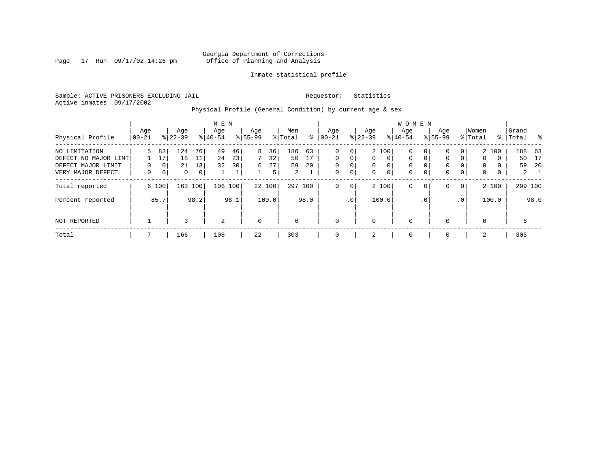Page  $17$  Run  $09/17/02$  14:26 pm

# Inmate statistical profile

Sample: ACTIVE PRISONERS EXCLUDING JAIL **Requestor:** Statistics Active inmates 09/17/2002

Physical Profile (General Condition) by current age & sex

|                                                                                  |                 |                                              |                      |                     | M E N            |                     |                           |                     |                                   |                |                                                       |                      |                           |                                                 | W O M E N        |                           |                                       |                    |                              |                             |                    |                          |
|----------------------------------------------------------------------------------|-----------------|----------------------------------------------|----------------------|---------------------|------------------|---------------------|---------------------------|---------------------|-----------------------------------|----------------|-------------------------------------------------------|----------------------|---------------------------|-------------------------------------------------|------------------|---------------------------|---------------------------------------|--------------------|------------------------------|-----------------------------|--------------------|--------------------------|
| Physical Profile                                                                 | Age<br>$ 00-21$ |                                              | Age<br>$8 22-39$     |                     | Age<br>$8 40-54$ |                     | Age<br>$8 55-99$          |                     | Men<br>% Total                    | ႜ              | Aqe<br>$ 00-21$                                       |                      | Age<br>$ 22-39 $          |                                                 | Aqe<br>$8 40-54$ |                           | Aqe<br>$8155 - 99$                    |                    | Women<br>% Total             | ႜၟ                          | Grand<br>Total     |                          |
| NO LIMITATION<br>DEFECT NO MAJOR LIMT<br>DEFECT MAJOR LIMIT<br>VERY MAJOR DEFECT | 5.<br>0         | 83<br>17<br>0 <sup>1</sup><br>0 <sup>1</sup> | 124<br>18<br>21<br>0 | 76<br>11<br>13<br>0 | 49<br>24<br>32   | 46<br>23<br>30<br>⊥ | 8<br>$7\overline{ }$<br>6 | 36<br>32<br>27<br>5 | 186<br>50<br>59<br>$\overline{2}$ | 63<br>17<br>20 | $\mathbf 0$<br>$\Omega$<br>$\mathbf 0$<br>$\mathbf 0$ | 0<br>0<br>0<br>0     | $\Omega$<br>$\Omega$<br>0 | 2 100<br>$\Omega$<br>$\Omega$<br>$\overline{0}$ | 0<br>0<br>0<br>0 | 0<br>$\Omega$<br>0        | $\mathbf{0}$<br>$\mathbf 0$<br>0<br>0 | 0<br>$\Omega$<br>0 | 0<br>$\Omega$<br>$\mathbf 0$ | 2 100<br>0<br>$\Omega$<br>0 | 188 63<br>50<br>59 | 17<br>-20<br>$2 \quad 1$ |
| Total reported<br>Percent reported                                               |                 | 6 100<br>85.7                                | 163                  | 100<br>98.2         | 106              | 100<br>98.1         |                           | 22 100<br>100.0     | 297 100                           | 98.0           | $\mathbf 0$                                           | 0<br>.0 <sup>1</sup> |                           | 2 100<br>100.0                                  | 0                | $\mathbf{0}$<br>$\cdot$ 0 | $\mathbf{0}$                          | 0<br>.0'           |                              | 2 100<br>100.0              | 299 100            | 98.0                     |
| NOT REPORTED                                                                     |                 |                                              | 3                    |                     | 2                |                     | $\mathbf 0$               |                     | 6                                 |                | $\mathbf 0$                                           |                      | $\Omega$                  |                                                 | 0                |                           | $\mathbf{0}$                          |                    | $\mathbf 0$                  |                             | 6                  |                          |
| Total                                                                            |                 |                                              | 166                  |                     | 108              |                     | 22                        |                     | 303                               |                | $\Omega$                                              |                      | 2                         |                                                 | 0                |                           | $\mathbf 0$                           |                    | 2                            |                             | 305                |                          |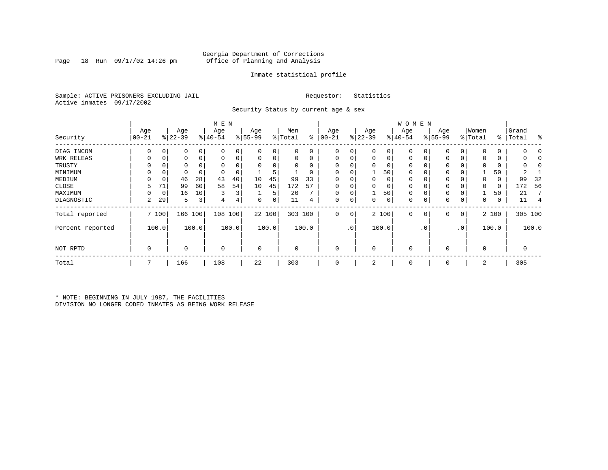Page 18 Run  $09/17/02$  14:26 pm

# Inmate statistical profile

Sample: ACTIVE PRISONERS EXCLUDING JAIL **Requestor:** Statistics Active inmates 09/17/2002

Security Status by current age & sex

|                  |                  |       |                  |       | M E N            |       |                  |          |                |          |                  |             |                  |       | <b>WOMEN</b>     |             |                 |              |                  |       |                    |                |
|------------------|------------------|-------|------------------|-------|------------------|-------|------------------|----------|----------------|----------|------------------|-------------|------------------|-------|------------------|-------------|-----------------|--------------|------------------|-------|--------------------|----------------|
| Security         | Age<br>$00 - 21$ |       | Age<br>$ 22-39 $ |       | Age<br>$ 40-54 $ |       | Age<br>$8 55-99$ |          | Men<br>% Total | နွ       | Age<br>$00 - 21$ |             | Age<br>$ 22-39 $ |       | Age<br>$ 40-54 $ |             | Age<br>$ 55-99$ |              | Women<br>% Total |       | Grand<br>%   Total | ႜ              |
| DIAG INCOM       |                  |       | 0                |       | $\Omega$         |       | $\Omega$         | 0        | 0              | 0        | 0                |             | $\Omega$         | 0     | $\Omega$         |             | <sup>0</sup>    |              |                  |       |                    |                |
| WRK RELEAS       | 0                |       | 0                | 0     | $\mathbf 0$      | 0     | 0                | 0        | 0              | 0        | 0                |             | 0                | 0     | 0                | 0           | $\Omega$        |              |                  | 0     |                    |                |
| TRUSTY           |                  |       | 0                |       |                  |       |                  | $\Omega$ | U              | $\Omega$ | $\Omega$         |             | $\Omega$         |       | $\Omega$         |             | $\Omega$        |              |                  |       |                    |                |
| MINIMUM          |                  |       | 0                |       | $\Omega$         |       |                  | 5        |                | 0        | 0                |             |                  | 50    | 0                | 0           | $\Omega$        |              |                  | 50    |                    |                |
| MEDIUM           |                  | 0     | 46               | 28    | 43               | 40    | 10               | 45       | 99             | 33       | 0                |             | 0                | 0     | 0                |             | $\Omega$        |              | $\Omega$         | 0     | 99                 | 32             |
| CLOSE            |                  | 71    | 99               | 60    | 58               | 54    | 10               | 45       | 172            | 57       | 0                |             | 0                | 0     | 0                |             | $\Omega$        |              |                  | 0     | 172                | 56             |
| MAXIMUM          |                  | 0     | 16               | 10    | 3                | 3     |                  | 5        | 20             | 7        | $\Omega$         |             |                  | 50    | $\Omega$         | $\Omega$    | $\Omega$        |              |                  | 50    | 21                 |                |
| DIAGNOSTIC       | 2                | 29    | 5                | 3     | 4                | 4     | 0                | 0        | 11             | 4        | 0                | 0           | 0                | 0     | 0                | $\mathbf 0$ | 0               | 0            | 0                | 0     | 11                 | $\overline{4}$ |
| Total reported   |                  | 7 100 | 166              | 100   | 108 100          |       |                  | 22 100   | 303 100        |          | $\mathbf{0}$     | $\mathbf 0$ |                  | 2 100 | $\mathbf 0$      | 0           | 0               | $\mathbf{0}$ |                  | 2 100 | 305 100            |                |
| Percent reported |                  | 100.0 |                  | 100.0 |                  | 100.0 |                  | 100.0    |                | 100.0    |                  | $\cdot$ 0   |                  | 100.0 |                  | $\cdot$ 0   |                 | .0'          |                  | 100.0 |                    | 100.0          |
| NOT RPTD         | 0                |       | 0                |       | $\mathbf 0$      |       | 0                |          | 0              |          | $\mathbf 0$      |             | $\mathbf 0$      |       | $\mathbf 0$      |             | $\Omega$        |              | $\Omega$         |       | 0                  |                |
| Total            | 7                |       | 166              |       | 108              |       | 22               |          | 303            |          | 0                |             | 2                |       | 0                |             | 0               |              | 2                |       | 305                |                |

\* NOTE: BEGINNING IN JULY 1987, THE FACILITIES DIVISION NO LONGER CODED INMATES AS BEING WORK RELEASE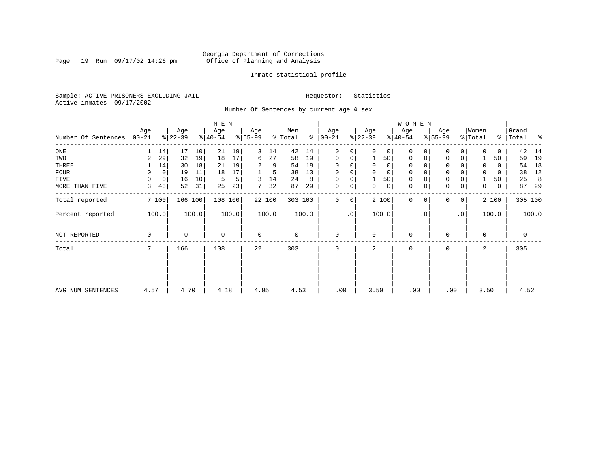Page 19 Run  $09/17/02$  14:26 pm

# Inmate statistical profile

Sample: ACTIVE PRISONERS EXCLUDING JAIL **Requestor:** Statistics Active inmates 09/17/2002

Number Of Sentences by current age & sex

|                     |                  |             |                  |       | M E N            |       |                  |        |                |       |                      |           |                  |          | W O M E N        |           |                 |              |                  |          |                 |         |
|---------------------|------------------|-------------|------------------|-------|------------------|-------|------------------|--------|----------------|-------|----------------------|-----------|------------------|----------|------------------|-----------|-----------------|--------------|------------------|----------|-----------------|---------|
| Number Of Sentences | Age<br>$ 00-21 $ |             | Age<br>$ 22-39 $ |       | Age<br>$ 40-54 $ |       | Age<br>$8 55-99$ |        | Men<br>% Total |       | Age<br>$8   00 - 21$ |           | Age<br>$ 22-39 $ |          | Age<br>$ 40-54 $ |           | Age<br>$ 55-99$ |              | Women<br>% Total | ွေ       | Grand<br> Total | ႜ       |
| $_{\rm ONE}$        | 1                | 14          | 17               | 10    | 21               | 19    | 3                | 14     | 42             | 14    | $\Omega$             | 0         |                  | 0        | $\Omega$         | 0         | $\Omega$        | 0            | $\Omega$         | 0        | 42              | 14      |
| TWO                 | 2                | 29          | 32               | 19    | 18               | 17    | 6                | 27     | 58             | 19    | 0                    | 0         |                  | 50       | $\Omega$         | 0         | $\Omega$        | 0            |                  | 50       | 59              | 19      |
| THREE               |                  | 14          | 30               | 18    | 21               | 19    | 2                | 9      | 54             | 18    | $\Omega$             |           | $\Omega$         | 0        | 0                |           | 0               |              | 0                | 0        | 54              | 18      |
| <b>FOUR</b>         | 0                | $\mathbf 0$ | 19               | 11    | 18               | 17    |                  | 5      | 38             | 13    | $\Omega$             | 0         | $\Omega$         | $\Omega$ | $\Omega$         |           | $\Omega$        |              | $\Omega$         | $\Omega$ | 38              | 12      |
| FIVE                | 0                | 0           | 16               | 10    | 5                | 5     | 3                | 14     | 24             | 8     | 0                    | 0         |                  | 50       | 0                |           | $\mathbf 0$     |              |                  | 50       | 25              | 8       |
| MORE THAN FIVE      | 3                | 43          | 52               | 31    | 25               | 23    | 7                | 32     | 87             | 29    | $\mathbf 0$          | 0         | 0                | 0        | 0                | 0         | $\mathbf 0$     | 0            | 0                | 0        | 87              | -29     |
| Total reported      |                  | 7100        | 166 100          |       | 108 100          |       |                  | 22 100 | 303 100        |       | $\Omega$             | 0         |                  | 2 100    | $\mathbf 0$      | $\Omega$  | $\Omega$        | $\mathbf{0}$ |                  | 2 100    |                 | 305 100 |
| Percent reported    |                  | 100.0       |                  | 100.0 |                  | 100.0 |                  | 100.0  |                | 100.0 |                      | $\cdot$ 0 |                  | 100.0    |                  | $\cdot$ 0 |                 | $\cdot$ 0    |                  | 100.0    |                 | 100.0   |
| NOT REPORTED        | 0                |             | 0                |       | $\overline{0}$   |       | $\mathbf 0$      |        | 0              |       | $\mathbf 0$          |           | $\Omega$         |          | $\mathbf 0$      |           | $\Omega$        |              | 0                |          | 0               |         |
| Total               |                  |             | 166              |       | 108              |       | 22               |        | 303            |       | $\Omega$             |           | 2                |          | 0                |           | 0               |              | 2                |          | 305             |         |
|                     |                  |             |                  |       |                  |       |                  |        |                |       |                      |           |                  |          |                  |           |                 |              |                  |          |                 |         |
| AVG NUM SENTENCES   | 4.57             |             | 4.70             |       | 4.18             |       | 4.95             |        | 4.53           |       | .00                  |           | 3.50             |          | .00              |           | .00             |              | 3.50             |          | 4.52            |         |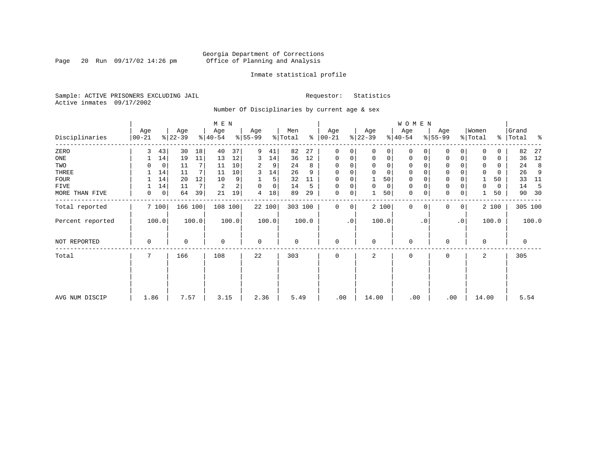Page 20 Run  $09/17/02$  14:26 pm

# Inmate statistical profile

Sample: ACTIVE PRISONERS EXCLUDING JAIL **Requestor:** Statistics Active inmates 09/17/2002

Number Of Disciplinaries by current age & sex

|                  |                  |    |                  |                | M E N            |       |                  |        |                |       |                   |                 |                  |             | W O M E N        |             |                  |              |                  |       |                    |       |
|------------------|------------------|----|------------------|----------------|------------------|-------|------------------|--------|----------------|-------|-------------------|-----------------|------------------|-------------|------------------|-------------|------------------|--------------|------------------|-------|--------------------|-------|
| Disciplinaries   | Age<br>$00 - 21$ |    | Age<br>$ 22-39 $ |                | Age<br>$8 40-54$ |       | Age<br>$8 55-99$ |        | Men<br>% Total | န္    | Age<br>$ 00 - 21$ |                 | Age<br>$ 22-39 $ |             | Age<br>$ 40-54 $ |             | Age<br>$8 55-99$ |              | Women<br>% Total |       | Grand<br>%   Total | ႜ     |
| ZERO             | 3                | 43 | 30               | 18             | 40               | 37    | 9                | 41     | 82             | 27    | 0                 | 0               | $\Omega$         | 0           | $\mathbf 0$      | $\Omega$    | $\Omega$         | $\Omega$     | $\Omega$         | 0     | 82                 | 27    |
| ONE              |                  | 14 | 19               | 11             | 13               | 12    | 3                | 14     | 36             | 12    | 0                 | 0               | 0                | $\mathbf 0$ | $\mathbf 0$      | $\mathbf 0$ | 0                | $\mathbf 0$  | $\Omega$         | 0     | 36                 | 12    |
| TWO              |                  | 0  | 11               | 7 <sup>1</sup> | 11               | 10    | 2                | 9      | 24             | 8     | $\Omega$          |                 | $\mathbf 0$      | 0           | 0                | O           | $\Omega$         |              | 0                | 0     | 24                 | 8     |
| THREE            |                  | 14 | 11               | 7 <sup>1</sup> | 11               | 10    | 3                | 14     | 26             | 9     | $\Omega$          | 0               | 0                | 0           | 0                | 0           | 0                |              | $\mathbf 0$      | 0     | 26                 | 9     |
| <b>FOUR</b>      |                  | 14 | 20               | 12             | 10               | 9     |                  | 5      | 32             | 11    | $\Omega$          |                 |                  | 50          | $\mathbf 0$      |             | $\mathbf 0$      |              |                  | 50    | 33                 | 11    |
| FIVE             |                  | 14 | 11               | 7              | 2                | 2     | 0                | 0      | 14             | 5     | $\Omega$          | 0               | 0                | 0           | 0                | $\Omega$    | 0                |              | 0                | 0     | 14                 | -5    |
| MORE THAN FIVE   | 0                | 0  | 64               | 39             | 21               | 19    | 4                | 18     | 89             | 29    | 0                 | 0               |                  | 50          | $\mathbf 0$      | 0           | $\mathbf 0$      | 0            |                  | 50    | 90                 | 30    |
| Total reported   | 7 100            |    | 166 100          |                | 108 100          |       |                  | 22 100 | 303 100        |       | 0                 | 0               |                  | 2 100       | $\mathbf{0}$     | $\mathbf 0$ | 0                | $\mathbf{0}$ |                  | 2 100 | 305 100            |       |
| Percent reported | 100.0            |    |                  | 100.0          |                  | 100.0 |                  | 100.0  |                | 100.0 |                   | .0 <sup>1</sup> |                  | 100.0       |                  | $\cdot$ 0   |                  | $\cdot$ 0    |                  | 100.0 |                    | 100.0 |
| NOT REPORTED     | 0                |    | 0                |                | $\mathbf 0$      |       | $\mathbf 0$      |        | 0              |       | $\mathbf 0$       |                 | 0                |             | $\mathbf 0$      |             | 0                |              | 0                |       | $\mathbf 0$        |       |
| Total            | 7                |    | 166              |                | 108              |       | 22               |        | 303            |       | 0                 |                 | 2                |             | $\mathbf 0$      |             | 0                |              | 2                |       | 305                |       |
|                  |                  |    |                  |                |                  |       |                  |        |                |       |                   |                 |                  |             |                  |             |                  |              |                  |       |                    |       |
| AVG NUM DISCIP   | 1.86             |    | 7.57             |                | 3.15             |       | 2.36             |        | 5.49           |       | .00               |                 | 14.00            |             | .00              |             | .00              |              | 14.00            |       | 5.54               |       |
|                  |                  |    |                  |                |                  |       |                  |        |                |       |                   |                 |                  |             |                  |             |                  |              |                  |       |                    |       |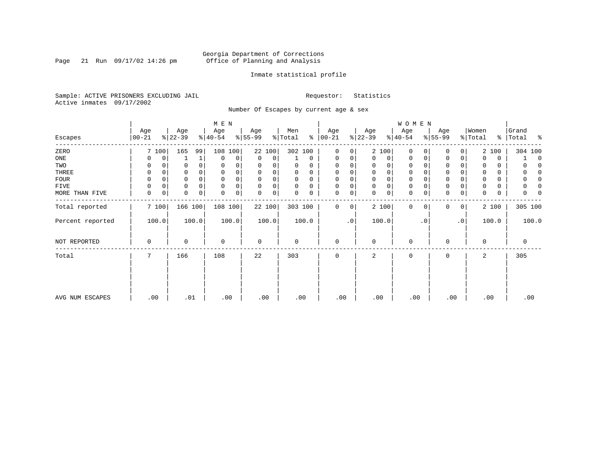Page 21 Run  $09/17/02$  14:26 pm

# Inmate statistical profile

Sample: ACTIVE PRISONERS EXCLUDING JAIL **Requestor:** Statistics Active inmates 09/17/2002

Number Of Escapes by current age & sex

|                  |          |   |           |          | M E N       |       |             |        |          |             |             |           |           |             | W O M E N   |                |             |           |             |       |            |
|------------------|----------|---|-----------|----------|-------------|-------|-------------|--------|----------|-------------|-------------|-----------|-----------|-------------|-------------|----------------|-------------|-----------|-------------|-------|------------|
|                  | Age      |   | Age       |          | Age         |       | Age         |        | Men      |             | Age         |           | Age       |             | Age         |                | Age         |           | Women       |       | Grand      |
| Escapes          | $ 00-21$ |   | $ 22-39 $ |          | $ 40-54 $   |       | $ 55-99$    |        | % Total  | ៖           | $ 00-21 $   |           | $ 22-39 $ |             | $ 40-54 $   |                | $8 55-99$   |           | % Total     | ⊱     | Total<br>ႜ |
| ZERO             | 7 100    |   | 165       | 99       | 108         | 100   |             | 22 100 | 302 100  |             | 0           | 0         |           | 2 100       | 0           | 0              | 0           | 0         |             | 2 100 | 304 100    |
| ONE              | 0        | 0 |           | 1        | $\mathbf 0$ | 0     | 0           | 0      |          | $\mathbf 0$ | 0           | 0         | 0         | $\mathbf 0$ | 0           | 0              | $\mathbf 0$ | 0         |             | 0     | $\Omega$   |
| TWO              | 0        |   | 0         | 0        | 0           |       | 0           |        | 0        | 0           | $\mathbf 0$ | 0         |           | 0           | 0           |                | $\Omega$    |           |             | 0     |            |
| THREE            | 0        |   | 0         |          | $\Omega$    |       | 0           |        | $\Omega$ | 0           | $\mathbf 0$ |           | 0         | 0           | 0           |                | 0           |           |             | 0     |            |
| <b>FOUR</b>      | $\Omega$ |   | $\Omega$  |          |             |       | $\Omega$    |        | U        | $\Omega$    | $\Omega$    |           |           | $\Omega$    | $\Omega$    |                | $\Omega$    |           |             | 0     |            |
| FIVE             | 0        | 0 | 0         | $\Omega$ | $\Omega$    | 0     | $\Omega$    | 0      | $\Omega$ | $\Omega$    | 0           | 0         | $\Omega$  | 0           | 0           |                | 0           |           |             | 0     |            |
| MORE THAN FIVE   | 0        | 0 | 0         | 0        | $\mathbf 0$ | 0     | 0           | 0      | 0        | 0           | 0           | 0         | $\Omega$  | $\mathbf 0$ | $\mathbf 0$ | 0              | $\mathbf 0$ | 0         | 0           | 0     |            |
| Total reported   | 7 100    |   | 166 100   |          | 108 100     |       | 22 100      |        | 303 100  |             | $\mathbf 0$ | 0         |           | 2 100       | $\mathbf 0$ | 0 <sub>1</sub> | 0           | 0         |             | 2 100 | 305 100    |
| Percent reported | 100.0    |   |           | 100.0    |             | 100.0 |             | 100.0  |          | 100.0       |             | $\cdot$ 0 |           | 100.0       |             | $\cdot$ 0      |             | $\cdot$ 0 |             | 100.0 | 100.0      |
| NOT REPORTED     | 0        |   | 0         |          | $\mathbf 0$ |       | $\mathbf 0$ |        | 0        |             | $\mathbf 0$ |           | 0         |             | 0           |                | 0           |           | $\mathbf 0$ |       | 0          |
| Total            | 7        |   | 166       |          | 108         |       | 22          |        | 303      |             | $\mathbf 0$ |           | 2         |             | 0           |                | $\mathbf 0$ |           | 2           |       | 305        |
|                  |          |   |           |          |             |       |             |        |          |             |             |           |           |             |             |                |             |           |             |       |            |
| AVG NUM ESCAPES  | .00      |   | .01       |          | .00         |       | .00         |        | .00      |             | .00         |           | .00       |             | .00         |                | .00         |           | .00         |       | .00        |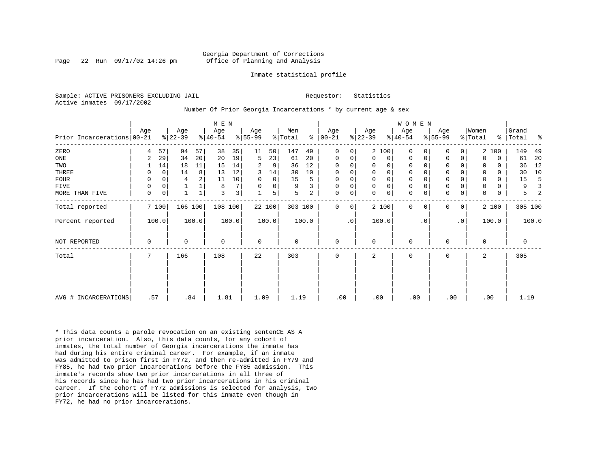Page 22 Run  $09/17/02$  14:26 pm

### Inmate statistical profile

Sample: ACTIVE PRISONERS EXCLUDING JAIL **Requestor:** Statistics Active inmates 09/17/2002

Number Of Prior Georgia Incarcerations \* by current age & sex

|                              |     |             |                  |       | M E N            |                |                  |             |                |       |                      |           |                  |             | <b>WOMEN</b>     |           |                  |           |                  |          |                    |       |
|------------------------------|-----|-------------|------------------|-------|------------------|----------------|------------------|-------------|----------------|-------|----------------------|-----------|------------------|-------------|------------------|-----------|------------------|-----------|------------------|----------|--------------------|-------|
| Prior Incarcerations   00-21 | Age |             | Age<br>$ 22-39 $ |       | Age<br>$ 40-54 $ |                | Age<br>$ 55-99 $ |             | Men<br>% Total |       | Age<br>$8   00 - 21$ |           | Age<br>$ 22-39 $ |             | Age<br>$8 40-54$ |           | Age<br>$ 55-99 $ |           | Women<br>% Total |          | Grand<br>%   Total | ႜ     |
| ZERO                         | 4   | 57          | 94               | 57    | 38               | 35             | 11               | 50          | 147            | 49    | $\Omega$             | 0         |                  | 2 100       | $\Omega$         |           | $\Omega$         | 0         |                  | 2 100    | 149                | 49    |
| ONE                          | 2   | 29          | 34               | 20    | 20               | 19             | 5                | 23          | 61             | 20    | $\mathbf 0$          | 0         | $\mathbf 0$      | 0           | $\mathbf 0$      | 0         | 0                | 0         | $\Omega$         | 0        | 61                 | 20    |
| TWO                          |     | 14          | 18               | 11    | 15               | 14             | 2                | 9           | 36             | 12    | 0                    | 0         | 0                | $\mathbf 0$ | $\mathbf 0$      |           | 0                |           |                  | 0        | 36                 | 12    |
| THREE                        | 0   | $\mathbf 0$ | 14               | 8     | 13               | 12             | 3                | 14          | 30             | 10    | $\mathbf 0$          | 0         | $\mathbf 0$      | $\mathsf 0$ | $\mathbf 0$      |           | $\mathbf 0$      |           |                  | $\Omega$ | 30                 | 10    |
| FOUR                         | 0   | $\Omega$    | 4                | 2     | 11               | 10             | 0                | $\mathbf 0$ | 15             | 5     | $\mathbf 0$          | 0         | 0                | $\mathbf 0$ | 0                |           | $\mathbf 0$      |           |                  | 0        | 15                 |       |
| FIVE                         | 0   | $\mathbf 0$ |                  |       | 8                | 7 <sup>1</sup> | $\Omega$         | 0           | 9              |       | $\mathbf 0$          | 0         | $\mathbf 0$      | $\mathsf 0$ | $\mathbf 0$      |           | $\mathbf 0$      |           |                  | 0        | 9                  |       |
| MORE THAN FIVE               | 0   | 0           |                  |       | 3                | 3              |                  | 5           | 5              | 2     | 0                    | 0         | $\Omega$         | $\mathbf 0$ | $\mathbf 0$      |           | $\mathbf 0$      | 0         | $\Omega$         | 0        | 5                  |       |
| Total reported               |     | 7 100       | 166 100          |       | 108 100          |                |                  | 22 100      | 303 100        |       | $\Omega$             | 0         |                  | 2 100       | $\Omega$         | 0         | 0                | 0         |                  | 2 100    | 305 100            |       |
| Percent reported             |     | 100.0       |                  | 100.0 |                  | 100.0          |                  | 100.0       |                | 100.0 |                      | $\cdot$ 0 |                  | 100.0       |                  | $\cdot$ 0 |                  | $\cdot$ 0 |                  | 100.0    |                    | 100.0 |
| NOT REPORTED                 | 0   |             | 0                |       | $\mathbf 0$      |                | $\mathbf 0$      |             | 0              |       | $\mathbf 0$          |           | 0                |             | $\mathbf 0$      |           | $\mathbf 0$      |           | $\Omega$         |          | 0                  |       |
| Total                        | 7   |             | 166              |       | 108              |                | 22               |             | 303            |       | 0                    |           | 2                |             | 0                |           | $\mathbf 0$      |           | 2                |          | 305                |       |
|                              |     |             |                  |       |                  |                |                  |             |                |       |                      |           |                  |             |                  |           |                  |           |                  |          |                    |       |
| AVG # INCARCERATIONS         | .57 |             | .84              |       | 1.81             |                | 1.09             |             | 1.19           |       | .00                  |           | .00              |             | .00              |           | .00              |           |                  | .00      | 1.19               |       |

\* This data counts a parole revocation on an existing sentenCE AS A prior incarceration. Also, this data counts, for any cohort of inmates, the total number of Georgia incarcerations the inmate has had during his entire criminal career. For example, if an inmate was admitted to prison first in FY72, and then re-admitted in FY79 and FY85, he had two prior incarcerations before the FY85 admission. This inmate's records show two prior incarcerations in all three of his records since he has had two prior incarcerations in his criminal career. If the cohort of FY72 admissions is selected for analysis, two prior incarcerations will be listed for this inmate even though in FY72, he had no prior incarcerations.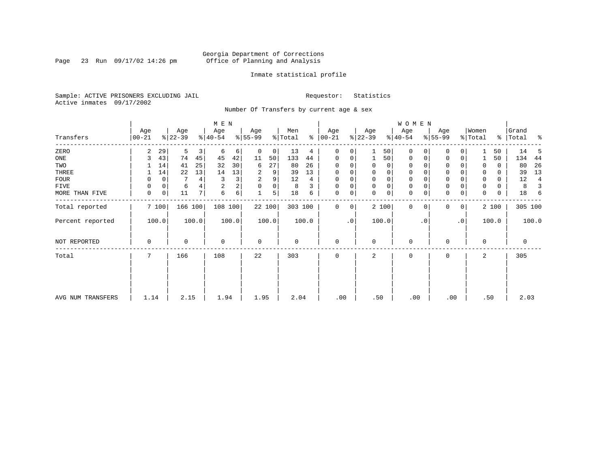Page 23 Run  $09/17/02$  14:26 pm

# Inmate statistical profile

Sample: ACTIVE PRISONERS EXCLUDING JAIL **Requestor:** Statistics Active inmates 09/17/2002

Number Of Transfers by current age & sex

|                   |                  |              |                  |                         | M E N            |       |                 |        |                |       |                  |     |                  |             | WOMEN            |           |                  |                |                              |       |                    |       |
|-------------------|------------------|--------------|------------------|-------------------------|------------------|-------|-----------------|--------|----------------|-------|------------------|-----|------------------|-------------|------------------|-----------|------------------|----------------|------------------------------|-------|--------------------|-------|
| Transfers         | Age<br>$00 - 21$ |              | Age<br>$ 22-39 $ |                         | Age<br>$ 40-54 $ |       | Age<br>$ 55-99$ |        | Men<br>% Total | ွေ    | Age<br>$00 - 21$ |     | Age<br>$ 22-39 $ |             | Age<br>$ 40-54 $ |           | Age<br>$ 55-99 $ |                | Women<br>$\frac{1}{2}$ Total |       | Grand<br>%   Total | ႜ     |
| ZERO              | 2                | 29           | 5                | $\overline{\mathbf{3}}$ | 6                | 6     | 0               | 0      | 13             | 4     | 0                | 0   |                  | 50          | $\mathbf 0$      |           | 0                | 0              |                              | 50    | 14                 | 5     |
| ONE               | 3                | 43           | 74               | 45                      | 45               | 42    | 11              | 50     | 133            | 44    | 0                | 0   | $\mathbf{1}$     | 50          | 0                |           | $\mathbf 0$      | 0              |                              | 50    | 134                | 44    |
| TWO               |                  | 14           | 41               | 25                      | 32               | 30    | 6               | 27     | 80             | 26    | 0                |     | 0                | 0           | 0                |           | 0                |                | 0                            | 0     | 80                 | 26    |
| THREE             |                  | 14           | 22               | 13                      | 14               | 13    | 2               | 9      | 39             | 13    | 0                |     | 0                | 0           | 0                |           | 0                |                | 0                            | 0     | 39                 | 13    |
| FOUR              | 0                | $\mathbf 0$  |                  | 4                       | 3                | 3     | 2               | 9      | 12             | 4     | 0                | 0   | $\Omega$         | $\mathbf 0$ | 0                |           | $\Omega$         |                | $\Omega$                     | 0     | 12                 | 4     |
| FIVE              | 0                | 0            | 6                |                         | $\sqrt{2}$       | 2     | 0               | 0      | 8              | 3     | 0                | 0   | $\Omega$         | $\mathbf 0$ | 0                |           | $\Omega$         |                | 0                            | 0     | 8                  |       |
| MORE THAN FIVE    | $\mathbf 0$      | $\mathsf{O}$ | 11               | 7                       | 6                | 6     | 1               | 5      | 18             | 6     | 0                | 0   | 0                | 0           | $\mathbf 0$      | 0         | $\Omega$         | 0              | 0                            | 0     | 18                 | 6     |
| Total reported    |                  | 7 100        | 166 100          |                         | 108 100          |       |                 | 22 100 | 303 100        |       | 0                | 0   |                  | 2 100       | $\mathbf{0}$     | 0         | 0                | $\overline{0}$ |                              | 2 100 | 305 100            |       |
| Percent reported  |                  | 100.0        |                  | 100.0                   |                  | 100.0 |                 | 100.0  |                | 100.0 |                  | .0' |                  | 100.0       |                  | $\cdot$ 0 |                  | .0'            |                              | 100.0 |                    | 100.0 |
| NOT REPORTED      | 0                |              | 0                |                         | $\mathbf 0$      |       | 0               |        | 0              |       | 0                |     | $\Omega$         |             | 0                |           | 0                |                | $\mathbf 0$                  |       | 0                  |       |
| Total             | 7                |              | 166              |                         | 108              |       | 22              |        | 303            |       | 0                |     | 2                |             | 0                |           | 0                |                | 2                            |       | 305                |       |
|                   |                  |              |                  |                         |                  |       |                 |        |                |       |                  |     |                  |             |                  |           |                  |                |                              |       |                    |       |
|                   |                  |              |                  |                         |                  |       |                 |        |                |       |                  |     |                  |             |                  |           |                  |                |                              |       |                    |       |
| AVG NUM TRANSFERS | 1.14             |              | 2.15             |                         | 1.94             |       | 1.95            |        | 2.04           |       | .00              |     | .50              |             | .00              |           | .00              |                |                              | .50   | 2.03               |       |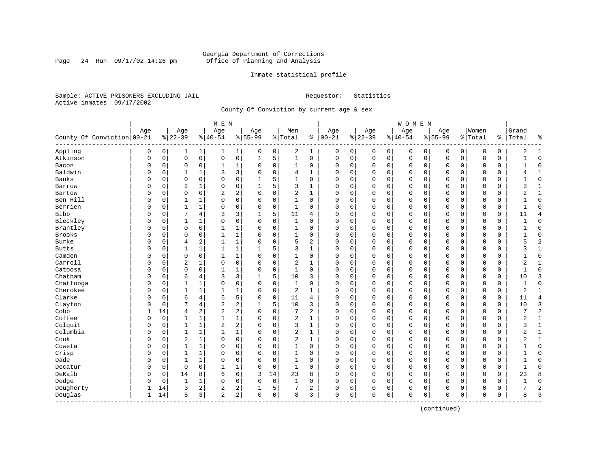Page 24 Run  $09/17/02$  14:26 pm

# Inmate statistical profile

Sample: ACTIVE PRISONERS EXCLUDING JAIL **Requestor:** Statistics Active inmates 09/17/2002

County Of Conviction by current age & sex

|                            |     |          |                |                | M E N          |                |           |             |                |              |               |   |             |             | <b>WOMEN</b> |             |             |             |             |               |                |                |
|----------------------------|-----|----------|----------------|----------------|----------------|----------------|-----------|-------------|----------------|--------------|---------------|---|-------------|-------------|--------------|-------------|-------------|-------------|-------------|---------------|----------------|----------------|
|                            | Age |          | Age            |                | Age            |                | Age       |             | Men            |              | Age           |   | Age         |             | Age          |             | Age         |             | Women       |               | Grand          |                |
| County Of Conviction 00-21 |     |          | $8 22-39$      |                | $ 40-54$       |                | $8 55-99$ |             | % Total        |              | $8   00 - 21$ |   | $ 22-39$    |             | $ 40-54$     |             | $8 55-99$   |             | % Total     | $\frac{1}{6}$ | Total          | ႜ              |
| Appling                    | 0   | 0        | 1              | 1              | 1              | $\mathbf{1}$   | 0         | 0           | 2              | 1            | 0             | 0 | 0           | 0           | 0            | 0           | 0           | 0           | 0           | 0             | 2              | 1              |
| Atkinson                   | 0   | 0        | $\mathbf 0$    | $\mathsf{O}$   | 0              | 0              | 1         | 5           | $\mathbf{1}$   | 0            | $\mathbf 0$   | 0 | $\mathbf 0$ | $\mathbf 0$ | 0            | $\mathbf 0$ | $\mathbf 0$ | $\mathbf 0$ | $\mathbf 0$ | 0             |                | $\Omega$       |
| Bacon                      | 0   | 0        | $\mathbf 0$    | 0              | 1              | 1              | $\Omega$  | 0           | 1              | 0            | 0             | 0 | $\mathbf 0$ | 0           | 0            | 0           | 0           | $\mathbf 0$ | 0           | 0             |                | $\Omega$       |
| Baldwin                    | O   | 0        |                | 1              | 3              | 3              | $\Omega$  | $\mathbf 0$ | 4              | 1            | $\Omega$      | 0 | $\mathbf 0$ | $\mathbf 0$ | $\Omega$     | $\mathbf 0$ | $\Omega$    | $\Omega$    | $\Omega$    | 0             |                | $\mathbf{1}$   |
| Banks                      | U   | 0        | $\Omega$       | $\Omega$       | $\Omega$       | 0              |           | 5           | 1              | 0            | $\Omega$      | O | $\mathbf 0$ | $\Omega$    | $\Omega$     | $\mathbf 0$ | $\Omega$    | $\Omega$    | $\mathbf 0$ | 0             |                | $\Omega$       |
| Barrow                     | U   | 0        | $\overline{2}$ | 1              | $\Omega$       | 0              |           | 5           | 3              | 1            | $\Omega$      | O | $\mathbf 0$ | $\Omega$    | $\Omega$     | $\mathbf 0$ | $\Omega$    | $\Omega$    | $\mathbf 0$ | 0             | ζ              | 1              |
| Bartow                     | U   | 0        | $\mathbf 0$    | $\mathbf 0$    | 2              | 2              | O         | $\mathbf 0$ | 2              | 1            | 0             | 0 | $\mathbf 0$ | 0           | 0            | 0           | $\Omega$    | 0           | 0           | 0             | 2              | 1              |
| Ben Hill                   |     | 0        | 1              | 1              | 0              | 0              | 0         | $\mathbf 0$ | 1              | 0            | 0             | 0 | 0           | 0           | 0            | 0           | 0           | 0           | 0           | 0             |                | $\Omega$       |
| Berrien                    | O   | 0        | $\mathbf{1}$   | $\mathbf{1}$   | $\Omega$       | 0              | $\Omega$  | $\mathbf 0$ | $\mathbf{1}$   | $\Omega$     | $\Omega$      | 0 | $\mathbf 0$ | $\mathbf 0$ | $\Omega$     | $\mathbf 0$ | $\Omega$    | $\Omega$    | $\Omega$    | 0             | $\mathbf{1}$   | $\Omega$       |
| <b>Bibb</b>                | O   | 0        |                | 4              | 3              | 3              |           | 5           | 11             | 4            | $\Omega$      | 0 | $\mathbf 0$ | $\mathbf 0$ | 0            | $\mathbf 0$ | $\Omega$    | $\Omega$    | $\Omega$    | 0             | 11             | $\overline{4}$ |
| Bleckley                   | U   | 0        | $\mathbf{1}$   | 1              | $\Omega$       | 0              | $\Omega$  | $\Omega$    | 1              | 0            | $\Omega$      | 0 | $\mathbf 0$ | $\Omega$    | 0            | $\mathbf 0$ | $\Omega$    | $\Omega$    | $\mathbf 0$ | 0             |                | $\Omega$       |
| Brantley                   | U   | 0        | $\mathbf 0$    | 0              | $\mathbf{1}$   | 1              | O         | $\Omega$    | 1              | 0            | $\Omega$      | 0 | $\mathbf 0$ | 0           | $\Omega$     | $\mathbf 0$ | $\Omega$    | $\Omega$    | $\mathbf 0$ | 0             |                | $\Omega$       |
| <b>Brooks</b>              |     | 0        | $\mathbf 0$    | $\mathbf 0$    | 1              | 1              | O         | 0           | 1              | 0            | 0             | 0 | $\mathbf 0$ | 0           | 0            | 0           | 0           | $\Omega$    | 0           | 0             |                | $\Omega$       |
| Burke                      |     | 0        | $\overline{4}$ | 2              | 1              | 1              | 0         | $\mathbf 0$ | 5              | 2            | 0             | 0 | 0           | $\Omega$    | 0            | $\mathbf 0$ | $\Omega$    | 0           | 0           | 0             | 5              | $\overline{c}$ |
| <b>Butts</b>               | O   | 0        | $\mathbf{1}$   | 1              | $\mathbf{1}$   | 1              |           | 5           | 3              | 1            | $\Omega$      | 0 | $\mathbf 0$ | 0           | 0            | $\mathbf 0$ | $\mathbf 0$ | 0           | 0           | 0             | 3              | 1              |
| Camden                     | U   | 0        | $\mathbf 0$    | $\mathbf 0$    |                | 1              | $\Omega$  | 0           | 1              | 0            | $\Omega$      | 0 | $\mathbf 0$ | 0           | 0            | $\mathbf 0$ | $\Omega$    | $\Omega$    | 0           | 0             |                | $\Omega$       |
| Carroll                    | U   | $\Omega$ | $\overline{2}$ | 1              | $\Omega$       | 0              | $\Omega$  | $\mathbf 0$ | $\overline{a}$ | $\mathbf{1}$ | $\Omega$      | 0 | $\mathbf 0$ | $\Omega$    | 0            | $\mathbf 0$ | $\Omega$    | $\Omega$    | $\Omega$    | 0             | 2              | $\mathbf{1}$   |
| Catoosa                    | U   | 0        | $\mathbf 0$    | 0              | $\mathbf{1}$   | 1              | O         | 0           | 1              | $\Omega$     | $\Omega$      | 0 | $\mathbf 0$ | $\Omega$    | $\Omega$     | $\mathbf 0$ | $\Omega$    | $\Omega$    | $\mathbf 0$ | 0             | -1             | $\Omega$       |
| Chatham                    | U   | 0        | 6              | 4              | 3              | 3              | ı         | 5           | 10             | 3            | 0             | 0 | $\mathbf 0$ | 0           | 0            | $\mathbf 0$ | 0           | 0           | 0           | 0             | 10             | 3              |
| Chattooga                  | O   | 0        | 1              | 1              | 0              | 0              | 0         | 0           | 1              | 0            | 0             | 0 | 0           | 0           | 0            | $\mathbf 0$ | $\Omega$    | 0           | 0           | 0             | $\mathbf{1}$   | $\Omega$       |
| Cherokee                   | O   | $\Omega$ | $\mathbf{1}$   | $\mathbf{1}$   | $\mathbf{1}$   | 1              | $\Omega$  | $\mathbf 0$ | $\overline{2}$ | 1            | $\Omega$      | 0 | $\mathbf 0$ | 0           | $\Omega$     | $\mathbf 0$ | $\mathbf 0$ | 0           | $\Omega$    | $\mathbf 0$   | $\overline{c}$ | $\mathbf{1}$   |
| Clarke                     | U   | 0        | 6              | 4              | 5              | 5              | $\Omega$  | $\mathbf 0$ | 11             | 4            | $\Omega$      | 0 | $\mathbf 0$ | 0           | 0            | 0           | $\Omega$    | $\mathbf 0$ | 0           | 0             | 11             | $\overline{4}$ |
| Clayton                    | U   | 0        | 7              | 4              | $\overline{a}$ | 2              |           | 5           | 10             | 3            | $\Omega$      | 0 | $\mathbf 0$ | $\Omega$    | 0            | 0           | $\Omega$    | 0           | 0           | 0             | 10             | 3              |
| Cobb                       | 1   | 14       | 4              | 2              | $\overline{c}$ | 2              | $\Omega$  | $\Omega$    | 7              | 2            | $\Omega$      | 0 | $\mathbf 0$ | 0           | $\Omega$     | $\mathbf 0$ | $\Omega$    | 0           | $\mathbf 0$ | $\mathbf 0$   | 7              | $\overline{2}$ |
| Coffee                     | 0   | 0        | 1              | 1              | 1              | $\mathbf 1$    | $\Omega$  | 0           | 2              | 1            | 0             | 0 | $\mathbf 0$ | 0           | 0            | $\mathbf 0$ | 0           | 0           | $\mathbf 0$ | 0             | 2              | 1              |
| Colquit                    | 0   | 0        | $\mathbf{1}$   | $\mathbf{1}$   | 2              | 2              |           | $\mathbf 0$ | 3              | $\mathbf{1}$ | $\Omega$      | 0 | $\Omega$    | $\Omega$    | 0            | $\mathbf 0$ | $\Omega$    | $\Omega$    | $\Omega$    | 0             | 3              | $\mathbf{1}$   |
| Columbia                   | 0   | 0        | $\mathbf{1}$   | 1              | 1              | $\mathbf 1$    | $\Omega$  | $\mathbf 0$ | $\overline{2}$ | 1            | $\Omega$      | 0 | $\mathbf 0$ | $\Omega$    | $\Omega$     | $\mathbf 0$ | $\Omega$    | 0           | $\Omega$    | 0             | 2              | $\mathbf{1}$   |
| Cook                       | U   | 0        | $\overline{2}$ | 1              | $\Omega$       | 0              | O         | 0           | 2              | 1            | $\Omega$      | 0 | $\mathbf 0$ | 0           | 0            | 0           | 0           | 0           | 0           | 0             |                | 1              |
| Coweta                     | U   | 0        | $\mathbf{1}$   | 1              | $\Omega$       | 0              | O         | 0           | 1              | 0            | $\Omega$      | 0 | $\mathbf 0$ | $\Omega$    | 0            | 0           | $\Omega$    | 0           | $\Omega$    | 0             |                | $\Omega$       |
| Crisp                      | U   | 0        | $\mathbf{1}$   | 1              | $\Omega$       | 0              | $\Omega$  | $\Omega$    | 1              | $\Omega$     | $\Omega$      | 0 | $\mathbf 0$ | $\Omega$    | 0            | $\mathbf 0$ | $\Omega$    | $\Omega$    | $\mathbf 0$ | 0             |                | $\Omega$       |
| Dade                       | U   | $\Omega$ | $\mathbf{1}$   | 1              | $\Omega$       | 0              | O         | $\mathbf 0$ | 1              | $\Omega$     | $\Omega$      | 0 | $\Omega$    | 0           | $\Omega$     | $\mathbf 0$ | $\Omega$    | $\Omega$    | $\Omega$    | 0             |                | $\Omega$       |
| Decatur                    |     | 0        | $\mathbf 0$    | $\mathbf 0$    | $\mathbf{1}$   | 1              | 0         | $\mathbf 0$ | $\mathbf{1}$   | 0            | $\Omega$      | 0 | $\Omega$    | 0           | 0            | $\mathbf 0$ | $\Omega$    | 0           | $\Omega$    | 0             | $\mathbf{1}$   | $\Omega$       |
| DeKalb                     | U   | 0        | 14             | 8              | 6              | 6              | 3         | 14          | 23             | 8            | 0             | 0 | $\mathbf 0$ | 0           | $\Omega$     | 0           | $\Omega$    | 0           | 0           | 0             | 23             | 8              |
| Dodge                      | 0   | 0        | $\mathbf{1}$   | 1              | $\Omega$       | 0              | O         | 0           | 1              | 0            | $\Omega$      | 0 | 0           | 0           | 0            | 0           | 0           | $\mathbf 0$ | 0           | 0             |                | $\mathbf 0$    |
| Dougherty                  |     | 14       | 3              | $\overline{a}$ | 2              | 2              |           | 5           | 7              | 2            | 0             | 0 | 0           | 0           | 0            | 0           | 0           | 0           | 0           | 0             |                | $\overline{c}$ |
| Douglas<br>--------------  | 1   | 14       | 5              | 3              | $\overline{2}$ | 2 <sup>1</sup> | $\Omega$  | 0           | 8              | 3            | $\mathbf 0$   | 0 | $\Omega$    | 0           | 0            | 0           | $\mathbf 0$ | 0           | $\mathbf 0$ | 0             | 8              | 3              |

(continued)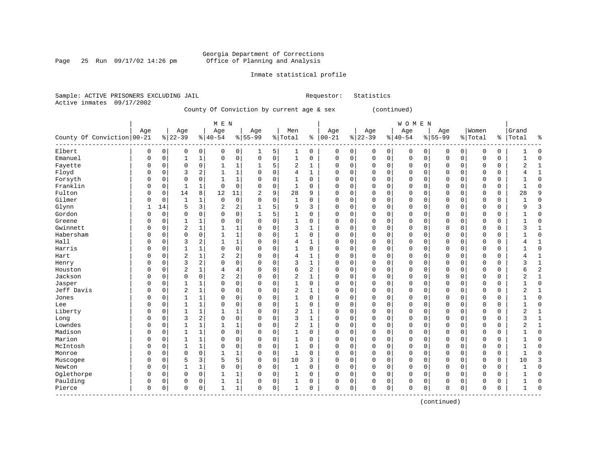Page 25 Run  $09/17/02$  14:26 pm

# Inmate statistical profile

Sample: ACTIVE PRISONERS EXCLUDING JAIL **Requestor:** Statistics Active inmates 09/17/2002

County Of Conviction by current age & sex (continued)

|                            |             |             |                |              | M E N          |                |                |             |                |              |             |             |             |              | <b>WOMEN</b> |             |             |              |             |             |                |                |
|----------------------------|-------------|-------------|----------------|--------------|----------------|----------------|----------------|-------------|----------------|--------------|-------------|-------------|-------------|--------------|--------------|-------------|-------------|--------------|-------------|-------------|----------------|----------------|
|                            | Age         |             | Age            |              | Age            |                | Age            |             | Men            |              | Age         |             | Age         |              | Age          |             | Age         |              | Women       |             | Grand          |                |
| County Of Conviction 00-21 |             |             | $8 22-39$      |              | $8 40-54$      |                | $8155 - 99$    |             | % Total        |              | $% 100-21$  |             | $ 22-39$    |              | $ 40-54$     |             | $8155 - 99$ |              | % Total     | နွ          | Total          | ٩,             |
| Elbert                     | $\mathbf 0$ | $\mathbf 0$ | 0              | 0            | $\Omega$       | 0              | 1              | 5           | 1              | 0            | 0           | 0           | 0           | 0            | 0            | 0           | 0           | 0            | 0           | 0           |                | $\Omega$       |
| Emanuel                    | $\Omega$    | $\mathbf 0$ | 1              | $\mathbf{1}$ | $\Omega$       | $\mathbf 0$    | $\mathbf 0$    | $\mathbf 0$ | 1              | 0            | 0           | $\mathbf 0$ | $\mathbf 0$ | $\mathsf{O}$ | $\mathbf 0$  | $\mathbf 0$ | $\mathbf 0$ | $\mathsf{O}$ | $\mathbf 0$ | $\mathbf 0$ |                | $\Omega$       |
| Fayette                    | $\Omega$    | $\Omega$    | 0              | $\mathbf 0$  | 1              | 1              | 1              | 5           | 2              | 1            | $\Omega$    | $\mathbf 0$ | $\Omega$    | $\mathbf 0$  | 0            | 0           | $\mathbf 0$ | $\mathbf 0$  | 0           | 0           | 2              | $\mathbf{1}$   |
| Floyd                      | $\Omega$    | 0           | 3              | 2            |                | $\mathbf 1$    | 0              | 0           | $\overline{4}$ | $\mathbf{1}$ | $\Omega$    | 0           | $\Omega$    | $\mathbf 0$  | $\Omega$     | 0           | $\mathbf 0$ | $\mathbf 0$  | $\Omega$    | $\mathbf 0$ | 4              | $\mathbf{1}$   |
| Forsyth                    | $\Omega$    | 0           | $\Omega$       | $\mathbf 0$  |                | 1              | 0              | $\mathbf 0$ | $\mathbf{1}$   | $\mathbf 0$  | $\Omega$    | 0           | $\Omega$    | $\mathbf 0$  | $\Omega$     | 0           | $\Omega$    | $\mathbf 0$  | $\mathbf 0$ | $\mathbf 0$ |                | $\Omega$       |
| Franklin                   | $\Omega$    | 0           | $\mathbf 1$    | 1            | $\Omega$       | $\mathbf 0$    | $\Omega$       | $\mathbf 0$ | $\mathbf{1}$   | 0            | $\Omega$    | 0           | $\Omega$    | $\mathbf 0$  | $\mathbf 0$  | 0           | $\mathbf 0$ | $\mathbf 0$  | $\mathbf 0$ | $\mathbf 0$ | 1              | $\Omega$       |
| Fulton                     | $\Omega$    | 0           | 14             | 8            | 12             | 11             | $\overline{2}$ | 9           | 28             | 9            | $\Omega$    | $\mathbf 0$ | $\Omega$    | $\mathbf 0$  | 0            | 0           | $\mathbf 0$ | $\mathbf 0$  | 0           | 0           | 28             | 9              |
| Gilmer                     | $\Omega$    | $\Omega$    | $\mathbf{1}$   | 1            | $\mathbf 0$    | $\mathbf 0$    | 0              | 0           | 1              | $\Omega$     | $\Omega$    | $\mathbf 0$ | $\Omega$    | $\mathbf 0$  | 0            | 0           | $\mathbf 0$ | 0            | $\Omega$    | 0           |                | $\Omega$       |
| Glynn                      |             | 14          | 5              | 3            | $\overline{2}$ | $\overline{2}$ |                | 5           | 9              | 3            | $\Omega$    | $\mathbf 0$ | $\Omega$    | 0            | 0            | 0           | $\mathbf 0$ | 0            | $\Omega$    | $\mathbf 0$ | 9              | 3              |
| Gordon                     | $\Omega$    | $\Omega$    | $\Omega$       | 0            | $\Omega$       | $\mathbf 0$    | 1              | 5           | 1              | $\Omega$     | $\Omega$    | 0           | $\Omega$    | 0            | 0            | $\Omega$    | $\mathbf 0$ | 0            | 0           | 0           |                | $\Omega$       |
| Greene                     | $\Omega$    | $\Omega$    | $\mathbf{1}$   | 1            | $\Omega$       | $\mathbf 0$    | 0              | $\Omega$    | 1              | 0            | $\mathbf 0$ | $\mathbf 0$ | $\Omega$    | $\mathbf 0$  | $\mathbf 0$  | $\Omega$    | $\mathbf 0$ | $\Omega$     | $\mathbf 0$ | $\mathbf 0$ |                | $\cap$         |
| Gwinnett                   | $\Omega$    | $\Omega$    | $\overline{2}$ | 1            |                | 1              | 0              | $\mathbf 0$ | 3              | 1            | $\Omega$    | $\mathbf 0$ | $\Omega$    | $\mathbf 0$  | $\Omega$     | 0           | $\mathbf 0$ | $\Omega$     | 0           | 0           | 3              |                |
| Habersham                  | $\Omega$    | $\Omega$    | $\mathbf 0$    | $\mathbf 0$  |                | 1              | 0              | $\mathbf 0$ | 1              | 0            | $\Omega$    | $\mathbf 0$ | 0           | $\mathbf 0$  | 0            | 0           | $\mathbf 0$ | $\mathbf 0$  | 0           | $\mathbf 0$ |                | $\Omega$       |
| Hall                       | $\Omega$    | $\Omega$    | 3              | 2            |                | $\mathbf{1}$   | 0              | 0           | $\overline{4}$ | $\mathbf{1}$ | $\Omega$    | $\mathbf 0$ | 0           | $\mathbf 0$  | 0            | 0           | $\mathbf 0$ | $\mathbf 0$  | 0           | $\mathbf 0$ | 4              | $\mathbf{1}$   |
| Harris                     | $\Omega$    | $\Omega$    | $\mathbf{1}$   | 1            | $\Omega$       | $\mathbf 0$    | 0              | $\Omega$    | 1              | $\Omega$     | $\Omega$    | $\mathbf 0$ | $\Omega$    | $\mathbf 0$  | $\Omega$     | 0           | $\Omega$    | $\Omega$     | $\Omega$    | $\mathbf 0$ | 1              | $\Omega$       |
| Hart                       | $\Omega$    | $\Omega$    | 2              | 1            | 2              | $\sqrt{2}$     | O              | 0           | $\overline{4}$ | 1            | $\Omega$    | $\mathbf 0$ | $\Omega$    | 0            | 0            | 0           | $\mathbf 0$ | 0            | 0           | 0           | 4              | $\mathbf{1}$   |
| Henry                      | $\Omega$    | 0           | 3              | 2            | $\Omega$       | $\mathbf 0$    | 0              | $\Omega$    | 3              |              | $\mathbf 0$ | 0           | $\Omega$    | $\mathbf 0$  | $\mathbf 0$  | 0           | $\mathbf 0$ | $\mathbf 0$  | 0           | 0           | 3              | $\mathbf{1}$   |
| Houston                    | $\Omega$    | $\Omega$    | $\overline{2}$ | 1            | $\overline{4}$ | $\overline{4}$ | 0              | $\mathbf 0$ | 6              | 2            | $\Omega$    | $\mathsf 0$ | 0           | 0            | $\mathbf 0$  | 0           | $\mathbf 0$ | $\mathbf 0$  | $\Omega$    | $\mathsf 0$ | б              | $\overline{c}$ |
| Jackson                    | $\Omega$    | $\Omega$    | $\Omega$       | 0            | $\overline{2}$ | $\overline{2}$ | 0              | $\mathbf 0$ | $\overline{c}$ | 1            | 0           | $\mathbf 0$ | $\Omega$    | $\mathbf 0$  | $\mathbf 0$  | 0           | $\mathbf 0$ | $\mathbf 0$  | $\mathbf 0$ | $\mathbf 0$ | $\overline{2}$ | $\mathbf{1}$   |
| Jasper                     | $\Omega$    | $\Omega$    | 1              | 1            | $\Omega$       | $\mathbf 0$    | 0              | $\mathbf 0$ | 1              | 0            | 0           | $\mathbf 0$ | $\Omega$    | $\mathbf 0$  | $\mathbf 0$  | 0           | $\mathbf 0$ | $\mathbf 0$  | $\mathbf 0$ | $\mathbf 0$ | 1              | $\Omega$       |
| Jeff Davis                 | $\Omega$    | $\Omega$    | $\overline{a}$ | $\mathbf{1}$ | $\Omega$       | $\mathbf 0$    | 0              | $\Omega$    | $\overline{2}$ | 1            | $\Omega$    | $\mathbf 0$ | $\Omega$    | $\mathbf 0$  | 0            | $\Omega$    | $\Omega$    | $\Omega$     | $\Omega$    | 0           | 2              |                |
| Jones                      | $\Omega$    | $\Omega$    |                | 1            | $\Omega$       | 0              | 0              | 0           | 1              | 0            | $\Omega$    | $\mathbf 0$ | $\Omega$    | $\mathbf 0$  | $\Omega$     | 0           | $\mathbf 0$ | $\mathbf 0$  | 0           | 0           |                | $\Omega$       |
| Lee                        | $\Omega$    | $\mathbf 0$ | 1              | 1            | $\Omega$       | $\mathsf 0$    | $\Omega$       | $\mathsf 0$ | $\mathbf{1}$   | $\mathbf 0$  | $\Omega$    | 0           | $\Omega$    | 0            | $\Omega$     | $\mathsf 0$ | $\mathbf 0$ | $\mathbf 0$  | $\Omega$    | $\mathsf 0$ |                | $\Omega$       |
| Liberty                    | $\Omega$    | $\Omega$    | $\mathbf{1}$   | 1            |                | 1              | 0              | $\mathbf 0$ | $\overline{c}$ | $\mathbf{1}$ | $\Omega$    | $\mathbf 0$ | $\Omega$    | $\mathbf 0$  | 0            | 0           | $\mathbf 0$ | $\mathbf 0$  | $\mathbf 0$ | $\mathbf 0$ | $\overline{2}$ | $\mathbf{1}$   |
| Long                       | $\Omega$    | $\Omega$    | 3              | 2            | $\Omega$       | $\mathbf 0$    | 0              | $\mathbf 0$ | 3              | 1            | $\Omega$    | $\mathbf 0$ | $\Omega$    | $\mathbf 0$  | $\mathbf 0$  | 0           | $\mathbf 0$ | $\mathbf 0$  | $\mathbf 0$ | $\mathbf 0$ | 3              | $\mathbf{1}$   |
| Lowndes                    | $\Omega$    | $\Omega$    | 1              | 1            |                | 1              | 0              | 0           | $\overline{2}$ | 1            | 0           | $\mathbf 0$ | 0           | $\mathbf 0$  | 0            | 0           | $\mathbf 0$ | $\mathbf 0$  | 0           | 0           | $\overline{2}$ | $\mathbf{1}$   |
| Madison                    | $\Omega$    | $\Omega$    | 1              | 1            | $\Omega$       | $\mathbf 0$    | 0              | 0           | 1              | $\Omega$     | $\Omega$    | $\mathbf 0$ | O           | 0            | $\mathbf 0$  | 0           | $\mathbf 0$ | $\mathbf 0$  | $\Omega$    | $\mathbf 0$ |                | $\Omega$       |
| Marion                     | $\Omega$    | $\Omega$    |                | 1            | $\Omega$       | 0              | 0              | $\Omega$    | $\mathbf{1}$   | $\Omega$     | $\Omega$    | 0           | $\Omega$    | 0            | 0            | 0           | $\mathbf 0$ | 0            | $\Omega$    | 0           |                | $\Omega$       |
| McIntosh                   | $\Omega$    | $\Omega$    | -1             | 1            | $\Omega$       | $\mathbf 0$    | O              | $\mathbf 0$ | 1              | $\Omega$     | $\Omega$    | $\mathbf 0$ | $\Omega$    | $\mathbf 0$  | $\mathbf 0$  | 0           | $\mathbf 0$ | $\mathbf 0$  | $\mathbf 0$ | $\mathbf 0$ |                | $\Omega$       |
| Monroe                     | $\Omega$    | $\Omega$    | $\Omega$       | 0            | 1              | 1              | 0              | $\mathbf 0$ | 1              | 0            | $\Omega$    | $\mathbf 0$ | $\Omega$    | $\mathbf 0$  | $\mathbf 0$  | $\Omega$    | $\mathbf 0$ | $\Omega$     | $\mathbf 0$ | $\mathbf 0$ | 1              | $\cap$         |
| Muscogee                   | $\Omega$    | $\Omega$    | 5              | 3            | 5              | 5              | 0              | $\mathbf 0$ | 10             | 3            | 0           | $\mathbf 0$ | $\Omega$    | $\mathbf 0$  | 0            | 0           | $\mathbf 0$ | $\mathbf 0$  | 0           | $\mathbf 0$ | 10             | 3              |
| Newton                     | $\Omega$    | $\Omega$    | 1              | 1            | $\Omega$       | $\mathbf 0$    | 0              | $\mathbf 0$ | 1              | $\Omega$     | $\Omega$    | $\mathbf 0$ | $\Omega$    | $\mathbf 0$  | $\Omega$     | 0           | $\Omega$    | $\Omega$     | $\Omega$    | $\mathbf 0$ |                | $\Omega$       |
| Oglethorpe                 | $\Omega$    | $\Omega$    | 0              | $\mathbf 0$  |                | 1              | 0              | 0           | 1              | 0            | $\Omega$    | 0           | $\Omega$    | 0            | $\Omega$     | 0           | $\mathbf 0$ | $\mathbf 0$  | 0           | 0           |                | $\Omega$       |
| Paulding                   | $\Omega$    | 0           | 0              | 0            |                | 1              | 0              | 0           | $\mathbf{1}$   | 0            | $\Omega$    | 0           | $\Omega$    | 0            | 0            | 0           | $\mathbf 0$ | 0            | 0           | 0           |                | $\Omega$       |
| Pierce                     | $\mathbf 0$ | 0           | $\mathbf 0$    | 0            | 1              | $\mathbf 1$    | 0              | $\mathbf 0$ | 1              | 0            | $\Omega$    | 0           | $\Omega$    | 0            | $\mathbf 0$  | 0           | $\mathbf 0$ | 0            | 0           | $\mathbf 0$ | 1              | $\Omega$       |

(continued)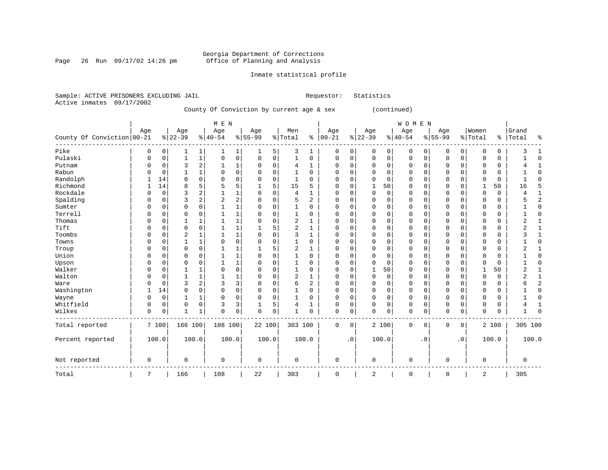Page 26 Run  $09/17/02$  14:26 pm

# Inmate statistical profile

Sample: ACTIVE PRISONERS EXCLUDING JAIL **Requestor:** Statistics Active inmates 09/17/2002

County Of Conviction by current age & sex (continued)

|                            |             |          |              |              | M E N    |                |             |             |                |          |             |           |              |             | WOMEN       |           |              |                |          |             |                |              |
|----------------------------|-------------|----------|--------------|--------------|----------|----------------|-------------|-------------|----------------|----------|-------------|-----------|--------------|-------------|-------------|-----------|--------------|----------------|----------|-------------|----------------|--------------|
|                            | Age         |          | Age          |              | Age      |                | Age         |             | Men            |          | Age         |           | Age          |             | Age         |           | Age          |                | Women    |             | Grand          |              |
| County Of Conviction 00-21 |             |          | $ 22-39$     |              | $ 40-54$ |                | $8 55-99$   |             | % Total        | ႜ        | $ 00-21$    |           | $ 22-39$     |             | $ 40-54$    |           | $8 55-99$    |                | % Total  | ႜႂ          | Total          | ٩,           |
| Pike                       | 0           | 0        | 1            | 1            |          | 1              |             | 5           | 3              | 1        | 0           | 0         | $\Omega$     | $\mathbf 0$ | 0           | 0         | 0            | 0              | 0        | 0           | 3              |              |
| Pulaski                    | 0           | 0        | $\mathbf{1}$ | $1\,$        | $\Omega$ | $\mathsf 0$    | 0           | $\mathbf 0$ | $\mathbf{1}$   | 0        | 0           | 0         | $\Omega$     | 0           | 0           | 0         | $\mathbf 0$  | 0              | $\Omega$ | $\mathbf 0$ |                | $\Omega$     |
| Putnam                     | 0           | 0        | 3            | 2            |          | 1              | 0           | $\mathbf 0$ | 4              | 1        | 0           | 0         | 0            | 0           | 0           | 0         | $\Omega$     | $\mathbf 0$    | 0        | 0           |                |              |
| Rabun                      |             | $\Omega$ |              | $\mathbf{1}$ | 0        | $\mathbf 0$    | 0           | 0           |                | 0        | 0           | 0         |              | $\Omega$    | 0           | 0         | O            | $\Omega$       | 0        | 0           |                | Ω            |
| Randolph                   |             | 14       | $\Omega$     | $\Omega$     | 0        | $\mathbf 0$    | 0           | 0           | 1              | 0        | 0           | 0         |              | $\Omega$    | 0           | 0         | 0            | $\Omega$       | 0        | $\mathbf 0$ |                | ſ            |
| Richmond                   |             | 14       | 8            | 5            | 5        | 5              |             | 5           | 15             | 5        | U           | 0         |              | 50          | 0           | U         | <sup>0</sup> | $\Omega$       |          | 50          | 16             | 5            |
| Rockdale                   | O           | 0        | 3            | 2            |          | 1              | 0           | 0           | 4              | 1        | 0           | 0         | $\mathbf 0$  | $\mathbf 0$ | 0           | 0         | 0            | $\Omega$       | $\Omega$ | 0           |                |              |
| Spalding                   | 0           | $\Omega$ | 3            | 2            | 2        | $\overline{c}$ | 0           | $\Omega$    | 5              | 2        | 0           | 0         | $\Omega$     | $\Omega$    | 0           | $\Omega$  | $\Omega$     | $\Omega$       | $\Omega$ | 0           |                | 2            |
| Sumter                     | O           | $\Omega$ | $\Omega$     | $\Omega$     |          | 1              | 0           | $\Omega$    | 1              | 0        | $\Omega$    | 0         | <sup>0</sup> | $\Omega$    | 0           | 0         | $\Omega$     | $\Omega$       | U        | 0           |                | <sup>0</sup> |
| Terrell                    | O           | O        | $\Omega$     | 0            |          | 1              | 0           | $\Omega$    | 1              | 0        | U           | 0         | $\Omega$     | $\Omega$    | 0           | $\Omega$  | $\Omega$     | $\Omega$       | O        | 0           |                | ſ            |
| Thomas                     | O           | O        | 1            | 1            |          | 1              | 0           | $\Omega$    | $\overline{2}$ | 1        | U           | 0         | <sup>0</sup> | $\Omega$    | 0           | 0         | $\Omega$     | $\Omega$       | $\Omega$ | $\mathbf 0$ | $\overline{2}$ |              |
| Tift                       | 0           | O        | $\Omega$     | $\Omega$     |          | 1              |             | 5           | $\overline{2}$ | 1        | 0           | 0         | <sup>0</sup> | $\Omega$    | 0           | 0         | $\Omega$     | $\Omega$       | $\Omega$ | 0           | 2              |              |
| Toombs                     | 0           | O        | 2            | 1            |          | 1              | 0           | $\Omega$    | 3              | 1        | 0           | 0         | <sup>0</sup> | $\Omega$    | 0           | 0         | $\Omega$     | $\Omega$       | $\Omega$ | 0           | 3              |              |
| Towns                      | O           | O        | $\mathbf{1}$ | 1            | $\Omega$ | $\mathbf 0$    | 0           | $\Omega$    | 1              | 0        | O           | 0         | $\Omega$     | $\Omega$    | U           | $\Omega$  | $\Omega$     | $\Omega$       | $\Omega$ | 0           |                | $\sqrt{ }$   |
| Troup                      | O           | O        | $\Omega$     | 0            | 1        | 1              |             | 5           | $\overline{2}$ | 1        | U           | 0         | $\cap$       | $\Omega$    | U           | $\Omega$  | $\Omega$     | $\Omega$       | $\Omega$ | 0           | 2              |              |
| Union                      | 0           | 0        | $\Omega$     | 0            |          | 1              | 0           | $\Omega$    | 1              | 0        | $\Omega$    | 0         | $\Omega$     | $\mathbf 0$ | 0           | 0         | 0            | 0              | 0        | 0           |                | 0            |
| Upson                      | $\Omega$    | $\Omega$ | $\Omega$     | 0            |          | 1              | 0           | $\Omega$    | 1              | $\Omega$ | 0           | 0         | $\Omega$     | $\mathbf 0$ | 0           | 0         | $\mathbf 0$  | 0              | $\Omega$ | 0           |                | $\Omega$     |
| Walker                     | $\Omega$    | $\Omega$ |              | 1            | $\Omega$ | 0              | 0           | 0           | 1              | 0        | 0           | 0         |              | 50          | 0           | 0         | $\mathbf 0$  | 0              | 1        | 50          | 2              |              |
| Walton                     | O           | 0        |              | $\mathbf{1}$ |          | 1              | 0           | 0           | $\overline{2}$ | 1        | $\Omega$    | 0         | $\mathbf 0$  | 0           | 0           | 0         | $\mathbf 0$  | 0              | $\Omega$ | $\mathbf 0$ | 2              | $\mathbf{1}$ |
| Ware                       | $\Omega$    | 0        | 3            | 2            | 3        | 3              | 0           | $\Omega$    | 6              | 2        | $\Omega$    | 0         | 0            | $\mathbf 0$ | 0           | 0         | $\mathbf 0$  | 0              | $\Omega$ | $\mathbf 0$ | 6              | 2            |
| Washington                 | 1           | 14       | $\Omega$     | 0            | $\Omega$ | $\mathsf 0$    | 0           | $\Omega$    | 1              | $\Omega$ | $\Omega$    | 0         | $\Omega$     | $\mathbf 0$ | 0           | 0         | $\mathbf 0$  | 0              | $\Omega$ | 0           |                | $\Omega$     |
| Wayne                      | $\Omega$    | 0        |              | 1            | 0        | $\mathbf 0$    | 0           | $\mathbf 0$ |                | 0        | $\Omega$    | 0         | 0            | $\mathbf 0$ | 0           | 0         | $\mathbf 0$  | $\mathbf 0$    | 0        | 0           |                | $\Omega$     |
| Whitfield                  | $\Omega$    | 0        | $\Omega$     | 0            | 3        | 3              |             | 5           | 4              |          | 0           | 0         | 0            | 0           | 0           | 0         | $\mathbf 0$  | 0              | $\Omega$ | 0           |                | 1            |
| Wilkes                     | $\mathbf 0$ | 0        | -1           | $\mathbf 1$  | 0        | 0              | 0           | 0           | 1              | 0        | $\Omega$    | 0         | $\Omega$     | 0           | 0           | 0         | $\mathbf 0$  | 0              | $\Omega$ | 0           |                | 0            |
| Total reported             |             | 7 100    | 166 100      |              | 108 100  |                | 22 100      |             | 303 100        |          | 0           | 0         |              | 2 100       | 0           | 0         | $\mathbf 0$  | 0 <sup>1</sup> |          | 2 100       | 305 100        |              |
| Percent reported           |             | 100.0    | 100.0        |              | 100.0    |                | 100.0       |             |                | 100.0    |             | $\cdot$ 0 |              | 100.0       |             | $\cdot$ 0 |              | .0             |          | 100.0       |                | 100.0        |
| Not reported               | $\mathbf 0$ |          | $\mathbf 0$  |              | 0        |                | $\mathbf 0$ |             | $\mathbf 0$    |          | 0           |           | 0            |             | 0           |           | $\mathbf 0$  |                | 0        |             | 0              |              |
| Total                      | 7           |          | 166          |              | 108      |                | 22          |             | 303            |          | $\mathbf 0$ |           | 2            |             | $\mathbf 0$ |           | $\mathbf{0}$ |                | 2        |             | 305            |              |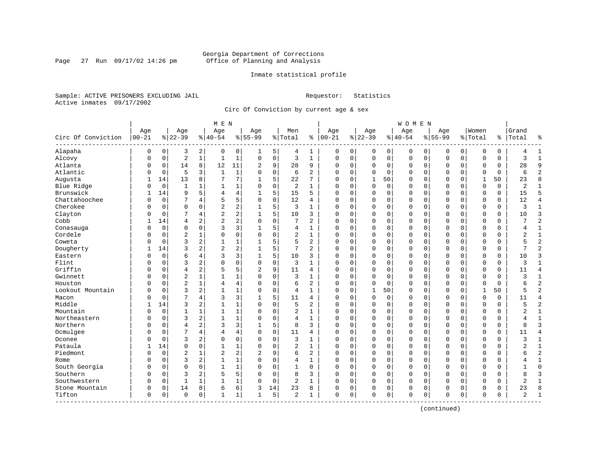Page 27 Run  $09/17/02$  14:26 pm

# Inmate statistical profile

Sample: ACTIVE PRISONERS EXCLUDING JAIL **Requestor:** Statistics Active inmates 09/17/2002

Circ Of Conviction by current age & sex

|                           |            |             |                |              | M E N          |              |                |             |                |                |               |          |             |             | <b>WOMEN</b> |             |             |             |              |          |                |                |
|---------------------------|------------|-------------|----------------|--------------|----------------|--------------|----------------|-------------|----------------|----------------|---------------|----------|-------------|-------------|--------------|-------------|-------------|-------------|--------------|----------|----------------|----------------|
|                           | Age        |             | Age            |              | Age            |              | Age            |             | Men            |                | Age           |          | Age         |             | Age          |             | Age         |             | Women        |          | Grand          |                |
| Circ Of Conviction        | $ 00 - 21$ |             | $ 22-39$       |              | $8   40 - 54$  |              | $8 55-99$      |             | % Total        |                | $8   00 - 21$ |          | $ 22-39$    |             | $8 40-54$    |             | $8155 - 99$ |             | % Total      | ి        | Total          | ٩,             |
| Alapaha                   | 0          | 0           | 3              | 2            | 0              | 0            | 1              | 5           | 4              | 1              | 0             | 0        | 0           | 0           | 0            | 0           | 0           | $\mathbf 0$ | O            | 0        | 4              | $\mathbf{1}$   |
| Alcovy                    | 0          | $\mathbf 0$ | $\sqrt{2}$     | $\mathbf{1}$ | $\mathbf{1}$   | $\mathbf 1$  | 0              | $\mathsf 0$ | 3              | $\mathbf{1}$   | $\mathbf 0$   | 0        | $\mathbf 0$ | $\mathbf 0$ | 0            | $\mathbf 0$ | $\Omega$    | $\mathbf 0$ | O            | 0        | 3              | $\mathbf{1}$   |
| Atlanta                   | 0          | $\mathbf 0$ | 14             | 8            | 12             | 11           | 2              | 9           | 28             | 9              | $\Omega$      | 0        | $\mathbf 0$ | 0           | 0            | $\mathbf 0$ | $\Omega$    | 0           | 0            | 0        | 28             | 9              |
| Atlantic                  | 0          | $\mathbf 0$ | 5              | 3            | $\mathbf{1}$   | $\mathbf{1}$ | $\Omega$       | $\Omega$    | 6              | $\overline{a}$ | $\Omega$      | $\Omega$ | $\Omega$    | $\Omega$    | 0            | $\mathbf 0$ | $\Omega$    | $\Omega$    | $\Omega$     | $\Omega$ | 6              | $\overline{2}$ |
| Augusta                   |            | 14          | 13             | 8            | 7              | 7            | 1              | 5           | 22             | 7              | $\Omega$      | $\Omega$ | 1           | 50          | $\Omega$     | $\Omega$    | $\Omega$    | $\Omega$    | $\mathbf{1}$ | 50       | 23             | 8              |
| Blue Ridge                | 0          | $\mathbf 0$ | 1              | 1            | -1             | $\mathbf{1}$ | 0              | $\mathbf 0$ | 2              | $\mathbf{1}$   | $\Omega$      | $\Omega$ | $\Omega$    | 0           | 0            | $\Omega$    | $\Omega$    | $\Omega$    | $\Omega$     | $\Omega$ | $\overline{2}$ | $\mathbf{1}$   |
| Brunswick                 | 1          | 14          | 9              | 5            | 4              | 4            |                | 5           | 15             | 5              | $\Omega$      | 0        | $\mathbf 0$ | $\mathbf 0$ | 0            | $\mathbf 0$ | $\Omega$    | $\mathbf 0$ | $\Omega$     | 0        | 15             | 5              |
| Chattahoochee             | $\Omega$   | $\mathbf 0$ | 7              | 4            | 5              | 5            | $\Omega$       | $\mathbf 0$ | 12             | 4              | $\Omega$      | $\Omega$ | $\Omega$    | $\Omega$    | 0            | $\mathbf 0$ | $\Omega$    | $\Omega$    | $\Omega$     | 0        | 12             | 4              |
| Cherokee                  | O          | $\mathbf 0$ | $\Omega$       | $\Omega$     | $\overline{a}$ | 2            | 1              | 5           | 3              | $\mathbf{1}$   | $\Omega$      | $\Omega$ | $\Omega$    | 0           | 0            | $\mathbf 0$ | $\Omega$    | $\Omega$    | $\Omega$     | 0        | 3              | $\mathbf{1}$   |
| Clayton                   | U          | $\mathbf 0$ | 7              | 4            | $\overline{2}$ | 2            |                | 5           | 10             | 3              | $\Omega$      | $\Omega$ | $\Omega$    | 0           | 0            | $\mathbf 0$ | $\Omega$    | $\Omega$    | $\Omega$     | 0        | 10             | $\overline{3}$ |
| Cobb                      |            | 14          | $\overline{4}$ | 2            | $\overline{a}$ | 2            | $\Omega$       | $\Omega$    | 7              | 2              | $\Omega$      | $\Omega$ | $\Omega$    | $\Omega$    | 0            | $\Omega$    | $\Omega$    | $\Omega$    | $\bigcap$    | O        | 7              | $\overline{c}$ |
| Conasauga                 | 0          | $\mathbf 0$ | $\Omega$       | 0            | 3              | 3            | 1              | 5           | 4              | $\mathbf{1}$   | $\Omega$      | 0        | U           | 0           | 0            | $\mathbf 0$ | $\Omega$    | 0           | $\Omega$     | 0        | 4              | 1              |
| Cordele                   | 0          | $\mathbf 0$ | $\overline{2}$ |              | $\Omega$       | 0            | $\Omega$       | $\mathbf 0$ | 2              | $\mathbf{1}$   | 0             | 0        | $\Omega$    | 0           | 0            | 0           | $\Omega$    | $\mathbf 0$ | O            | 0        | $\overline{2}$ | $\mathbf{1}$   |
| Coweta                    | U          | $\Omega$    | 3              | 2            | $\mathbf{1}$   | 1            |                | 5           | 5              | 2              | $\Omega$      | $\Omega$ | $\Omega$    | $\Omega$    | $\Omega$     | $\mathbf 0$ | $\Omega$    | $\Omega$    | $\Omega$     | 0        | 5              | $\overline{2}$ |
| Dougherty                 |            | 14          | 3              | 2            | $\overline{2}$ | 2            |                | 5           | 7              | $\overline{a}$ | $\Omega$      | 0        | $\Omega$    | 0           | 0            | $\mathbf 0$ | $\Omega$    | 0           | $\Omega$     | 0        | 7              | $\overline{a}$ |
| Eastern                   | U          | $\mathbf 0$ | 6              | 4            | 3              | 3            |                | 5           | 10             | 3              | $\Omega$      | 0        | 0           | 0           | 0            | 0           | $\Omega$    | 0           | 0            | 0        | 10             | 3              |
| Flint                     | $\Omega$   | $\Omega$    | 3              | 2            | $\Omega$       | 0            | $\Omega$       | $\mathbf 0$ | 3              | $\mathbf{1}$   | $\Omega$      | $\Omega$ | $\Omega$    | $\Omega$    | 0            | $\Omega$    | $\Omega$    | $\Omega$    | $\cap$       | 0        | 3              | 1              |
| Griffin                   | 0          | $\Omega$    | $\overline{4}$ | 2            | 5              | 5            | $\overline{a}$ | 9           | 11             | 4              | $\Omega$      | $\Omega$ | $\Omega$    | $\Omega$    | 0            | $\Omega$    | $\Omega$    | $\Omega$    | $\Omega$     | 0        | 11             | $\overline{4}$ |
| Gwinnett                  | U          | $\mathbf 0$ | $\overline{2}$ |              | $\mathbf{1}$   | 1            | $\Omega$       | $\mathbf 0$ | 3              | $\mathbf{1}$   | $\Omega$      | $\Omega$ | $\Omega$    | $\mathbf 0$ | 0            | $\mathbf 0$ | $\Omega$    | $\Omega$    | $\Omega$     | $\Omega$ | 3              | $\mathbf{1}$   |
| Houston                   | O          | $\Omega$    | $\overline{2}$ | $\mathbf{1}$ | 4              | 4            | $\Omega$       | $\mathbf 0$ | 6              | $\overline{c}$ | $\Omega$      | $\Omega$ | $\Omega$    | $\Omega$    | O            | $\Omega$    | $\Omega$    | $\Omega$    | $\Omega$     | $\Omega$ | 6              | $\overline{2}$ |
| Lookout Mountain          | U          | $\mathbf 0$ | 3              | 2            | -1             | $\mathbf 1$  | $\Omega$       | $\mathbf 0$ | 4              | $\mathbf{1}$   | $\Omega$      | 0        | 1           | 50          | 0            | $\mathbf 0$ | 0           | 0           | -1           | 50       | 5              | $\overline{2}$ |
| Macon                     | $\Omega$   | $\Omega$    | 7              | 4            | 3              | 3            |                | 5           | 11             | 4              | $\Omega$      | $\Omega$ | $\Omega$    | 0           | 0            | 0           | $\Omega$    | $\Omega$    | $\mathbf 0$  | 0        | 11             | $\overline{4}$ |
| Middle                    |            | 14          | 3              | 2            | $\mathbf{1}$   | $\mathbf{1}$ | $\Omega$       | $\Omega$    | 5              | $\overline{a}$ | $\Omega$      | $\Omega$ | $\Omega$    | $\Omega$    | $\Omega$     | $\Omega$    | $\Omega$    | $\Omega$    | $\Omega$     | 0        | 5              | $\overline{2}$ |
| Mountain                  | U          | $\mathbf 0$ | 1              | 1            | $\mathbf{1}$   | $\mathbf{1}$ | $\Omega$       | $\Omega$    | $\overline{2}$ | $\mathbf{1}$   | $\Omega$      | $\Omega$ | $\Omega$    | $\Omega$    | O            | $\Omega$    | $\Omega$    | $\Omega$    | $\Omega$     | $\Omega$ | $\overline{2}$ | $\mathbf{1}$   |
| Northeastern              | 0          | $\mathbf 0$ | 3              | 2            | $\mathbf{1}$   | $\mathbf 1$  | $\Omega$       | $\mathbf 0$ | 4              | $\mathbf{1}$   | $\Omega$      | $\Omega$ | $\Omega$    | 0           | 0            | $\Omega$    | $\Omega$    | $\Omega$    | $\Omega$     | 0        | 4              | $\mathbf{1}$   |
| Northern                  | Λ          | $\Omega$    | $\overline{4}$ | 2            | 3              | 3            |                | 5           | 8              | 3              | $\Omega$      | 0        | $\Omega$    | 0           | 0            | 0           | $\Omega$    | 0           | $\Omega$     | 0        | 8              | 3              |
| Ocmulgee                  | O          | $\mathbf 0$ | 7              | 4            | 4              | 4            | $\Omega$       | $\mathbf 0$ | 11             | 4              | $\Omega$      | 0        | $\mathbf 0$ | 0           | 0            | $\mathbf 0$ | $\Omega$    | 0           | $\Omega$     | 0        | 11             | $\overline{4}$ |
| Oconee                    | U          | $\Omega$    | 3              | 2            | $\Omega$       | 0            | $\Omega$       | $\mathbf 0$ | 3              | $\mathbf{1}$   | $\Omega$      | $\Omega$ | $\Omega$    | $\Omega$    | 0            | $\mathbf 0$ | $\Omega$    | $\Omega$    | $\Omega$     | 0        | 3              | $\mathbf{1}$   |
| Pataula                   |            | 14          | $\Omega$       | $\Omega$     | $\mathbf{1}$   | 1            | $\Omega$       | $\Omega$    | $\overline{2}$ | $\mathbf{1}$   | $\Omega$      | $\Omega$ | $\Omega$    | $\Omega$    | 0            | $\Omega$    | $\Omega$    | $\Omega$    | $\cap$       | O        |                | $\mathbf{1}$   |
| Piedmont                  | U          | $\mathbf 0$ | $\overline{c}$ | 1            | $\overline{2}$ | 2            | 2              | 9           | 6              | $\overline{a}$ | $\Omega$      | $\Omega$ | $\Omega$    | $\Omega$    | $\Omega$     | $\Omega$    | $\Omega$    | $\Omega$    | $\Omega$     | 0        | б              | $\overline{2}$ |
| Rome                      | 0          | $\mathbf 0$ | 3              | 2            | $\mathbf{1}$   | $\mathbf{1}$ | $\Omega$       | $\mathbf 0$ | 4              | 1              | 0             | $\Omega$ | $\mathbf 0$ | 0           | 0            | $\Omega$    | $\Omega$    | 0           | 0            | 0        | 4              | $\mathbf{1}$   |
| South Georgia             | U          | $\Omega$    | $\Omega$       | $\Omega$     | $\mathbf{1}$   | $\mathbf{1}$ | $\Omega$       | $\mathbf 0$ | $\mathbf{1}$   | $\Omega$       | $\Omega$      | $\Omega$ | $\Omega$    | $\Omega$    | $\Omega$     | $\mathbf 0$ | $\Omega$    | $\Omega$    | $\Omega$     | 0        | $\mathbf{1}$   | $\Omega$       |
| Southern                  | $\Omega$   | $\Omega$    | 3              | 2            | 5              | 5            | $\Omega$       | $\mathbf 0$ | 8              | 3              | $\Omega$      | $\Omega$ | $\Omega$    | 0           | 0            | $\mathbf 0$ | $\Omega$    | $\Omega$    | $\Omega$     | 0        | 8              | 3              |
| Southwestern              | 0          | 0           | $\mathbf{1}$   | 1            | 1              | $\mathbf 1$  | $\Omega$       | 0           | 2              | 1              | $\Omega$      | 0        | $\mathbf 0$ | 0           | 0            | 0           | $\Omega$    | 0           | $\Omega$     | 0        | $\overline{2}$ | 1              |
| Stone Mountain            | 0          | 0           | 14             | 8            | 6              | 6            | 3              | 14          | 23             | 8              | 0             | 0        | 0           | 0           | 0            | 0           | $\Omega$    | 0           | $\Omega$     | 0        | 23             | 8              |
| Tifton<br>--------------- | 0          | $\mathbf 0$ | $\Omega$       | 0            | $\mathbf{1}$   | 1            | 1              | 5           | $\overline{a}$ | 1              | $\mathbf 0$   | 0        | $\Omega$    | 0           | 0            | $\mathbf 0$ | $\Omega$    | 0           | $\mathbf 0$  | 0        | 2              | $\mathbf{1}$   |

(continued)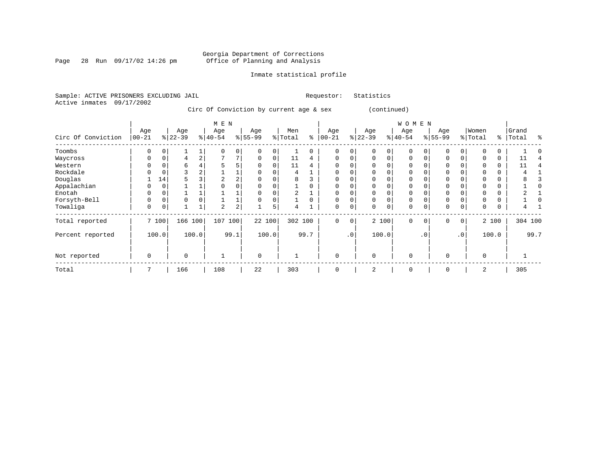Page 28 Run  $09/17/02$  14:26 pm

# Inmate statistical profile

Sample: ACTIVE PRISONERS EXCLUDING JAIL **Requestor:** Statistics Active inmates 09/17/2002

Circ Of Conviction by current age & sex (continued)

|                    |            |          |          |                | M E N     |                |             |       |         |          |           |           |           |          | W O M E N   |           |             |                 |          |       |         |      |
|--------------------|------------|----------|----------|----------------|-----------|----------------|-------------|-------|---------|----------|-----------|-----------|-----------|----------|-------------|-----------|-------------|-----------------|----------|-------|---------|------|
|                    | Age        |          | Age      |                | Age       |                | Age         |       | Men     |          | Age       |           | Age       |          | Age         |           | Age         |                 | Women    |       | Grand   |      |
| Circ Of Conviction | $ 00 - 21$ |          | $ 22-39$ |                | $ 40-54 $ |                | $8 55-99$   |       | % Total | နွ       | $00 - 21$ |           | $ 22-39 $ |          | $ 40-54 $   |           | $8 55-99$   |                 | % Total  | ွေ    | Total   | ႜ    |
| Toombs             | 0          |          |          |                |           | $\overline{0}$ |             |       |         | 0        | $\Omega$  | 0         |           | 0        | $\mathbf 0$ |           |             | $\Omega$        |          |       |         |      |
| Waycross           | 0          | 0        | 4        | $\overline{a}$ | ⇁         | 7              | $\Omega$    | 0     | 11      | 4        | $\Omega$  | $\Omega$  | $\Omega$  | $\Omega$ | $\Omega$    |           | $\Omega$    |                 |          | 0     | 11      |      |
| Western            |            |          | b        |                | 5         | 5              |             |       | 11      | 4        | $\Omega$  |           |           |          | $\Omega$    |           |             |                 |          |       | 11      |      |
| Rockdale           |            |          | 3        | 2              |           |                |             |       | 4       |          | 0         | 0         |           |          | 0           |           |             |                 |          | 0     |         |      |
| Douglas            |            | 14       | 5        |                | 2         | 2              |             |       | 8       |          | $\Omega$  |           |           |          | $\Omega$    |           |             |                 |          |       |         |      |
| Appalachian        |            |          |          |                |           |                |             |       |         |          | $\Omega$  |           |           |          | $\Omega$    |           |             |                 |          |       |         |      |
| Enotah             | 0          |          |          |                |           |                |             |       | 2       |          | $\Omega$  | 0         |           |          | 0           |           |             |                 |          | 0     |         |      |
| Forsyth-Bell       | 0          | $\Omega$ | $\Omega$ |                |           |                |             |       |         | $\Omega$ | $\Omega$  | $\Omega$  | $\Omega$  | $\Omega$ | $\Omega$    |           | $\mathbf 0$ |                 |          | 0     |         |      |
| Towaliga           | 0          | 0        |          |                | 2         | 2              |             | 5     | 4       |          | 0         | 0         | $\Omega$  | 0        | 0           |           | $\mathbf 0$ | 0               | 0        | 0     |         |      |
| Total reported     |            | 7 100    | 166 100  |                | 107       | 100            | 22 100      |       | 302 100 |          | $\Omega$  | 0         |           | 2 100    | $\Omega$    | $\Omega$  | $\Omega$    | 0 <sup>1</sup>  |          | 2 100 | 304 100 |      |
| Percent reported   |            | 100.0    |          | 100.0          |           | 99.1           |             | 100.0 |         | 99.7     |           | $\cdot$ 0 |           | 100.0    |             | $\cdot$ 0 |             | .0 <sup>1</sup> |          | 100.0 |         | 99.7 |
| Not reported       | 0          |          | $\Omega$ |                |           |                | $\mathbf 0$ |       |         |          | 0         |           | $\Omega$  |          | $\mathbf 0$ |           | $\Omega$    |                 | $\Omega$ |       |         |      |
| Total              | 7          |          | 166      |                | 108       |                | 22          |       | 303     |          | $\Omega$  |           | 2         |          | $\Omega$    |           | $\Omega$    |                 | 2        |       | 305     |      |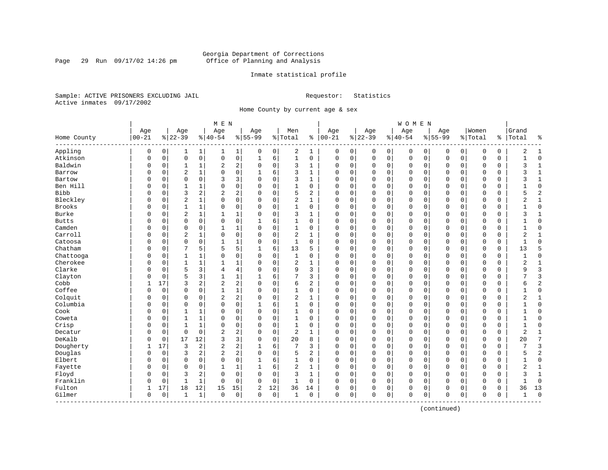Page 29 Run  $09/17/02$  14:26 pm

# Inmate statistical profile

Sample: ACTIVE PRISONERS EXCLUDING JAIL **Requestor:** Statistics Active inmates 09/17/2002

Home County by current age & sex

|               |           |          |                |                | M E N          |                |           |             |                |                |              |   |              |             | <b>WOMEN</b> |             |              |             |             |          |                |                |
|---------------|-----------|----------|----------------|----------------|----------------|----------------|-----------|-------------|----------------|----------------|--------------|---|--------------|-------------|--------------|-------------|--------------|-------------|-------------|----------|----------------|----------------|
|               | Age       |          | Age            |                | Age            |                | Age       |             | Men            |                | Age          |   | Age          |             | Age          |             | Age          |             | Women       |          | Grand          |                |
| Home County   | $00 - 21$ |          | $8 22-39$      |                | $ 40-54$       |                | $8 55-99$ |             | % Total        | နွ             | $ 00-21$     |   | $ 22-39$     |             | $ 40-54$     |             | $8155 - 99$  |             | % Total     |          | %   Total      | ႜ              |
| Appling       | 0         | 0        | 1              | 1              | 1              | $\mathbf{1}$   | 0         | 0           | 2              | 1              | 0            | 0 | 0            | 0           | 0            | 0           | 0            | 0           | 0           | 0        | 2              | 1              |
| Atkinson      | 0         | 0        | $\mathbf 0$    | $\mathsf{O}$   | 0              | 0              | 1         | 6           | $\mathbf{1}$   | 0              | $\mathbf 0$  | 0 | $\mathbf 0$  | $\mathsf 0$ | 0            | $\mathbf 0$ | $\mathbf 0$  | $\mathbf 0$ | $\mathbf 0$ | 0        |                | $\mathbf 0$    |
| Baldwin       | 0         | 0        | 1              | $\mathbf 1$    | 2              | $\overline{a}$ | $\Omega$  | $\mathbf 0$ | 3              | $\mathbf{1}$   | $\mathbf 0$  | 0 | $\mathbf 0$  | $\mathbf 0$ | 0            | $\mathbf 0$ | 0            | $\mathbf 0$ | $\mathbf 0$ | 0        | 3              | $\mathbf{1}$   |
| Barrow        | 0         | 0        | $\overline{2}$ | $\mathbf{1}$   | $\Omega$       | 0              | 1         | 6           | 3              | 1              | $\Omega$     | 0 | $\mathbf 0$  | $\mathbf 0$ | $\Omega$     | $\mathbf 0$ | $\mathbf 0$  | $\Omega$    | $\mathbf 0$ | 0        | ς              | $\mathbf{1}$   |
| Bartow        | O         | $\Omega$ | $\mathbf 0$    | $\mathbf 0$    | 3              | 3              | $\Omega$  | $\Omega$    | 3              | $\mathbf{1}$   | $\Omega$     | 0 | $\mathbf 0$  | 0           | $\Omega$     | $\mathbf 0$ | $\Omega$     | $\Omega$    | $\Omega$    | O        | 3              | $\mathbf{1}$   |
| Ben Hill      | U         | $\Omega$ | 1              | 1              | 0              | 0              | $\Omega$  | $\Omega$    | $\mathbf{1}$   | $\Omega$       | $\Omega$     | 0 | $\Omega$     | $\Omega$    | $\Omega$     | $\mathbf 0$ | $\Omega$     | $\Omega$    | $\Omega$    | 0        |                | $\Omega$       |
| <b>Bibb</b>   | U         | $\Omega$ | 3              | 2              | 2              | 2              | O         | $\mathbf 0$ | 5              | 2              | $\Omega$     | 0 | $\mathbf 0$  | 0           | 0            | $\mathbf 0$ | $\Omega$     | $\Omega$    | $\Omega$    | 0        | 5              | $\overline{2}$ |
| Bleckley      | O         | 0        | $\overline{2}$ | $\mathbf{1}$   | $\Omega$       | 0              | 0         | $\mathbf 0$ | 2              | 1              | 0            | 0 | $\mathbf 0$  | 0           | 0            | $\mathbf 0$ | 0            | 0           | $\mathbf 0$ | 0        | 2              | 1              |
| <b>Brooks</b> | O         | 0        | 1              | $\mathbf{1}$   | 0              | 0              | $\Omega$  | 0           | $\mathbf{1}$   | 0              | 0            | 0 | $\mathbf 0$  | 0           | 0            | $\mathbf 0$ | 0            | 0           | 0           | 0        |                | $\mathbf 0$    |
| Burke         | O         | 0        | $\overline{2}$ | $\mathbf{1}$   | $\mathbf{1}$   | $\mathbf 1$    | $\Omega$  | $\Omega$    | 3              | 1              | $\Omega$     | 0 | $\Omega$     | $\mathbf 0$ | $\Omega$     | $\mathbf 0$ | $\mathbf 0$  | $\Omega$    | $\Omega$    | 0        | ζ              | $\mathbf{1}$   |
| <b>Butts</b>  | O         | 0        | $\Omega$       | $\mathbf 0$    | $\Omega$       | 0              |           | 6           | 1              | $\Omega$       | $\Omega$     | 0 | $\mathbf 0$  | $\mathbf 0$ | $\Omega$     | $\mathbf 0$ | $\Omega$     | $\Omega$    | $\mathbf 0$ | 0        |                | $\Omega$       |
| Camden        | U         | $\Omega$ | $\mathbf 0$    | $\Omega$       | $\mathbf{1}$   | 1              | $\Omega$  | $\Omega$    | $\mathbf{1}$   | $\Omega$       | $\Omega$     | O | $\Omega$     | 0           | $\Omega$     | $\mathbf 0$ | $\Omega$     | $\Omega$    | $\mathbf 0$ | 0        | 1              | $\Omega$       |
| Carroll       | U         | 0        | $\overline{2}$ | 1              | 0              | 0              | $\Omega$  | $\mathbf 0$ | $\overline{c}$ | 1              | $\Omega$     | 0 | $\mathbf 0$  | 0           | 0            | $\mathbf 0$ | $\Omega$     | $\Omega$    | $\mathbf 0$ | 0        | $\overline{2}$ | $\mathbf{1}$   |
| Catoosa       | 0         | 0        | $\mathbf 0$    | $\mathbf 0$    | $\mathbf{1}$   | 1              | 0         | 0           | $\mathbf{1}$   | 0              | 0            | 0 | 0            | 0           | 0            | 0           | 0            | 0           | $\mathbf 0$ | 0        |                | $\Omega$       |
| Chatham       | U         | 0        | 7              | 5              | 5              | 5              | 1         | 6           | 13             | 5              | $\Omega$     | 0 | $\mathbf 0$  | 0           | $\Omega$     | 0           | $\mathbf{0}$ | 0           | $\mathbf 0$ | 0        | 13             | 5              |
| Chattooga     | 0         | 0        | 1              | 1              | $\Omega$       | 0              | $\Omega$  | 0           | 1              | 0              | $\Omega$     | 0 | $\mathbf 0$  | 0           | 0            | $\mathbf 0$ | $\mathbf 0$  | 0           | 0           | 0        |                | $\mathbf 0$    |
| Cherokee      | O         | 0        | $\mathbf{1}$   | $\mathbf{1}$   | 1              | 1              | $\Omega$  | $\mathbf 0$ | $\overline{2}$ | $\mathbf{1}$   | $\Omega$     | 0 | $\Omega$     | 0           | $\Omega$     | $\mathbf 0$ | $\Omega$     | $\Omega$    | $\Omega$    | 0        | 2              | $\mathbf{1}$   |
| Clarke        | O         | $\Omega$ | 5              | 3              | 4              | 4              | $\Omega$  | $\Omega$    | 9              | 3              | $\Omega$     | O | $\Omega$     | $\Omega$    | $\Omega$     | $\mathbf 0$ | $\Omega$     | $\Omega$    | $\mathbf 0$ | $\Omega$ | 9              | $\overline{3}$ |
| Clayton       | 0         | 0        | 5              | 3              | $\mathbf{1}$   | $\mathbf 1$    |           | 6           | 7              | 3              | $\Omega$     | 0 | $\mathbf 0$  | $\mathbf 0$ | 0            | $\mathbf 0$ | $\Omega$     | $\Omega$    | $\Omega$    | 0        |                | 3              |
| Cobb          | 1         | 17       | 3              | $\overline{a}$ | 2              | 2              | 0         | 0           | 6              | 2              | 0            | 0 | 0            | 0           | 0            | 0           | 0            | 0           | $\mathbf 0$ | 0        | 6              | $\overline{2}$ |
| Coffee        | O         | 0        | $\Omega$       | 0              | $\mathbf{1}$   | $\mathbf 1$    | $\Omega$  | 0           | $\mathbf 1$    | 0              | $\Omega$     | 0 | $\mathbf{0}$ | 0           | $\Omega$     | 0           | $\mathbf{0}$ | 0           | $\Omega$    | 0        | -1             | $\Omega$       |
| Colquit       | 0         | 0        | $\mathbf 0$    | 0              | 2              | 2              | $\Omega$  | 0           | 2              | 1              | $\Omega$     | 0 | $\mathbf 0$  | 0           | 0            | $\mathbf 0$ | $\mathbf 0$  | $\mathbf 0$ | 0           | 0        | 2              | 1              |
| Columbia      | O         | 0        | $\mathbf 0$    | $\mathbf 0$    | $\Omega$       | 0              |           | 6           | 1              | $\Omega$       | $\Omega$     | 0 | $\Omega$     | $\mathbf 0$ | $\Omega$     | $\mathbf 0$ | $\Omega$     | $\Omega$    | $\mathbf 0$ | $\Omega$ |                | $\Omega$       |
| Cook          | 0         | $\Omega$ | 1              | 1              | 0              | 0              | $\Omega$  | $\Omega$    | $\mathbf{1}$   | $\Omega$       | $\Omega$     | 0 | $\Omega$     | 0           | $\Omega$     | $\mathbf 0$ | $\Omega$     | $\Omega$    | $\mathbf 0$ | 0        |                | $\Omega$       |
| Coweta        | U         | $\Omega$ | $\mathbf{1}$   | 1              | 0              | 0              | $\Omega$  | $\Omega$    | 1              | $\Omega$       | $\Omega$     | 0 | $\mathbf 0$  | 0           | $\Omega$     | $\mathbf 0$ | $\Omega$     | $\Omega$    | $\mathbf 0$ | 0        |                | $\Omega$       |
| Crisp         | O         | 0        | 1              | $\mathbf{1}$   | $\mathbf 0$    | 0              | $\Omega$  | 0           | $\mathbf{1}$   | 0              | 0            | 0 | $\Omega$     | 0           | 0            | 0           | $\Omega$     | 0           | $\mathbf 0$ | 0        | $\mathbf{1}$   | $\Omega$       |
| Decatur       | U         | 0        | $\mathbf 0$    | $\mathbf 0$    | $\overline{c}$ | 2              | $\Omega$  | $\mathbf 0$ | 2              | 1              | $\Omega$     | 0 | $\mathbf 0$  | 0           | $\Omega$     | $\mathbf 0$ | $\mathbf 0$  | 0           | $\Omega$    | 0        | $\overline{c}$ | $\mathbf{1}$   |
| DeKalb        | 0         | 0        | 17             | 12             | 3              | 3              | $\Omega$  | 0           | 20             | 8              | $\Omega$     | 0 | $\mathbf 0$  | 0           | 0            | $\mathbf 0$ | $\mathbf 0$  | 0           | 0           | 0        | 20             | 7              |
| Dougherty     |           | 17       | 3              | 2              | $\overline{2}$ | 2              |           | 6           | 7              | 3              | $\Omega$     | 0 | $\mathbf 0$  | 0           | 0            | $\mathbf 0$ | 0            | 0           | $\mathbf 0$ | 0        |                | 3              |
| Douglas       | U         | 0        | 3              | 2              | 2              | 2              | $\Omega$  | $\Omega$    | 5              | $\overline{a}$ | $\Omega$     | 0 | $\Omega$     | $\Omega$    | $\Omega$     | $\Omega$    | $\Omega$     | $\Omega$    | $\Omega$    | 0        | 5              | $\overline{2}$ |
| Elbert        | U         | $\Omega$ | $\mathbf 0$    | $\Omega$       | $\Omega$       | 0              | 1         | 6           | $\mathbf{1}$   | 0              | $\Omega$     | 0 | $\mathbf 0$  | $\mathbf 0$ | $\Omega$     | $\mathbf 0$ | $\Omega$     | $\Omega$    | $\mathbf 0$ | 0        |                | $\mathbf 0$    |
| Fayette       | U         | 0        | $\mathbf 0$    | $\mathbf 0$    | $\mathbf{1}$   | $\mathbf 1$    | 1         | 6           | 2              | $\mathbf{1}$   | $\Omega$     | 0 | $\mathbf 0$  | 0           | $\Omega$     | $\mathbf 0$ | $\Omega$     | 0           | $\mathbf 0$ | 0        | $\overline{2}$ | $\mathbf{1}$   |
| Floyd         | U         | 0        | 3              | 2              | 0              | 0              | $\Omega$  | $\mathbf 0$ | 3              | $\mathbf{1}$   | 0            | 0 | 0            | 0           | 0            | 0           | $\mathbf 0$  | 0           | 0           | 0        | ζ              | $\mathbf{1}$   |
| Franklin      | 0         | 0        | $\mathbf{1}$   | 1              | 0              | 0              | $\Omega$  | 0           | 1              | 0              | $\mathbf 0$  | 0 | $\mathbf 0$  | 0           | 0            | 0           | 0            | $\mathbf 0$ | 0           | 0        |                | $\Omega$       |
| Fulton        | 1         | 17       | 18             | 12             | 15             | 15             | 2         | 12          | 36             | 14             | 0            | 0 | 0            | 0           | 0            | 0           | 0            | 0           | 0           | 0        | 36             | 13             |
| Gilmer        | 0         | 0        | $\mathbf{1}$   | $\mathbf{1}$   | $\Omega$       | 0              | $\Omega$  | $\mathbf 0$ | 1              | 0              | $\mathbf{0}$ | 0 | $\Omega$     | $\mathbf 0$ | $\Omega$     | $\mathbf 0$ | $\Omega$     | $\mathbf 0$ | $\Omega$    | 0        |                | $\Omega$       |

(continued)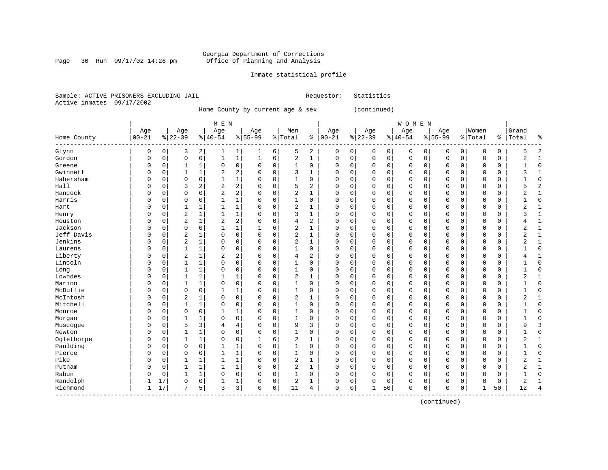Page 30 Run  $09/17/02$  14:26 pm

# Inmate statistical profile

Sample: ACTIVE PRISONERS EXCLUDING JAIL **Requestor:** Statistics Active inmates 09/17/2002

Home County by current age & sex (continued)

|             |             |             |                |              | M E N          |                |           |   |                |                |             |             |             |             | WOMEN    |          |             |             |              |               |                |                |
|-------------|-------------|-------------|----------------|--------------|----------------|----------------|-----------|---|----------------|----------------|-------------|-------------|-------------|-------------|----------|----------|-------------|-------------|--------------|---------------|----------------|----------------|
|             | Age         |             | Age            |              | Age            |                | Age       |   | Men            |                | Age         |             | Age         |             | Age      |          | Age         |             | Women        |               | Grand          |                |
| Home County | $ 00 - 21$  |             | $ 22-39$       |              | $8 40-54$      |                | $8 55-99$ |   | % Total        |                | $% 100-21$  |             | $ 22-39$    |             | $ 40-54$ |          | $8 55-99$   |             | % Total      | $\frac{8}{6}$ | Total          | ႜ              |
| Glynn       | 0           | 0           | 3              | 2            | 1              | $\mathbf{1}$   | 1         | 6 | 5              | 2              | 0           | 0           | 0           | $\circ$     | 0        | 0        | $\Omega$    | 0           | O            | 0             | 5              | $\overline{c}$ |
| Gordon      | $\Omega$    | 0           | 0              | 0            | 1              | $\mathbf{1}$   | 1         | 6 | 2              | 1              | 0           | 0           | $\mathbf 0$ | 0           | 0        | 0        | $\Omega$    | $\mathbf 0$ | $\Omega$     | 0             | 2              | $\mathbf{1}$   |
| Greene      | 0           | 0           | 1              | 1            | 0              | $\circ$        | 0         | 0 | 1              | 0              | 0           | 0           | 0           | 0           | 0        | 0        | $\Omega$    | 0           | O            | 0             |                | $\mathbf{0}$   |
| Gwinnett    | 0           | 0           | 1              | 1            | 2              | $\overline{2}$ | 0         | 0 | 3              |                | 0           | 0           | $\Omega$    | 0           | 0        | $\Omega$ | $\Omega$    | 0           | $\Omega$     | 0             | ζ              | $\mathbf{1}$   |
| Habersham   | $\Omega$    | 0           | 0              | $\mathsf 0$  | $\mathbf{1}$   | $\mathbf{1}$   | 0         | 0 | 1              | 0              | 0           | 0           | $\Omega$    | 0           | 0        | $\Omega$ | $\Omega$    | 0           | $\Omega$     | 0             |                | $\Omega$       |
| Hall        | $\Omega$    | 0           | 3              | $\sqrt{2}$   | $\sqrt{2}$     | $\overline{2}$ | $\Omega$  | 0 | 5              | $\overline{a}$ | 0           | $\mathbf 0$ | $\Omega$    | 0           | 0        | $\Omega$ | $\Omega$    | $\Omega$    | $\Omega$     | 0             | 5              | $\overline{2}$ |
| Hancock     | $\Omega$    | 0           | 0              | $\mathbf 0$  | $\overline{2}$ | 2              | 0         | 0 | 2              | 1              | 0           | $\mathbf 0$ | $\Omega$    | $\mathbf 0$ | 0        | $\Omega$ | $\Omega$    | 0           | $\Omega$     | 0             | 2              | $\mathbf{1}$   |
| Harris      | $\Omega$    | 0           | 0              | 0            | 1              | $\mathbf{1}$   | 0         | 0 | 1              | 0              | 0           | 0           | $\Omega$    | $\mathbf 0$ | 0        | 0        | $\Omega$    | $\mathbf 0$ | O            | 0             |                | $\Omega$       |
| Hart        | C           | 0           | $\mathbf{1}$   | $\mathbf 1$  | $\mathbf{1}$   | $\mathbf{1}$   | 0         | 0 | 2              | 1              | 0           | 0           | $\Omega$    | $\mathbf 0$ | $\Omega$ | 0        | $\mathbf 0$ | $\mathbf 0$ | O            | 0             | $\overline{2}$ | $\mathbf{1}$   |
| Henry       | 0           | $\mathbf 0$ | $\overline{2}$ | $\mathbf{1}$ | $\mathbf{1}$   | $\mathbf{1}$   | 0         | 0 | 3              | 1              | $\Omega$    | 0           | $\Omega$    | $\mathbf 0$ | 0        | 0        | $\Omega$    | $\mathbf 0$ | O            | 0             | 3              | $\mathbf{1}$   |
| Houston     | $\mathbf 0$ | $\Omega$    | $\overline{2}$ | $\mathbf 1$  | $\overline{2}$ | 2              | 0         | 0 | $\overline{4}$ | 2              | $\mathbf 0$ | 0           | $\Omega$    | $\mathbf 0$ | 0        | 0        | $\Omega$    | $\mathbf 0$ | O            | 0             |                | $\mathbf{1}$   |
| Jackson     | 0           | 0           | $\mathbf 0$    | $\mathsf 0$  |                | $\mathbf{1}$   |           | 6 | $\overline{c}$ | 1              | 0           | 0           | 0           | 0           | 0        | 0        | 0           | 0           | O            | 0             | 2              | $\mathbf{1}$   |
| Jeff Davis  | $\Omega$    | $\Omega$    | $\overline{2}$ | $\mathbf 1$  | $\mathbf 0$    | 0              | 0         | 0 | 2              | 1              | $\Omega$    | 0           | $\Omega$    | $\mathbf 0$ | 0        | $\Omega$ | $\Omega$    | $\mathbf 0$ | O            | 0             | 2              | $\mathbf{1}$   |
| Jenkins     | $\Omega$    | $\Omega$    | $\overline{2}$ | $\mathbf 1$  | $\mathbf 0$    | $\mathbf 0$    | 0         | 0 | 2              | 1              | 0           | $\mathsf 0$ | $\Omega$    | $\mathbf 0$ | 0        | $\Omega$ | $\Omega$    | 0           | $\Omega$     | 0             | 2              | $\mathbf{1}$   |
| Laurens     | $\Omega$    | $\Omega$    | 1              | $\mathbf 1$  | $\Omega$       | $\mathbf 0$    | 0         | 0 | 1              | 0              | 0           | $\mathbf 0$ | $\Omega$    | $\mathbf 0$ | 0        | $\Omega$ | $\Omega$    | $\mathbf 0$ | $\Omega$     | 0             |                | $\Omega$       |
| Liberty     | $\Omega$    | $\Omega$    | $\overline{2}$ | 1            | 2              | 2              | 0         | 0 | $\overline{4}$ | 2              | 0           | $\mathbf 0$ | $\Omega$    | $\mathbf 0$ | 0        | $\Omega$ | $\Omega$    | $\mathbf 0$ | $\Omega$     | 0             |                | -1             |
| Lincoln     | 0           | 0           | 1              | 1            | $\mathbf 0$    | $\overline{0}$ | 0         | 0 | 1              | $\mathbf 0$    | 0           | $\mathbf 0$ | $\Omega$    | $\mathbf 0$ | 0        | 0        | 0           | $\mathbf 0$ | O            | 0             |                | $\Omega$       |
| Long        | 0           | 0           | $\mathbf{1}$   | $\mathbf{1}$ | $\mathbf 0$    | $\mathsf{O}$   | 0         | 0 | $\mathbf{1}$   | $\mathbf 0$    | 0           | $\mathbf 0$ | 0           | $\mathbf 0$ | 0        | 0        | $\mathbf 0$ | $\mathbf 0$ | O            | 0             |                | $\Omega$       |
| Lowndes     | 0           | 0           | $\mathbf{1}$   | $\mathbf{1}$ | 1              | $\mathbf{1}$   | 0         | 0 | $\overline{c}$ | $\mathbf{1}$   | $\Omega$    | $\mathbf 0$ | $\Omega$    | $\mathbf 0$ | 0        | 0        | $\Omega$    | $\mathbf 0$ | O            | 0             | $\overline{2}$ | $\mathbf{1}$   |
| Marion      | 0           | 0           | $\mathbf{1}$   | 1            | $\mathbf 0$    | $\mathbf 0$    | 0         | 0 | $\mathbf{1}$   | 0              | 0           | $\mathbf 0$ | 0           | 0           | 0        | 0        | $\Omega$    | $\mathbf 0$ | O            | 0             |                | $\mathbf{0}$   |
| McDuffie    | 0           | 0           | 0              | 0            |                | $\mathbf{1}$   | 0         | 0 | $\mathbf{1}$   | 0              | 0           | $\mathbf 0$ | 0           | 0           | 0        | 0        | 0           | 0           | O            | 0             |                | $\Omega$       |
| McIntosh    | $\Omega$    | $\Omega$    | $\overline{2}$ | $\mathbf 1$  | $\Omega$       | $\mathsf{O}$   | 0         | 0 | 2              | 1              | $\Omega$    | 0           | 0           | $\mathbf 0$ | 0        | 0        | $\Omega$    | 0           | O            | 0             | 2              | 1              |
| Mitchell    | $\Omega$    | $\Omega$    | $\mathbf{1}$   | $\mathbf{1}$ | $\Omega$       | $\mathbf 0$    | 0         | 0 | $\mathbf{1}$   | 0              | 0           | $\mathbf 0$ | $\Omega$    | $\mathbf 0$ | 0        | $\Omega$ | $\Omega$    | 0           | $\Omega$     | 0             |                | $\Omega$       |
| Monroe      | $\Omega$    | $\Omega$    | 0              | $\mathbf 0$  | 1              | $\mathbf{1}$   | $\Omega$  | 0 | 1              | $\Omega$       | 0           | $\mathbf 0$ | $\Omega$    | $\Omega$    | 0        | $\Omega$ | $\Omega$    | $\Omega$    | $\Omega$     | 0             |                | $\Omega$       |
| Morgan      | $\Omega$    | 0           | 1              | $\mathbf{1}$ | $\Omega$       | $\mathbf 0$    | 0         | 0 | 1              | 0              | 0           | $\mathbf 0$ | $\Omega$    | $\mathbf 0$ | 0        | $\Omega$ | $\Omega$    | 0           | $\Omega$     | 0             |                | $\Omega$       |
| Muscogee    | 0           | $\Omega$    | 5              | 3            | 4              | $\overline{4}$ | 0         | 0 | 9              | 3              | $\Omega$    | $\mathsf 0$ | 0           | $\mathbf 0$ | 0        | 0        | $\Omega$    | $\mathbf 0$ | O            | 0             | 9              | 3              |
| Newton      | $\Omega$    | $\Omega$    | $\mathbf{1}$   | $\mathbf{1}$ | $\Omega$       | 0              | 0         | 0 | 1              | 0              | $\Omega$    | 0           | $\Omega$    | $\mathbf 0$ | 0        | $\Omega$ | $\Omega$    | 0           | $\Omega$     | 0             |                | $\Omega$       |
| Oglethorpe  | 0           | $\Omega$    | 1              | $\mathbf 1$  | 0              | $\mathbf 0$    | 1         | 6 | $\overline{2}$ | 1              | $\Omega$    | 0           | $\Omega$    | 0           | 0        | 0        | $\Omega$    | 0           | O            | 0             | 2              | 1              |
| Paulding    | 0           | 0           | 0              | $\mathsf 0$  | 1              | 1              | 0         | 0 | 1              | 0              | 0           | 0           | $\Omega$    | 0           | 0        | 0        | $\Omega$    | 0           | $\Omega$     | 0             |                | $\mathbf{0}$   |
| Pierce      | $\Omega$    | 0           | 0              | 0            | 1              | $\mathbf{1}$   | 0         | 0 | 1              | 0              | 0           | 0           | $\Omega$    | 0           | 0        | 0        | $\Omega$    | 0           | O            | 0             |                | $\Omega$       |
| Pike        | $\Omega$    | $\Omega$    | 1              | 1            | 1              | $\mathbf{1}$   | 0         | 0 | 2              | 1              | 0           | 0           | 0           | 0           | 0        | $\Omega$ | $\Omega$    | 0           | O            | 0             | 2              | 1              |
| Putnam      | $\Omega$    | $\Omega$    | 1              | 1            | 1              | $\mathbf{1}$   | 0         | 0 | $\overline{c}$ | 1              | 0           | 0           | $\Omega$    | 0           | 0        | $\Omega$ | $\Omega$    | $\Omega$    | $\Omega$     | 0             | 2              | 1              |
| Rabun       | $\Omega$    | $\Omega$    | 1              | $\mathbf{1}$ | $\Omega$       | $\mathbf 0$    | 0         | 0 | 1              | 0              | 0           | 0           | $\Omega$    | $\mathbf 0$ | 0        | O        | $\Omega$    | $\Omega$    | $\Omega$     | 0             |                | $\Omega$       |
| Randolph    |             | 17          | 0              | 0            |                | 1              | 0         | 0 | $\overline{c}$ | 1              | $\Omega$    | 0           | $\Omega$    | $\mathbf 0$ | 0        | 0        | $\Omega$    | 0           | $\Omega$     | 0             | $\overline{2}$ | $\mathbf{1}$   |
| Richmond    | 1           | 17          | 7              | 5            | 3              | 3              | 0         | 0 | 11             | 4              | $\Omega$    | 0           |             | 50          | 0        | 0        | $\mathbf 0$ | 0           | $\mathbf{1}$ | 50            | 12             | $\overline{4}$ |

------------------------------------------------------------------------------------------------------------------------------------

(continued)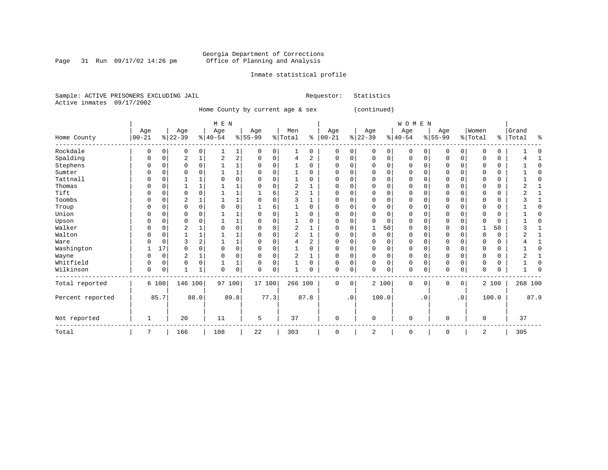Page 31 Run  $09/17/02$  14:26 pm

# Inmate statistical profile

Sample: ACTIVE PRISONERS EXCLUDING JAIL **Requestor:** Statistics Active inmates 09/17/2002

Home County by current age & sex (continued)

|                  |              |          |                |              | M E N     |              |           |          |                |                |               |             |          |              | WOMEN       |           |             |             |          |             |         |      |
|------------------|--------------|----------|----------------|--------------|-----------|--------------|-----------|----------|----------------|----------------|---------------|-------------|----------|--------------|-------------|-----------|-------------|-------------|----------|-------------|---------|------|
|                  | Age          |          | Age            |              | Age       |              | Age       |          | Men            |                | Age           |             | Age      |              | Age         |           | Age         |             | Women    |             | Grand   |      |
| Home County      | $00 - 21$    |          | $ 22-39 $      |              | $ 40-54 $ |              | $8 55-99$ |          | % Total        |                | $8   00 - 21$ |             | $ 22-39$ |              | $8 40-54$   |           | $8 55-99$   |             | % Total  | ွေ          | Total   | ႜ    |
| Rockdale         | $\Omega$     | 0        | 0              | 0            |           | 1            | 0         | $\Omega$ |                | 0              | 0             | 0           | 0        | $\mathbf{0}$ | 0           | 0         | 0           | 0           | 0        | 0           |         |      |
| Spalding         |              |          | $\overline{2}$ |              | 2         | $\sqrt{2}$   | 0         | 0        | 4              | $\overline{a}$ | 0             | 0           | $\Omega$ | 0            | 0           | 0         | $\Omega$    | $\mathbf 0$ | 0        | 0           |         |      |
| Stephens         | $\Omega$     |          | $\Omega$       | 0            |           |              | U         | 0        |                | $\Omega$       | $\Omega$      | 0           | $\Omega$ | 0            | $\Omega$    | O         | $\Omega$    | $\mathbf 0$ | $\Omega$ | 0           |         | C    |
| Sumter           |              |          | U              | O            |           | $\mathbf{1}$ | O         | $\Omega$ |                | $\Omega$       | $\Omega$      | 0           | O        | $\Omega$     | $\Omega$    | 0         | $\Omega$    | $\Omega$    | 0        | 0           |         | ſ    |
| Tattnall         |              |          |                |              |           | $\Omega$     | U         | $\Omega$ |                | $\Omega$       | 0             | $\Omega$    | $\Omega$ | $\Omega$     | O           | U         | $\Omega$    | $\Omega$    | U        | 0           |         | ſ    |
| Thomas           |              |          |                |              |           |              | U         | U        | 2              |                | $\Omega$      | 0           |          | 0            | O           |           | $\Omega$    | 0           |          | 0           |         |      |
| Tift             |              |          | 0              | O            |           |              |           | 6        | 2              |                | 0             | 0           |          | $\Omega$     | 0           |           | O           | 0           |          | 0           |         |      |
| Toombs           |              |          | 2              |              |           |              | U         | 0        | ્ર             |                | $\Omega$      | 0           | $\Omega$ | $\Omega$     | $\Omega$    |           | $\Omega$    | 0           | 0        | 0           |         |      |
| Troup            |              |          | 0              | 0            |           | $\mathbf 0$  |           | 6        |                | $\Omega$       | $\Omega$      | 0           | 0        | $\mathbf 0$  | $\Omega$    | 0         | $\Omega$    | $\Omega$    | 0        | $\mathbf 0$ |         |      |
| Union            | ∩            |          | $\Omega$       | O            |           |              | U         | $\Omega$ |                | $\Omega$       | $\Omega$      | $\Omega$    | $\Omega$ | $\mathbf 0$  | $\Omega$    | O         | $\Omega$    | $\mathbf 0$ | $\Omega$ | 0           |         |      |
| Upson            |              |          | ∩              |              |           |              | U         | $\Omega$ |                | $\Omega$       | $\Omega$      | 0           |          | $\Omega$     | O           |           | $\Omega$    | O           | U        | 0           |         |      |
| Walker           |              |          | 2              |              |           | $\mathbf 0$  | 0         | 0        | 2              |                | 0             | 0           |          | 50           | O           |           | O           | U           |          | 50          |         |      |
| Walton           | ∩            |          |                |              |           |              | U         | $\Omega$ | $\overline{c}$ |                | $\Omega$      | 0           | $\Omega$ | 0            | $\Omega$    |           | $\mathbf 0$ | O           | $\Omega$ | 0           |         |      |
| Ware             |              |          | 3              | 2            |           | 1            | 0         | $\Omega$ | 4              | 2              | $\Omega$      | 0           | $\Omega$ | $\Omega$     | $\Omega$    | 0         | $\Omega$    | $\Omega$    | 0        | 0           |         |      |
| Washington       |              | 17       | $\Omega$       | $\Omega$     |           | $\mathbf 0$  | U         | $\Omega$ |                | $\Omega$       | $\Omega$      | $\Omega$    | $\Omega$ | $\mathbf 0$  | $\Omega$    | U         | $\mathbf 0$ | $\mathbf 0$ | $\Omega$ | 0           |         | ſ    |
| Wayne            |              | $\Omega$ | 2              |              |           | $\mathbf 0$  | 0         | $\Omega$ | $\overline{c}$ |                | 0             | 0           | $\Omega$ | $\mathbf 0$  | 0           | 0         | $\mathbf 0$ | 0           | $\Omega$ | 0           |         |      |
| Whitfield        | O            | $\Omega$ | 0              | 0            |           |              | 0         | 0        |                | 0              | $\Omega$      | $\mathbf 0$ | $\Omega$ | $\mathbf 0$  | 0           | $\Omega$  | $\mathbf 0$ | $\mathbf 0$ | 0        | 0           |         |      |
| Wilkinson        | $\Omega$     | 0        | $\mathbf{1}$   | $\mathbf{1}$ | $\Omega$  | $\mathsf 0$  | U         | $\Omega$ |                | $\Omega$       | $\Omega$      | 0           | $\Omega$ | 0            | 0           | 0         | $\mathbf 0$ | 0           | $\Omega$ | 0           |         |      |
| Total reported   |              | 6 100    | 146 100        |              | 97 100    |              | 17 100    |          | 266 100        |                | 0             | 0           |          | 2 100        | $\mathbf 0$ | 0         | $\mathbf 0$ | 0           |          | 2 100       | 268 100 |      |
| Percent reported |              | 85.7     |                | 88.0         |           | 89.8         |           | 77.3     |                | 87.8           |               | $\cdot$ 0   |          | 100.0        |             | $\cdot$ 0 |             | $\cdot$ 0   |          | 100.0       |         | 87.9 |
| Not reported     | $\mathbf{1}$ |          | 20             |              | 11        |              | 5         |          | 37             |                | $\Omega$      |             | $\Omega$ |              | 0           |           | $\Omega$    |             | $\Omega$ |             | 37      |      |
| Total            |              |          | 166            |              | 108       |              | 22        |          | 303            |                | 0             |             | 2        |              | 0           |           | 0           |             | 2        |             | 305     |      |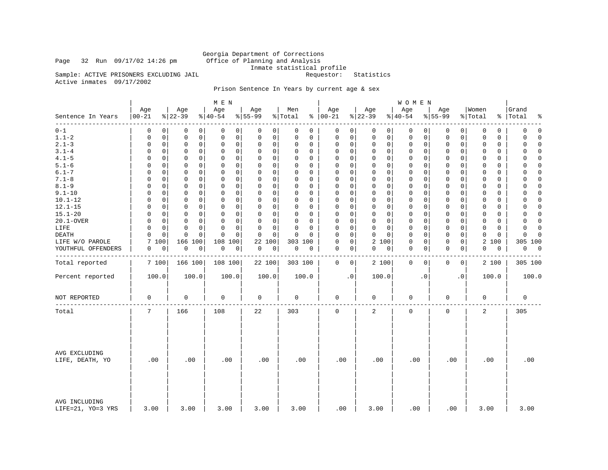Page 32 Run  $09/17/02$  14:26 pm

Georgia Department of Corrections<br>Office of Planning and Analysis Inmate statistical profile<br>Requestor: Statistics

Sample: ACTIVE PRISONERS EXCLUDING JAIL Active inmates 09/17/2002

# Prison Sentence In Years by current age & sex

|                                    |                            |                            | M E N                      |                      |                         |                         |                       | W O M E N               |                     |                             |                         |
|------------------------------------|----------------------------|----------------------------|----------------------------|----------------------|-------------------------|-------------------------|-----------------------|-------------------------|---------------------|-----------------------------|-------------------------|
| Sentence In Years<br>- - - - - - - | Age<br>$ 00 - 21$          | Age<br>$ 22-39$            | Age<br>$8 40-54$           | Age<br>$8 55-99$     | Men<br>% Total          | Age<br>$8   00 - 21$    | Age<br>$ 22-39$       | Age<br>$ 40-54$         | Age<br>$8 55-99$    | Women<br>% Total            | Grand<br>%   Total<br>٩ |
| $0 - 1$                            | $\Omega$<br>0              | 0<br>0                     | 0<br>0                     | 0<br>$\overline{0}$  | 0<br>0                  | 0<br>0                  | 0<br>0                | 0<br>0                  | 0<br>0              | 0<br>0                      | 0<br>$\Omega$           |
| $1.1 - 2$                          | 0<br>0                     | $\mathbf 0$<br>0           | $\mathbf 0$<br>0           | 0<br>0               | $\mathbf 0$<br>0        | $\mathbf 0$<br>0        | 0<br>0                | $\mathbf 0$<br>0        | 0<br>0              | $\mathbf 0$<br>$\mathbf 0$  | 0<br>$\Omega$           |
| $2.1 - 3$                          | $\mathbf 0$<br>0           | $\mathbf 0$<br>0           | 0<br>0                     | 0<br>0               | $\mathbf 0$<br>0        | $\Omega$<br>$\mathbf 0$ | $\mathsf 0$<br>0      | $\mathsf 0$<br>0        | 0<br>0              | $\mathbf 0$<br>$\mathbf 0$  | $\mathbf 0$<br>$\Omega$ |
| $3.1 - 4$                          | $\Omega$<br>$\Omega$       | $\Omega$<br>0              | $\Omega$<br>$\Omega$       | $\Omega$<br>0        | $\mathbf 0$<br>0        | $\Omega$<br>$\Omega$    | $\Omega$<br>$\Omega$  | $\mathbf 0$<br>$\Omega$ | 0<br>0              | $\Omega$<br>$\Omega$        | $\Omega$                |
| $4.1 - 5$                          | $\Omega$<br>0              | $\mathsf 0$<br>0           | $\mathsf 0$<br>0           | 0<br>0               | 0<br>0                  | $\mathsf 0$<br>$\Omega$ | 0<br>0                | $\mathsf 0$<br>0        | 0<br>0              | $\mathbf{0}$<br>$\mathbf 0$ | 0                       |
| $5.1 - 6$                          | $\Omega$<br>$\Omega$       | 0<br>0                     | 0<br>0                     | 0<br>0               | $\mathbf 0$<br>0        | 0<br>$\Omega$           | 0<br>0                | 0<br>$\Omega$           | 0<br>0              | 0<br>0                      | 0<br>∩                  |
| $6.1 - 7$                          | $\Omega$<br>$\Omega$       | $\mathbf 0$<br>0           | $\mathbf 0$<br>0           | 0<br>0               | $\mathbf 0$<br>0        | $\mathbf 0$<br>$\Omega$ | $\Omega$<br>$\Omega$  | $\mathbf 0$<br>$\Omega$ | 0<br>0              | $\Omega$<br>$\mathbf 0$     | 0                       |
| $7.1 - 8$                          | 0<br>0                     | $\mathbf 0$<br>0           | $\mathbf 0$<br>0           | 0<br>0               | $\mathbf 0$<br>$\Omega$ | $\mathbf 0$<br>$\Omega$ | 0<br>$\Omega$         | 0<br>0                  | 0<br>0              | $\mathbf 0$<br>0            | 0<br>∩                  |
| $8.1 - 9$                          | $\mathbf 0$<br>0           | $\mathsf 0$<br>$\mathbf 0$ | $\mathbf 0$<br>$\mathbf 0$ | 0<br>0               | $\mathbf 0$<br>0        | $\Omega$<br>$\mathbf 0$ | $\mathsf 0$<br>0      | $\mathsf 0$<br>0        | 0<br>0              | $\mathbf{0}$<br>$\mathbf 0$ | $\mathbf 0$<br>$\Omega$ |
| $9.1 - 10$                         | $\Omega$<br>$\Omega$       | $\Omega$<br>0              | $\Omega$<br>$\Omega$       | $\Omega$<br>0        | $\Omega$<br>$\Omega$    | $\Omega$<br>$\Omega$    | $\Omega$<br>$\Omega$  | $\Omega$<br>$\Omega$    | 0<br>$\Omega$       | $\Omega$<br>$\Omega$        | 0                       |
| $10.1 - 12$                        | $\Omega$<br>0              | $\mathsf 0$<br>0           | $\mathbf 0$<br>$\mathbf 0$ | 0<br>0               | 0<br>$\mathbf 0$        | $\mathsf 0$<br>$\Omega$ | 0<br>0                | $\mathsf 0$<br>0        | 0<br>0              | $\mathbf{0}$<br>$\mathbf 0$ | 0                       |
| $12.1 - 15$                        | $\Omega$<br>$\Omega$       | 0<br>$\mathbf 0$           | $\mathbf 0$<br>0           | $\Omega$<br>0        | $\mathbf 0$<br>$\Omega$ | $\mathbf 0$<br>$\Omega$ | 0<br>$\Omega$         | $\mathbf 0$<br>$\Omega$ | 0<br>0              | $\mathbf 0$<br>0            | 0<br>$\Omega$           |
| $15.1 - 20$                        | $\Omega$<br>$\Omega$       | $\mathbf 0$<br>0           | $\mathbf 0$<br>$\mathbf 0$ | 0<br>0               | $\mathbf 0$<br>0        | $\mathbf 0$<br>$\Omega$ | $\Omega$<br>0         | $\mathbf 0$<br>$\Omega$ | 0<br>0              | $\mathbf{0}$<br>$\mathbf 0$ | $\mathbf 0$<br>$\Omega$ |
| 20.1-OVER                          | 0<br>0                     | $\mathbf 0$<br>0           | $\mathbf 0$<br>0           | 0<br>0               | $\mathbf 0$<br>$\Omega$ | $\mathbf 0$<br>$\Omega$ | 0<br>$\Omega$         | 0<br>0                  | 0<br>0              | $\mathbf 0$<br>0            | $\mathbf 0$<br>$\Omega$ |
| LIFE                               | $\mathbf 0$<br>$\mathbf 0$ | $\mathbf 0$<br>$\mathbf 0$ | $\Omega$<br>$\mathbf 0$    | 0<br>0               | $\mathbf 0$<br>$\Omega$ | $\Omega$<br>$\mathbf 0$ | 0<br>0                | $\mathbf 0$<br>0        | $\mathbf 0$<br>0    | $\mathbf 0$<br>$\mathbf 0$  | $\mathbf 0$<br>$\Omega$ |
| DEATH                              | $\Omega$<br>$\Omega$       | 0<br>$\Omega$              | $\Omega$<br>$\Omega$       | $\Omega$<br>$\Omega$ | $\Omega$<br>$\Omega$    | $\Omega$<br>$\Omega$    | $\Omega$<br>$\Omega$  | $\Omega$<br>$\Omega$    | $\mathbf 0$<br>0    | $\Omega$<br>$\Omega$        | $\Omega$                |
| LIFE W/O PAROLE                    | 7<br>100                   | 166<br>100                 | 108<br>100                 | 22<br>100            | 303 100                 | $\mathsf 0$<br>$\Omega$ | $\overline{2}$<br>100 | $\mathsf 0$<br>0        | 0<br>0              | 2 100                       | 305 100                 |
| YOUTHFUL OFFENDERS                 | 0<br>0                     | 0<br>0                     | 0<br>0                     | 0<br>0               | 0<br>0                  | 0<br>0                  | 0<br>0                | 0<br>0                  | 0<br>0              | 0<br>0                      | 0<br>0                  |
|                                    |                            |                            |                            |                      |                         |                         |                       |                         |                     |                             |                         |
| Total reported                     | 7 100                      | 166 100                    | 108 100                    | 22 100               | 303 100                 | 0<br>$\overline{0}$     | 2 100                 | 0<br>0                  | 0<br>$\overline{0}$ | 2 100                       | 305 100                 |
| Percent reported                   | 100.0                      | 100.0                      | 100.0                      | 100.0                | 100.0                   | $\cdot$ 0               | 100.0                 | $\cdot$ 0               | $\cdot$ 0           | 100.0                       | 100.0                   |
| NOT REPORTED                       | $\mathbf 0$                | $\mathbf 0$                | $\mathbf 0$                | 0                    | $\mathbf 0$             | $\mathbf 0$             | $\mathbf 0$           | $\mathbf 0$             | 0                   | $\mathbf 0$                 | $\mathbf 0$             |
| Total                              | 7                          | 166                        | 108                        | 22                   | 303                     | $\mathbf 0$             | 2                     | $\mathbf 0$             | 0                   | 2                           | 305                     |
| AVG EXCLUDING<br>LIFE, DEATH, YO   | .00                        | .00                        | .00                        | .00                  | .00                     | .00                     | .00                   | .00                     | .00                 | .00                         | .00                     |
| AVG INCLUDING<br>LIFE=21, YO=3 YRS | 3.00                       | 3.00                       | 3.00                       | 3.00                 | 3.00                    | .00                     | 3.00                  | .00                     | .00                 | 3.00                        | 3.00                    |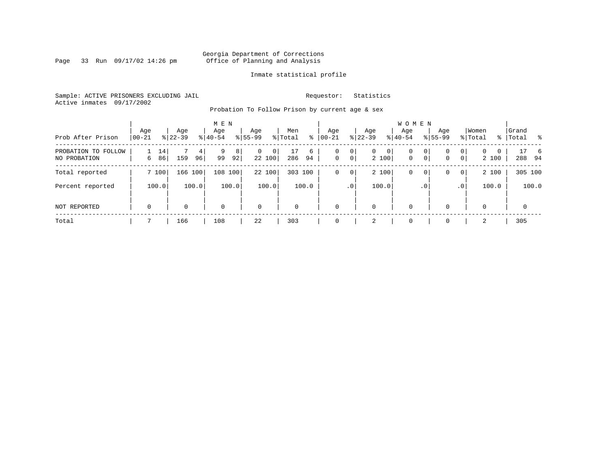Page 33 Run  $09/17/02$  14:26 pm

# Inmate statistical profile

Sample: ACTIVE PRISONERS EXCLUDING JAIL **Requestor:** Statistics Active inmates 09/17/2002

Probation To Follow Prison by current age & sex

| Prob After Prison                   | Age<br>$00 - 21$ | Age<br>$8 22-39$ |         | M E N<br>Age<br>$8 40-54$ |         | Age<br>$8155 - 99$ |             | Men<br>% Total | ႜ       | Age<br>$00 - 21$ |                     | Age<br>$ 22-39 $      |   | <b>WOMEN</b><br>Aqe<br>$8 40-54$ |                     | Age<br>$8155 - 99$ |                     | Women<br>% Total  |   | Grand<br>%   Total |             | $^{\circ}$ |
|-------------------------------------|------------------|------------------|---------|---------------------------|---------|--------------------|-------------|----------------|---------|------------------|---------------------|-----------------------|---|----------------------------------|---------------------|--------------------|---------------------|-------------------|---|--------------------|-------------|------------|
| PROBATION TO FOLLOW<br>NO PROBATION | 6                | 14<br>86<br>159  | 4<br>96 | 9<br>99                   | 8<br>92 | $\mathbf{0}$       | 0<br>22 100 | 17<br>286      | 6<br>94 | 0<br>$\mathbf 0$ | 0<br>0 <sup>1</sup> | $\mathbf{0}$<br>2 100 | 0 | 0<br>$\mathbf{0}$                | 0<br>0 <sup>1</sup> | 0<br>0             | 0<br>$\overline{0}$ | $\Omega$<br>2 100 | 0 |                    | 288 94      | 6          |
| Total reported                      | 7 100            |                  | 166 100 | 108 100                   |         |                    | 22 100      | 303 100        |         | 0                | 0                   | 2 100                 |   | 0                                | 0                   | 0                  | $\overline{0}$      | 2 100             |   |                    | 305 100     |            |
| Percent reported                    | 100.0            |                  | 100.0   |                           | 100.0   |                    | 100.0       |                | 100.0   |                  | .0 <sup>1</sup>     | 100.0                 |   |                                  | . 0                 |                    | .0'                 | 100.0             |   |                    | 100.0       |            |
| NOT REPORTED                        | $\mathbf 0$      | $\Omega$         |         | $\Omega$                  |         | $\mathbf 0$        |             | $\mathbf 0$    |         | $\Omega$         |                     | 0                     |   | $\mathbf 0$                      |                     | $\Omega$           |                     | $\Omega$          |   |                    | $\mathbf 0$ |            |
| Total                               |                  | 166              |         | 108                       |         | 22                 |             | 303            |         | $\Omega$         |                     | 2                     |   | $\mathbf 0$                      |                     | $\Omega$           |                     | 2                 |   |                    | 305         |            |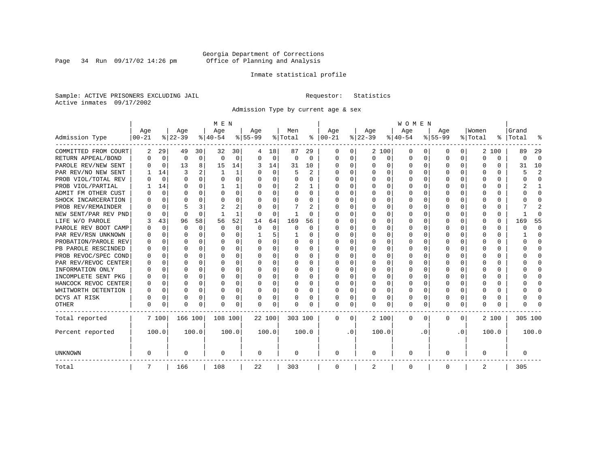Page 34 Run  $09/17/02$  14:26 pm

# Inmate statistical profile

Sample: ACTIVE PRISONERS EXCLUDING JAIL **Requestor:** Statistics Active inmates 09/17/2002

Admission Type by current age & sex

|                      |            |             |          |          | M E N        |          |           |             |         |              |              |           |          |              | <b>WOMEN</b> |          |           |              |         |          |           |              |
|----------------------|------------|-------------|----------|----------|--------------|----------|-----------|-------------|---------|--------------|--------------|-----------|----------|--------------|--------------|----------|-----------|--------------|---------|----------|-----------|--------------|
|                      | Age        |             | Age      |          | Age          |          | Age       |             | Men     |              | Age          |           | Age      |              | Age          |          | Age       |              | Women   |          | Grand     |              |
| Admission Type       | $ 00 - 21$ |             | $ 22-39$ |          | $ 40-54$     |          | $8 55-99$ |             | % Total | ႜ            | $ 00-21$     |           | $ 22-39$ |              | $ 40-54$     |          | $8 55-99$ |              | % Total |          | %   Total |              |
| COMMITTED FROM COURT | 2          | 29          | 49       | 30       | 32           | 30       |           | 18          | 87      | 29           | O            | 0         |          | 2 100        | 0            | $\left($ | $\Omega$  | 0            | 2       | 100      | 89        | 29           |
| RETURN APPEAL/BOND   | O          | 0           | 0        | 0        | $\Omega$     | 0        | U         | 0           | 0       | $\Omega$     | <sup>0</sup> | 0         | $\Omega$ | 0            | U            | $\Omega$ | $\Omega$  | $\Omega$     | U       | $\Omega$ | O         | $\Omega$     |
| PAROLE REV/NEW SENT  | U          | 0           | 13       | 8        | 15           | 14       | 3         | 14          | 31      | 10           | 0            | $\Omega$  | U        | $\Omega$     | $\Omega$     | $\Omega$ | $\Omega$  | $\Omega$     | O       | $\Omega$ | 31        | 10           |
| PAR REV/NO NEW SENT  |            | 14          | 3        |          | $\mathbf{1}$ | 1        | U         | $\Omega$    | 5       | 2            | <sup>0</sup> | $\Omega$  | U        | $\Omega$     | U            | n        | $\Omega$  | $\Omega$     |         | O        |           | 2            |
| PROB VIOL/TOTAL REV  |            | $\Omega$    | O        | 0        | $\Omega$     | $\Omega$ | O         | $\Omega$    | 0       | U            | 0            | 0         |          | O            | 0            | n        | $\Omega$  |              |         | 0        |           | $\Omega$     |
| PROB VIOL/PARTIAL    |            | 14          | U        | 0        |              |          | O         | $\Omega$    | 2       |              | O            | 0         |          | O            | U            | n        | O         |              |         | U        |           |              |
| ADMIT FM OTHER CUST  |            | 0           | U        | 0        | $\Omega$     | 0        | U         | $\Omega$    | U       | <sup>0</sup> | <sup>0</sup> | 0         | $\Omega$ | <sup>0</sup> | U            | O        | O         | O            | O       | U        |           | <sup>0</sup> |
| SHOCK INCARCERATION  |            | $\Omega$    | U        | U        | ∩            | O        | U         | 0           | 0       | U            | <sup>0</sup> | 0         | ∩        | O            | U            | $\Omega$ | ∩         | U            |         | 0        |           | ∩            |
| PROB REV/REMAINDER   |            | $\Omega$    |          |          |              | 2        |           | 0           |         | 2            | <sup>0</sup> | 0         | ∩        | 0            | U            | $\Omega$ | ∩         | <sup>n</sup> |         | 0        |           |              |
| NEW SENT/PAR REV PND |            | 0           | $\Omega$ | $\Omega$ |              | 1        | O         | 0           |         | U            |              | 0         |          | O            | U            | $\Omega$ | $\Omega$  | U            |         | 0        |           | ſ            |
| LIFE W/O PAROLE      |            | 43          | 96       | 58       | 56           | 52       | 14        | 64          | 169     | 56           |              | $\Omega$  |          | $\Omega$     | Ω            | $\Omega$ |           | $\Omega$     |         | 0        | 169       | 55           |
| PAROLE REV BOOT CAMP |            | $\Omega$    | O        | $\Omega$ | $\Omega$     | 0        | O         | $\mathbf 0$ | 0       | $\Omega$     | O            | $\Omega$  |          | $\Omega$     | Ω            | $\Omega$ |           |              | O       | 0        |           | $\Omega$     |
| PAR REV/RSN UNKNOWN  |            | $\Omega$    | U        | $\Omega$ | $\Omega$     | 0        |           | 5           |         | U            | O            | $\Omega$  | ∩        | $\Omega$     | U            | ∩        | ∩         | U            | O       | 0        |           | ∩            |
| PROBATION/PAROLE REV |            | $\Omega$    | U        | 0        | $\Omega$     | 0        | U         | $\Omega$    | 0       | U            | O            | $\Omega$  | ∩        | $\Omega$     | U            | $\cap$   | ∩         | U            | n       | U        |           | n            |
| PB PAROLE RESCINDED  |            | $\Omega$    | U        | 0        | ∩            | $\Omega$ | U         | $\Omega$    | 0       | U            | O            | $\Omega$  | U        | $\Omega$     | U            | $\cap$   | ∩         | $\Omega$     |         | U        |           | n            |
| PROB REVOC/SPEC COND |            | $\Omega$    | U        | U        | $\Omega$     | O        | U         | $\Omega$    | U       | U            | O            | 0         |          | O            | U            | n        | ∩         | U            |         | U        |           | n            |
| PAR REV/REVOC CENTER |            | 0           | U        | U        | C            | O        |           | $\Omega$    | O       | U            |              | O         |          | O            | U            | n        | O         | O            |         | U        |           |              |
| INFORMATION ONLY     |            | 0           | U        | 0        | O            | O        |           | 0           | 0       | U            | O            | O         |          | O            | U            | n        |           |              |         | 0        |           | O            |
| INCOMPLETE SENT PKG  |            | 0           | U        | 0        | O            | O        | U         | 0           | 0       | U            | O            | 0         |          | O            | U            | O        | O         |              |         | 0        |           | O            |
| HANCOCK REVOC CENTER | O          | 0           | U        | 0        | $\Omega$     | 0        | U         | $\Omega$    | 0       | 0            | <sup>0</sup> | 0         | U        | <sup>0</sup> | U            | $\Omega$ | $\Omega$  | 0            | O       | 0        |           | ∩            |
| WHITWORTH DETENTION  | O          | $\Omega$    | U        | $\Omega$ | $\Omega$     | 0        | U         | $\Omega$    | U       | U            | <sup>0</sup> | $\Omega$  | $\Omega$ | 0            | U            | $\Omega$ | $\Omega$  | $\Omega$     | n       | 0        |           | ∩            |
| DCYS AT RISK         | U          | 0           | 0        | 0        | $\Omega$     | 0        | U         | 0           | 0       | 0            | $\Omega$     | 0         | U        | 0            | O            | $\Omega$ | $\Omega$  | $\Omega$     |         | 0        |           | ſ            |
| OTHER                | $\Omega$   | $\mathbf 0$ | O        | 0        | $\Omega$     | 0        | $\Omega$  | 0           |         | U            | $\Omega$     | 0         | U        | 0            | 0            | $\Omega$ | $\Omega$  | 0            | O       | 0        |           |              |
| Total reported       |            | 7 100       | 166 100  |          | 108 100      |          | 22 100    |             | 303 100 |              | $\Omega$     | $\Omega$  |          | 2 100        | 0            | $\Omega$ | $\Omega$  | $\Omega$     |         | 2 100    | 305 100   |              |
| Percent reported     |            | 100.0       |          | 100.0    |              | 100.0    |           | 100.0       |         | 100.0        |              | $\cdot$ 0 |          | 100.0        |              | . 0      |           | $\cdot$ 0    |         | 100.0    |           | 100.0        |
| UNKNOWN              | 0          |             | 0        |          | 0            |          | 0         |             | 0       |              | 0            |           | 0        |              | 0            |          | $\Omega$  |              | O       |          | 0         |              |
| Total                | 7          |             | 166      |          | 108          |          | 22        |             | 303     |              | 0            |           | 2        |              | 0            |          | $\Omega$  |              | 2       |          | 305       |              |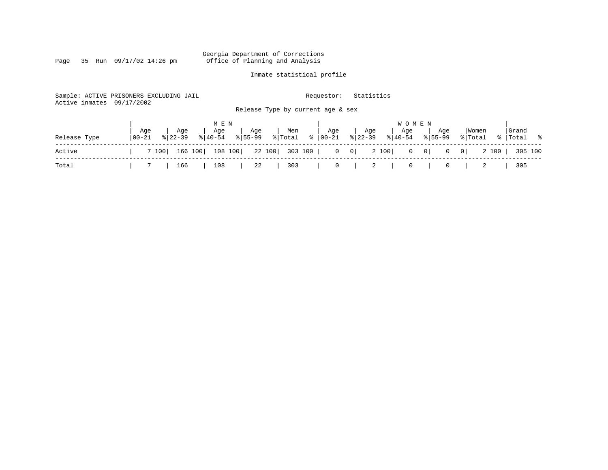# Georgia Department of Corrections<br>Page 35 Run 09/17/02 14:26 pm 6ffice of Planning and Analysis Office of Planning and Analysis

# Inmate statistical profile

| Active inmates | Sample: ACTIVE PRISONERS EXCLUDING JAIL<br>09/17/2002 | Requestor:                                                   | Statistics                                                                   |                                           |
|----------------|-------------------------------------------------------|--------------------------------------------------------------|------------------------------------------------------------------------------|-------------------------------------------|
|                |                                                       | Release Type by current age & sex                            |                                                                              |                                           |
|                |                                                       | M E N                                                        | W O M E N                                                                    |                                           |
| Release Type   | Aqe<br>Age<br>$8140 - 54$<br>  00-21<br>$8122 - 39$   | Age<br>Men<br>Age<br>$\frac{6}{6}$<br>% Total<br>$8155 - 99$ | Age<br>Age<br>Aqe<br>Aqe<br>$8 22-39$<br>  00-21<br>$8 40-54$<br>$8155 - 99$ | Grand<br>  Women<br>%  Total %<br>% Total |
| Active         | 166 100<br>7 100                                      | 108 100<br>22 100<br>303 100                                 | 2 100<br>$0 \qquad 0 \mid$<br>$0 \qquad 0$<br>$\mathbf 0$                    | 0 <br>2 100<br>305 100                    |
| Total          | 166                                                   | 303<br>108<br>22                                             | $\overline{0}$<br>2<br>0<br>$\mathbf 0$                                      | 305                                       |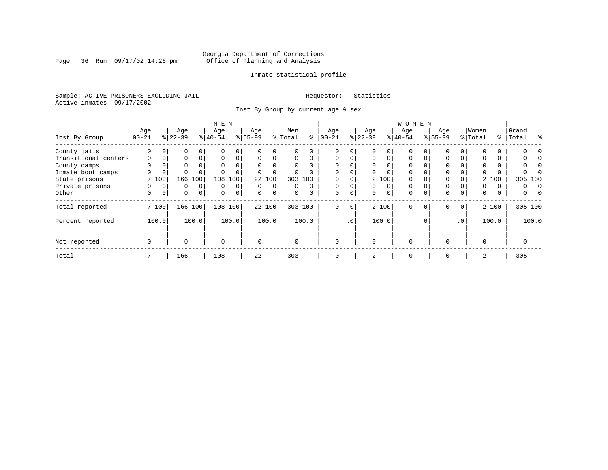Page 36 Run  $09/17/02$  14:26 pm

# Inmate statistical profile

Sample: ACTIVE PRISONERS EXCLUDING JAIL **Requestor:** Statistics Active inmates 09/17/2002

Inst By Group by current age & sex

|                      |          |          |             |             | M E N     |                |           |                |          |          |            |                 |           |          | WOMEN     |           |             |             |             |          |            |
|----------------------|----------|----------|-------------|-------------|-----------|----------------|-----------|----------------|----------|----------|------------|-----------------|-----------|----------|-----------|-----------|-------------|-------------|-------------|----------|------------|
|                      | Age      |          | Age         |             | Age       |                | Age       |                | Men      |          | Age        |                 | Age       |          | Age       |           | Age         |             | Women       |          | Grand      |
| Inst By Group        | $ 00-21$ |          | $ 22-39 $   |             | $8 40-54$ |                | $8 55-99$ |                | % Total  | ి        | $100 - 21$ |                 | $ 22-39 $ |          | $8 40-54$ |           | $8155 - 99$ |             | % Total     | ႜ        | Total<br>ু |
| County jails         | $\Omega$ |          | 0           |             |           | $\Omega$       |           |                | 0        | $\Omega$ |            | 0               |           |          | $\Omega$  |           | 0           |             |             |          |            |
| Transitional centers | $\Omega$ | 0        | $\Omega$    | $\Omega$    | $\Omega$  | 0              | $\Omega$  | $\Omega$       | $\Omega$ | $\Omega$ | $\Omega$   | 0 <sup>1</sup>  |           | $\Omega$ | $\Omega$  |           | 0           |             |             | $\Omega$ |            |
| County camps         | $\Omega$ | 0        | $\Omega$    |             | $\Omega$  | 0              |           |                | 0        | $\Omega$ | $\Omega$   | 0               |           | $\Omega$ | $\Omega$  |           | 0           |             |             | $\Omega$ |            |
| Inmate boot camps    | U        | 0        |             |             |           | 0              |           |                |          |          | $\Omega$   | 0               |           | $\Omega$ | $\Omega$  |           | 0           |             |             |          |            |
| State prisons        |          | 7 100    | 166         | 100         | 108       | 100            |           | 22 100         |          | 303 100  |            | 0               |           | 2 100    | $\Omega$  |           | 0           |             |             | 2 100    | 305 100    |
| Private prisons      | U        | $\Omega$ | $\Omega$    | $\Omega$    | $\Omega$  | $\Omega$       | $\Omega$  | $\Omega$       | 0        | $\Omega$ | $\Omega$   | $\Omega$        |           | $\Omega$ | $\Omega$  |           | $\mathbf 0$ |             | $\Omega$    | $\Omega$ | 0          |
| Other                | 0        | 0        | $\mathbf 0$ | $\mathbf 0$ | $\Omega$  | $\overline{0}$ | $\Omega$  | 0 <sup>1</sup> | 0        | $\Omega$ | $\Omega$   | 0 <sup>1</sup>  | $\Omega$  | $\Omega$ | 0         |           | $\mathbf 0$ | 0           | $\mathbf 0$ | 0        | 0          |
| Total reported       |          | 7 100    | 166         | 100         | 108       | 100            |           | 22 100         |          | 303 100  | $\Omega$   | $\overline{0}$  |           | 2 100    | $\Omega$  | $\Omega$  | $\mathbf 0$ | $\mathbf 0$ |             | 2 100    | 305 100    |
| Percent reported     |          | 100.0    |             | 100.0       |           | 100.0          |           | 100.0          |          | 100.0    |            | .0 <sup>1</sup> |           | 100.0    |           | $\cdot$ 0 |             | .0'         |             | 100.0    | 100.0      |
| Not reported         | 0        |          | $\Omega$    |             | $\Omega$  |                | $\Omega$  |                | O        |          | $\Omega$   |                 | $\Omega$  |          | 0         |           | 0           |             | $\Omega$    |          | 0          |
| Total                |          |          | 166         |             | 108       |                | 22        |                | 303      |          | $\Omega$   |                 | 2         |          | 0         |           | 0           |             | 2           |          | 305        |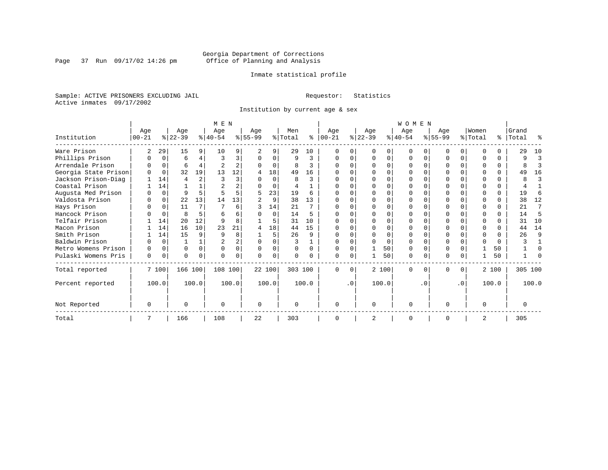Page 37 Run  $09/17/02$  14:26 pm

# Inmate statistical profile

Sample: ACTIVE PRISONERS EXCLUDING JAIL **Requestor:** Statistics Active inmates 09/17/2002

Institution by current age & sex

|                      |           |          |           |          | M E N     |                |           |          |                |              |            |           |                |       | WOMEN     |           |           |           |          |          |           |         |
|----------------------|-----------|----------|-----------|----------|-----------|----------------|-----------|----------|----------------|--------------|------------|-----------|----------------|-------|-----------|-----------|-----------|-----------|----------|----------|-----------|---------|
|                      | Age       |          | Age       |          | Age       |                | Age       |          | Men            |              | Age        |           | Age            |       | Age       |           | Age       |           | Women    |          | Grand     |         |
| Institution          | $00 - 21$ |          | $ 22-39 $ |          | $ 40-54 $ |                | $ 55-99 $ |          | % Total        | ⊱            | $ 00 - 21$ |           | $ 22-39 $      |       | $ 40-54 $ |           | $8 55-99$ |           | % Total  |          | %   Total | °       |
| Ware Prison          | 2         | 29       | 15        | 9        | 10        |                |           | 9        | 29             | 10           |            |           | $\Omega$       | 0     | $\Omega$  |           |           | $\Omega$  | ∩        |          | 29        | 10      |
| Phillips Prison      | O         | $\Omega$ | 6         | 4        | 3         | 3              | $\Omega$  | $\Omega$ | 9              | 3            |            | $\Omega$  | $\Omega$       | 0     | $\Omega$  | $\Omega$  | ი         | $\Omega$  | ∩        | $\Omega$ | 9         | 3       |
| Arrendale Prison     |           | $\Omega$ | 6         | 4        |           | $\overline{a}$ |           | 0        | 8              | 3            |            |           |                | U     |           |           |           | U         |          | $\Omega$ | 8         | 3       |
| Georgia State Prison |           | $\Omega$ | 32        | 19       | 13        | 12             |           | 18       | 49             | 16           |            |           |                |       |           |           |           |           |          |          | 49        | 16      |
| Jackson Prison-Diag  |           | 14       |           |          |           | 3              |           | O        | R              | ζ            |            |           |                | U     |           |           |           |           |          |          | 8         | 3       |
| Coastal Prison       |           | 14       |           |          |           | $\overline{a}$ |           | $\Omega$ | $\overline{4}$ |              |            |           |                | U     |           |           |           | U         |          | 0        |           |         |
| Augusta Med Prison   |           | $\Omega$ | 9         | 5        |           |                | 5         | 23       | 19             | 6            |            |           |                |       |           |           |           |           |          | U        | 19        | 6       |
| Valdosta Prison      | O         | $\Omega$ | 22        | 13       | 14        | 13             |           | 9        | 38             | 13           | O          |           | n              |       |           |           | ი         | U         | ∩        | 0        | 38        | 12      |
| Hays Prison          |           | $\Omega$ | 11        | 7        |           | 6              |           | 14       | 21             | 7            |            |           | <sup>0</sup>   | O     |           |           |           | $\Omega$  | ∩        | $\Omega$ | 21        | 7       |
| Hancock Prison       |           | $\Omega$ | 8         | 5        |           | 6              |           | $\Omega$ | 14             | 5            |            |           | ∩              | U     |           |           |           | U         |          | 0        | 14        | 5       |
| Telfair Prison       |           | 14       | 20        | 12       |           |                |           | 5        | 31             | 10           |            |           |                |       |           |           |           |           |          |          | 31        | 10      |
| Macon Prison         |           | 14       | 16        | 10       | 23        | 21             | 4         | 18       | 44             | 15           |            |           |                | O     |           |           |           | U         | $\Omega$ | $\Omega$ | 44        | 14      |
| Smith Prison         |           | 14       | 15        | 9        | q         | 8              |           | 5.       | 26             | q            |            |           |                | O     |           |           |           | U         | $\Omega$ |          | 26        | 9       |
| Baldwin Prison       |           | $\Omega$ |           |          |           | $\overline{a}$ | $\Omega$  |          |                |              |            |           |                | O     |           | $\Omega$  |           |           | $\Omega$ | $\Omega$ |           |         |
| Metro Womens Prison  |           | $\Omega$ | 0         | $\Omega$ | $\Omega$  | $\mathbf{0}$   | $\Omega$  | 0        |                | <sup>0</sup> |            |           |                | 50    | $\Omega$  | $\Omega$  |           | U         |          | 50       |           | O       |
| Pulaski Womens Pris  | 0         | 0        | U         | 0        |           |                | U         | 0        |                |              | ∩          | 0         |                | 50    | $\Omega$  | 0         | N         | 0         |          | 50       |           |         |
| Total reported       |           | 7 100    | 166 100   |          | 108 100   |                |           | 22 100   | 303 100        |              | $\Omega$   | $\Omega$  |                | 2 100 | $\Omega$  | $\Omega$  | 0         | 0         |          | 2 100    |           | 305 100 |
| Percent reported     |           | 100.0    |           | 100.0    |           | 100.0          |           | 100.0    |                | 100.0        |            | $\cdot$ 0 |                | 100.0 |           | $\cdot$ 0 |           | $\cdot$ 0 |          | 100.0    |           | 100.0   |
| Not Reported         | $\Omega$  |          | U         |          |           |                | $\Omega$  |          |                |              | $\Omega$   |           | $\Omega$       |       | $\Omega$  |           | በ         |           | $\Omega$ |          | $\Omega$  |         |
| Total                |           |          | 166       |          | 108       |                | 22        |          | 303            |              | $\Omega$   |           | $\overline{2}$ |       | $\Omega$  |           | O         |           |          |          | 305       |         |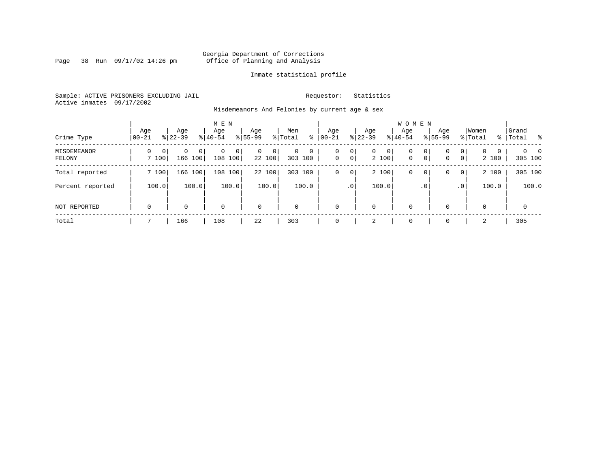Page 38 Run  $09/17/02$  14:26 pm

# Inmate statistical profile

Sample: ACTIVE PRISONERS EXCLUDING JAIL **Requestor:** Statistics Active inmates 09/17/2002

Misdemeanors And Felonies by current age & sex

| Crime Type            | Age<br>$00 - 21$                  | Age<br>$8 22-39$               | M E N<br>Age<br>$8 40-54$ | Age<br>$8155 - 99$          | Men<br>ွေ<br>% Total                  | Age<br>$00 - 21$ | Age<br>$ 22 - 39 $                           | <b>WOMEN</b><br>Aqe<br>$8 40-54$ | Age<br>$8155 - 99$ | Women<br>% Total                                                | Grand<br>%   Total         |
|-----------------------|-----------------------------------|--------------------------------|---------------------------|-----------------------------|---------------------------------------|------------------|----------------------------------------------|----------------------------------|--------------------|-----------------------------------------------------------------|----------------------------|
| MISDEMEANOR<br>FELONY | $\Omega$<br>$\mathbf{0}$<br>7 100 | 0<br>0 <sup>1</sup><br>166 100 | 0<br>$\Omega$<br>108 100  | $\mathbf{0}$<br>0<br>22 100 | $\mathbf 0$<br>$\mathbf 0$<br>303 100 | 0<br>$\mathbf 0$ | 0<br>$\mathbf{0}$<br>$\overline{0}$<br>2 100 | 0<br>$\mathbf 0$<br>$\mathbf{0}$ | 0<br>0<br> 0 <br>0 | $\mathbf{0}$<br>$\Omega$<br>$\Omega$<br>$\overline{0}$<br>2 100 | $\Omega$<br>- 0<br>305 100 |
| Total reported        | 7 100                             | 166 100                        | 100<br>108                | 22 100                      | 303 100                               | 0                | 2 100<br>0                                   | 0                                | 0<br>0             | 2 100<br>$\overline{0}$                                         | 305 100                    |
| Percent reported      | 100.0                             | 100.0                          | 100.0                     | 100.0                       | 100.0                                 |                  | 100.0<br>.0 <sup>1</sup>                     |                                  | . 0                | 100.0<br>.0 <sup>1</sup>                                        | 100.0                      |
| <b>NOT REPORTED</b>   | $\mathbf 0$                       | 0                              | $\mathbf 0$               | $\mathbf 0$                 | $\mathbf 0$                           | $\mathbf 0$      | 0                                            | $\mathbf 0$                      | $\Omega$           | $\Omega$                                                        | $\mathbf 0$                |
| Total                 |                                   | 166                            | 108                       | 22                          | 303                                   | $\Omega$         | 2                                            | $\mathbf 0$                      | $\Omega$           | 2                                                               | 305                        |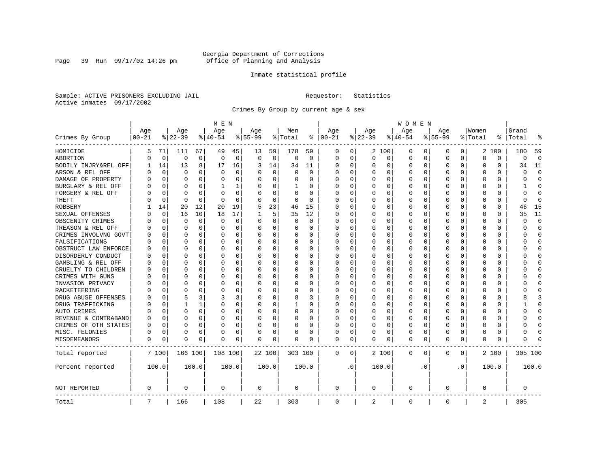Page 39 Run 09/17/02 14:26 pm

# Inmate statistical profile

Sample: ACTIVE PRISONERS EXCLUDING JAIL **Requestor:** Statistics Active inmates 09/17/2002

Crimes By Group by current age & sex

|                      | M E N      |             |          |              |             |       |           |             |          |          |             | W O M E N |             |          |             |          |           |           |          |          |              |             |
|----------------------|------------|-------------|----------|--------------|-------------|-------|-----------|-------------|----------|----------|-------------|-----------|-------------|----------|-------------|----------|-----------|-----------|----------|----------|--------------|-------------|
|                      | Age        |             | Age      |              | Age         |       | Age       |             | Men      |          | Age         |           | Age         |          | Age         |          | Age       |           | Women    |          | Grand        |             |
| Crimes By Group      | $ 00 - 21$ |             | $ 22-39$ |              | $ 40-54$    |       | $8 55-99$ |             | % Total  | ႜ        | $ 00-21$    |           | $ 22-39$    |          | $ 40-54$    |          | $8 55-99$ |           | % Total  | ႜ        | Total        | 읏           |
| HOMICIDE             | 5          | 71          | 111      | 67           | 49          | 45    | 13        | 59          | 178      | 59       | 0           | 0         |             | 2 100    | 0           | 0        | 0         | 0         |          | 2 100    | 180          | 59          |
| ABORTION             | U          | $\mathbf 0$ | $\Omega$ | $\mathbf 0$  | $\mathbf 0$ | 0     | $\Omega$  | $\mathbf 0$ | 0        | 0        | 0           | 0         | $\mathbf 0$ | 0        | 0           | 0        | $\Omega$  | 0         | $\Omega$ | 0        | $\Omega$     | $\mathbf 0$ |
| BODILY INJRY&REL OFF |            | 14          | 13       | 8            | 17          | 16    | 3         | 14          | 34       | 11       | 0           | 0         | 0           | 0        | 0           | 0        | $\Omega$  | 0         | O        | 0        | 34           | 11          |
| ARSON & REL OFF      | U          | $\Omega$    | $\Omega$ | 0            | $\Omega$    | 0     |           | $\Omega$    | $\Omega$ | $\Omega$ | $\Omega$    | $\Omega$  | 0           | 0        | $\Omega$    | $\Omega$ | $\Omega$  | $\Omega$  | O        | 0        | $\Omega$     | $\Omega$    |
| DAMAGE OF PROPERTY   | U          | $\Omega$    | $\Omega$ | 0            | $\Omega$    | 0     | O         | $\Omega$    | 0        | 0        | $\Omega$    | 0         | $\Omega$    | 0        | $\Omega$    | $\Omega$ | $\Omega$  | $\Omega$  | C        | 0        | O            | $\Omega$    |
| BURGLARY & REL OFF   |            | $\Omega$    | $\Omega$ | $\Omega$     | 1           | 1     |           | $\Omega$    | 1        | 0        | $\Omega$    | $\Omega$  | 0           | $\Omega$ | 0           | $\Omega$ | $\Omega$  | $\Omega$  | O        | $\Omega$ | 1            | $\Omega$    |
| FORGERY & REL OFF    |            | $\Omega$    | $\Omega$ | $\Omega$     | $\Omega$    | 0     |           | $\Omega$    | 0        | O        | O           | $\Omega$  | 0           | $\Omega$ | 0           | $\Omega$ | $\Omega$  | $\Omega$  | C        | 0        | U            | $\bigcap$   |
| THEFT                |            | 0           | $\Omega$ | $\Omega$     | $\Omega$    | 0     |           | 0           | 0        | $\Omega$ | $\Omega$    | 0         | U           | O        | U           | $\Omega$ | $\Omega$  | $\Omega$  | O        | 0        | <sup>0</sup> | $\Omega$    |
| <b>ROBBERY</b>       |            | 14          | 20       | 12           | 20          | 19    |           | 23          | 46       | 15       | $\Omega$    | 0         | 0           | 0        | 0           | 0        | $\Omega$  | $\Omega$  | C        | 0        | 46           | 15          |
| SEXUAL OFFENSES      | n          | $\Omega$    | 16       | 10           | 18          | 17    |           | 5           | 35       | 12       | $\Omega$    | 0         | U           | O        | $\Omega$    | $\Omega$ | $\Omega$  | $\Omega$  | C        | U        | 35           | 11          |
| OBSCENITY CRIMES     | n          | 0           | $\Omega$ | 0            | 0           | 0     | $\Omega$  | 0           | 0        | 0        | $\Omega$    | 0         | U           | O        | 0           | $\Omega$ | $\Omega$  | $\Omega$  | C        | 0        | U            | $\mathbf 0$ |
| TREASON & REL OFF    |            | 0           | $\Omega$ | $\Omega$     | 0           | 0     | $\Omega$  | 0           | 0        | 0        | $\Omega$    | 0         | 0           | 0        | 0           | 0        | $\Omega$  | 0         | O        | 0        | O            | $\mathbf 0$ |
| CRIMES INVOLVNG GOVT |            | $\Omega$    | $\Omega$ | $\Omega$     | 0           | 0     |           | 0           | 0        | $\Omega$ | $\Omega$    | $\Omega$  | $\Omega$    | $\Omega$ | 0           | $\Omega$ | $\Omega$  | $\Omega$  | $\Omega$ | 0        | Λ            | $\Omega$    |
| FALSIFICATIONS       | O          | $\Omega$    | $\Omega$ | $\Omega$     | 0           | 0     | ∩         | 0           | 0        | 0        | $\Omega$    | 0         | 0           | $\Omega$ | 0           | 0        | $\Omega$  | $\Omega$  | O        | 0        | U            | $\mathbf 0$ |
| OBSTRUCT LAW ENFORCE | O          | $\Omega$    | $\Omega$ | 0            | 0           | 0     |           | 0           | 0        | 0        | $\Omega$    | 0         | 0           | $\Omega$ | 0           | 0        | $\Omega$  | 0         | C        | 0        |              | $\mathbf 0$ |
| DISORDERLY CONDUCT   | O          | $\Omega$    | $\Omega$ | <sup>0</sup> | $\Omega$    | 0     |           | $\Omega$    | 0        | O        | $\Omega$    | $\Omega$  | U           | $\Omega$ | $\Omega$    | $\Omega$ | $\Omega$  | $\Omega$  | C        | 0        |              | $\cap$      |
| GAMBLING & REL OFF   | U          | $\Omega$    | O        | 0            | $\Omega$    | 0     |           | $\Omega$    | 0        | 0        | $\Omega$    | $\Omega$  | O           | 0        | 0           | O        | O         | $\Omega$  | O        | 0        |              | $\Omega$    |
| CRUELTY TO CHILDREN  | 0          | 0           | $\Omega$ | $\Omega$     | $\Omega$    | 0     |           | $\mathbf 0$ | 0        | 0        | $\Omega$    | $\Omega$  | 0           | 0        | 0           | 0        | $\Omega$  | $\Omega$  | C        | 0        |              | $\Omega$    |
| CRIMES WITH GUNS     | Ω          | $\Omega$    | $\Omega$ | 0            | $\Omega$    | 0     |           | $\Omega$    | 0        | O        | $\Omega$    | $\Omega$  | U           | O        | U           | $\Omega$ | $\Omega$  | $\Omega$  | C        | $\Omega$ |              | $\Omega$    |
| INVASION PRIVACY     | U          | 0           | ∩        | <sup>0</sup> | $\Omega$    | 0     |           | 0           | 0        | 0        | $\Omega$    | $\Omega$  | $\Omega$    | O        | 0           | 0        | O         | $\Omega$  | O        | 0        |              | $\Omega$    |
| RACKETEERING         |            | $\Omega$    | ∩        | 0            | n           | 0     |           | 0           | 0        | 0        | 0           | 0         | O           | O        | 0           | $\Omega$ | O         | $\Omega$  | O        | 0        |              | $\cap$      |
| DRUG ABUSE OFFENSES  | n          | $\Omega$    | 5        | 3            | 3           | 3     |           | $\Omega$    | 8        | 3        | $\Omega$    | O         | $\Omega$    | $\Omega$ | 0           | $\Omega$ | $\Omega$  | $\Omega$  | $\cap$   | 0        |              | 3           |
| DRUG TRAFFICKING     | Ω          | $\Omega$    |          | 1            | 0           | 0     | $\Omega$  | 0           | 1        | 0        | $\Omega$    | $\Omega$  | 0           | 0        | 0           | 0        | $\Omega$  | $\Omega$  | O        | 0        |              | $\Omega$    |
| AUTO CRIMES          |            | $\Omega$    | $\Omega$ | 0            | $\Omega$    | 0     |           | 0           | 0        | 0        | 0           | 0         | 0           | 0        | 0           | 0        | $\Omega$  | 0         | O        | 0        |              | $\mathbf 0$ |
| REVENUE & CONTRABAND | 0          | $\Omega$    | $\Omega$ | $\Omega$     | 0           | 0     |           | 0           | 0        | $\Omega$ | $\Omega$    | 0         | 0           | $\Omega$ | 0           | $\Omega$ | $\Omega$  | 0         | O        | 0        | U            | $\Omega$    |
| CRIMES OF OTH STATES | 0          | $\Omega$    | $\Omega$ | $\Omega$     | $\Omega$    | 0     | $\Omega$  | $\Omega$    | 0        | 0        | $\Omega$    | $\Omega$  | $\Omega$    | $\Omega$ | 0           | $\Omega$ | $\Omega$  | $\Omega$  | $\Omega$ | 0        | O            | $\Omega$    |
| MISC. FELONIES       | 0          | $\Omega$    | $\Omega$ | 0            | 0           | 0     |           | 0           | 0        | 0        | $\Omega$    | 0         | 0           | $\Omega$ | 0           | $\Omega$ | $\Omega$  | $\Omega$  | O        | 0        |              | $\bigcap$   |
| MISDEMEANORS         | 0          | 0           | $\Omega$ | 0            | $\Omega$    | 0     | $\Omega$  | 0           | 0        | O        | 0           | 0         | U           | 0        | $\Omega$    | 0        | $\Omega$  | 0         | C        | 0        | Λ            |             |
| Total reported       |            | 7 100       | 166 100  |              | 108 100     |       |           | 22 100      | 303 100  |          | 0           | 0         |             | 2 100    | 0           | 0        | 0         | 0         |          | 2 100    | 305 100      |             |
| Percent reported     |            | 100.0       |          | 100.0        |             | 100.0 |           | 100.0       |          | 100.0    |             | $\cdot$ 0 |             | 100.0    |             | . 0      |           | $\cdot$ 0 |          | 100.0    |              | 100.0       |
| NOT REPORTED         | 0          |             | 0        |              | 0           |       | 0         |             | 0        |          | 0           |           | 0           |          | 0           |          | 0         |           | 0        |          | 0            |             |
| Total                | 7          |             | 166      |              | 108         |       | 22        |             | 303      |          | $\mathbf 0$ |           | 2           |          | $\mathbf 0$ |          | 0         |           | 2        |          | 305          |             |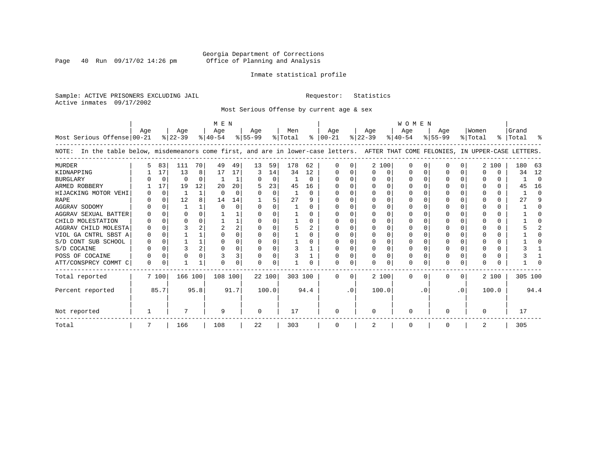Page 40 Run  $09/17/02$  14:26 pm

# Inmate statistical profile

Sample: ACTIVE PRISONERS EXCLUDING JAIL **Requestor:** Statistics Active inmates 09/17/2002

Most Serious Offense by current age & sex

|                                                                                                                                       | M E N    |          |           |                |           |          |              |             |         |          |               | <b>WOMEN</b> |              |          |           |              |           |              |          |               |         |          |
|---------------------------------------------------------------------------------------------------------------------------------------|----------|----------|-----------|----------------|-----------|----------|--------------|-------------|---------|----------|---------------|--------------|--------------|----------|-----------|--------------|-----------|--------------|----------|---------------|---------|----------|
|                                                                                                                                       | Aqe      |          | Aqe       |                | Aqe       |          | Aqe          |             | Men     |          | Aqe           |              | Aqe          |          | Aqe       |              | Aqe       |              | Women    |               | Grand   |          |
| Most Serious Offense 00-21                                                                                                            |          |          | $ 22-39 $ |                | $ 40-54 $ |          | $ 55-99$     |             | % Total |          | $8   00 - 21$ |              | $ 22-39 $    |          | $ 40-54 $ |              | $8 55-99$ |              | % Total  | $\frac{1}{6}$ | Total   | ႜ        |
| In the table below, misdemeanors come first, and are in lower-case letters. AFTER THAT COME FELONIES, IN UPPER-CASE LETTERS.<br>NOTE: |          |          |           |                |           |          |              |             |         |          |               |              |              |          |           |              |           |              |          |               |         |          |
| <b>MURDER</b>                                                                                                                         | 5        | 83       | 111       | 70             | 49        | 49       | 13           | 59          | 178     | 62       | <sup>n</sup>  | 0            |              | 2 100    | $\Omega$  | n            | ∩         | 0            |          | 2 100         | 180     | 63       |
| KIDNAPPING                                                                                                                            |          | 17       | 13        | 8              | 17        | 17       | 3            | 14          | 34      | 12       | $\left($      |              | <sup>0</sup> | O        |           | <sup>0</sup> |           |              | $\left($ | 0             | 34      | 12       |
| <b>BURGLARY</b>                                                                                                                       |          | 0        | $\Omega$  | $\Omega$       |           |          |              | $\mathbf 0$ |         | $\Omega$ | $\Omega$      | 0            |              | 0        | $\Omega$  | $\Omega$     | $\Omega$  |              |          | 0             |         | $\Omega$ |
| ARMED ROBBERY                                                                                                                         |          | 17       | 19        | 12             | 20        | 20       |              | 23          | 45      | 16       |               | 0            |              | $\Omega$ |           | <sup>0</sup> |           |              |          | 0             | 45      | 16       |
| HIJACKING MOTOR VEHI                                                                                                                  |          | $\Omega$ |           | 1              | $\Omega$  | $\Omega$ |              | $\Omega$    |         | $\Omega$ |               |              |              |          | O         | C            |           |              |          | 0             |         | $\Omega$ |
| <b>RAPE</b>                                                                                                                           |          | $\Omega$ | 12        |                | 14        | 14       |              |             | 27      | 9        |               |              |              |          |           |              |           |              |          | 0             | 27      | 9        |
| AGGRAV SODOMY                                                                                                                         |          | $\Omega$ |           |                | $\cap$    | $\Omega$ |              | $\Omega$    |         | U        |               |              |              | $\Omega$ |           |              | ∩         |              |          | 0             |         | $\Omega$ |
| AGGRAV SEXUAL BATTER                                                                                                                  |          | $\Omega$ | O         |                |           |          |              | O           |         | U        |               |              |              | $\Omega$ |           |              |           |              |          | 0             |         |          |
| CHILD MOLESTATION                                                                                                                     |          | $\Omega$ | O         |                |           |          |              | O           |         | U        |               |              |              |          |           |              | O         |              |          | 0             |         |          |
| AGGRAV CHILD MOLESTA                                                                                                                  |          | O        |           |                |           | 2        |              |             | 5       | 2        |               |              |              |          |           |              |           |              |          | 0             |         |          |
| VIOL GA CNTRL SBST A                                                                                                                  |          | $\Omega$ |           |                | ∩         | U        |              | O           |         | U        |               |              |              | O        |           |              | $\Omega$  |              |          | 0             |         |          |
| S/D CONT SUB SCHOOL                                                                                                                   |          | 0        |           |                | 0         | 0        |              | $\Omega$    |         | U        | $\Omega$      |              | $\Omega$     | $\Omega$ | 0         | n            | ∩         |              |          | 0             |         |          |
| S/D COCAINE                                                                                                                           |          | $\Omega$ |           | $\overline{a}$ | $\cap$    | O        |              | $\Omega$    | 3       |          | $\Omega$      | U            | <sup>0</sup> | $\Omega$ | O         | $\cap$       | $\Omega$  | <sup>0</sup> | n        | 0             |         |          |
| POSS OF COCAINE                                                                                                                       |          | 0        |           | $\Omega$       |           | 3        |              | 0           |         |          |               |              |              | $\Omega$ | 0         | $\Omega$     | $\Omega$  |              |          | 0             |         |          |
| ATT/CONSPRCY COMMT C                                                                                                                  | $\Omega$ | 0        |           | 1              | $\cap$    | $\Omega$ | <sup>0</sup> | $\Omega$    |         |          | $\Omega$      | 0            | U            | U        | $\Omega$  | $\Omega$     | $\Omega$  | 0            | ∩        | U             |         |          |
| Total reported                                                                                                                        |          | 7 100    | 166 100   |                | 108 100   |          | 22 100       |             | 303 100 |          | $\Omega$      | $\Omega$     |              | 2 100    | $\Omega$  | $\Omega$     | $\Omega$  | 0            |          | 2 100         | 305 100 |          |
| Percent reported                                                                                                                      |          | 85.7     |           | 95.8           |           | 91.7     |              | 100.0       |         | 94.4     |               | $\cdot$ 0    |              | 100.0    |           | . 0          |           | $\cdot$ 0    |          | 100.0         |         | 94.4     |
| Not reported                                                                                                                          |          |          |           |                | 9         |          | $\Omega$     |             | 17      |          | <sup>0</sup>  |              | <sup>0</sup> |          | $\Omega$  |              | ∩         |              | $\Omega$ |               | 17      |          |
| Total                                                                                                                                 |          |          | 166       |                | 108       |          | 22           |             | 303     |          | 0             |              | 2            |          | 0         |              | 0         |              | 2        |               | 305     |          |